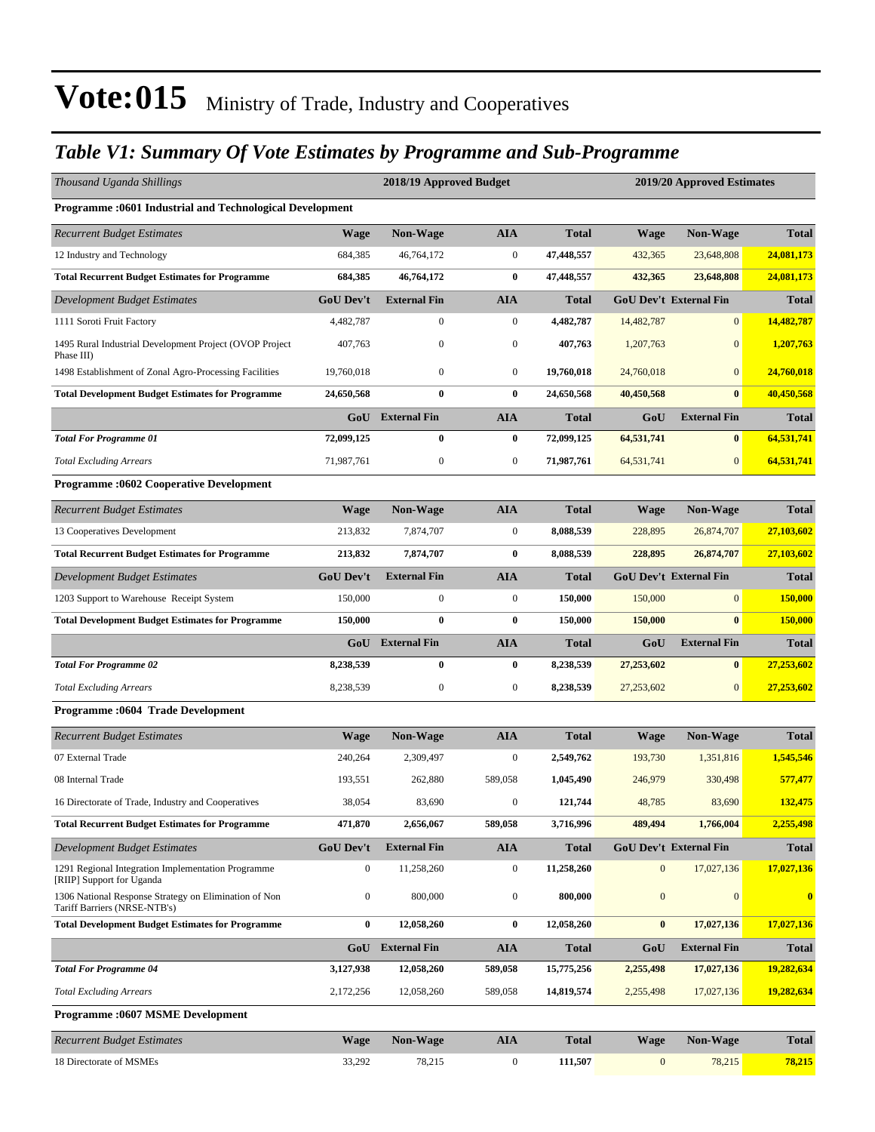### *Table V1: Summary Of Vote Estimates by Programme and Sub-Programme*

| Thousand Uganda Shillings                                                             |                  | 2018/19 Approved Budget<br>2019/20 Approved Estimates |                  |              |                  |                               |                |
|---------------------------------------------------------------------------------------|------------------|-------------------------------------------------------|------------------|--------------|------------------|-------------------------------|----------------|
| <b>Programme:0601 Industrial and Technological Development</b>                        |                  |                                                       |                  |              |                  |                               |                |
| <b>Recurrent Budget Estimates</b>                                                     | <b>Wage</b>      | Non-Wage                                              | <b>AIA</b>       | <b>Total</b> | Wage             | <b>Non-Wage</b>               | <b>Total</b>   |
| 12 Industry and Technology                                                            | 684,385          | 46,764,172                                            | $\boldsymbol{0}$ | 47,448,557   | 432,365          | 23,648,808                    | 24,081,173     |
| <b>Total Recurrent Budget Estimates for Programme</b>                                 | 684,385          | 46,764,172                                            | $\bf{0}$         | 47,448,557   | 432,365          | 23,648,808                    | 24,081,173     |
| <b>Development Budget Estimates</b>                                                   | <b>GoU Dev't</b> | <b>External Fin</b>                                   | <b>AIA</b>       | <b>Total</b> |                  | <b>GoU Dev't External Fin</b> | <b>Total</b>   |
| 1111 Soroti Fruit Factory                                                             | 4,482,787        | 0                                                     | $\boldsymbol{0}$ | 4,482,787    | 14,482,787       | $\mathbf{0}$                  | 14,482,787     |
| 1495 Rural Industrial Development Project (OVOP Project<br>Phase III)                 | 407,763          | $\boldsymbol{0}$                                      | $\boldsymbol{0}$ | 407,763      | 1,207,763        | $\mathbf{0}$                  | 1,207,763      |
| 1498 Establishment of Zonal Agro-Processing Facilities                                | 19,760,018       | $\mathbf{0}$                                          | $\boldsymbol{0}$ | 19,760,018   | 24,760,018       | $\mathbf{0}$                  | 24,760,018     |
| <b>Total Development Budget Estimates for Programme</b>                               | 24,650,568       | $\bf{0}$                                              | $\bf{0}$         | 24,650,568   | 40,450,568       | $\bf{0}$                      | 40,450,568     |
|                                                                                       |                  | GoU External Fin                                      | <b>AIA</b>       | <b>Total</b> | GoU              | <b>External Fin</b>           | <b>Total</b>   |
| <b>Total For Programme 01</b>                                                         | 72,099,125       | $\bf{0}$                                              | $\bf{0}$         | 72,099,125   | 64,531,741       | $\bf{0}$                      | 64,531,741     |
| <b>Total Excluding Arrears</b>                                                        | 71,987,761       | $\boldsymbol{0}$                                      | $\boldsymbol{0}$ | 71,987,761   | 64,531,741       | $\boldsymbol{0}$              | 64,531,741     |
| <b>Programme:0602 Cooperative Development</b>                                         |                  |                                                       |                  |              |                  |                               |                |
| <b>Recurrent Budget Estimates</b>                                                     | <b>Wage</b>      | Non-Wage                                              | <b>AIA</b>       | <b>Total</b> | Wage             | Non-Wage                      | <b>Total</b>   |
| 13 Cooperatives Development                                                           | 213,832          | 7,874,707                                             | $\boldsymbol{0}$ | 8,088,539    | 228,895          | 26,874,707                    | 27,103,602     |
| <b>Total Recurrent Budget Estimates for Programme</b>                                 | 213,832          | 7,874,707                                             | $\bf{0}$         | 8,088,539    | 228,895          | 26,874,707                    | 27,103,602     |
| Development Budget Estimates                                                          | GoU Dev't        | <b>External Fin</b>                                   | <b>AIA</b>       | <b>Total</b> |                  | <b>GoU Dev't External Fin</b> | <b>Total</b>   |
| 1203 Support to Warehouse Receipt System                                              | 150,000          | $\boldsymbol{0}$                                      | $\boldsymbol{0}$ | 150,000      | 150,000          | $\mathbf{0}$                  | <b>150,000</b> |
| <b>Total Development Budget Estimates for Programme</b>                               | 150,000          | $\bf{0}$                                              | $\bf{0}$         | 150,000      | 150,000          | $\bf{0}$                      | 150,000        |
|                                                                                       | GoU              | <b>External Fin</b>                                   | <b>AIA</b>       | <b>Total</b> | GoU              | <b>External Fin</b>           | <b>Total</b>   |
| <b>Total For Programme 02</b>                                                         | 8,238,539        | $\bf{0}$                                              | $\boldsymbol{0}$ | 8,238,539    | 27,253,602       | $\bf{0}$                      | 27,253,602     |
| <b>Total Excluding Arrears</b>                                                        | 8,238,539        | $\boldsymbol{0}$                                      | $\boldsymbol{0}$ | 8,238,539    | 27,253,602       | $\mathbf{0}$                  | 27,253,602     |
| Programme : 0604 Trade Development                                                    |                  |                                                       |                  |              |                  |                               |                |
| <b>Recurrent Budget Estimates</b>                                                     | <b>Wage</b>      | <b>Non-Wage</b>                                       | <b>AIA</b>       | <b>Total</b> | Wage             | <b>Non-Wage</b>               | <b>Total</b>   |
| 07 External Trade                                                                     | 240,264          | 2,309,497                                             | 0                | 2,549,762    | 193,730          | 1,351,816                     | 1,545,546      |
| 08 Internal Trade                                                                     | 193,551          | 262,880                                               | 589,058          | 1,045,490    | 246,979          | 330,498                       | 577,477        |
| 16 Directorate of Trade, Industry and Cooperatives                                    | 38,054           | 83,690                                                | $\boldsymbol{0}$ | 121,744      | 48,785           | 83,690                        | 132,475        |
| <b>Total Recurrent Budget Estimates for Programme</b>                                 | 471,870          | 2,656,067                                             | 589,058          | 3,716,996    | 489,494          | 1,766,004                     | 2,255,498      |
| Development Budget Estimates                                                          | <b>GoU Dev't</b> | <b>External Fin</b>                                   | AIA              | Total        |                  | <b>GoU Dev't External Fin</b> | Total          |
| 1291 Regional Integration Implementation Programme<br>[RIIP] Support for Uganda       | $\boldsymbol{0}$ | 11,258,260                                            | $\boldsymbol{0}$ | 11,258,260   | $\boldsymbol{0}$ | 17,027,136                    | 17,027,136     |
| 1306 National Response Strategy on Elimination of Non<br>Tariff Barriers (NRSE-NTB's) | $\boldsymbol{0}$ | 800,000                                               | $\boldsymbol{0}$ | 800,000      | $\mathbf{0}$     | $\mathbf{0}$                  | $\mathbf{0}$   |
| <b>Total Development Budget Estimates for Programme</b>                               | 0                | 12,058,260                                            | $\bf{0}$         | 12,058,260   | $\bf{0}$         | 17,027,136                    | 17,027,136     |
|                                                                                       | GoU              | <b>External Fin</b>                                   | AIA              | <b>Total</b> | GoU              | <b>External Fin</b>           | Total          |
| <b>Total For Programme 04</b>                                                         | 3,127,938        | 12,058,260                                            | 589,058          | 15,775,256   | 2,255,498        | 17,027,136                    | 19,282,634     |
| <b>Total Excluding Arrears</b>                                                        | 2,172,256        | 12,058,260                                            | 589,058          | 14,819,574   | 2,255,498        | 17,027,136                    | 19,282,634     |
| <b>Programme:0607 MSME Development</b>                                                |                  |                                                       |                  |              |                  |                               |                |
| <b>Recurrent Budget Estimates</b>                                                     | Wage             | Non-Wage                                              | AIA              | <b>Total</b> | Wage             | Non-Wage                      | Total          |
| 18 Directorate of MSMEs                                                               | 33,292           | 78,215                                                | $\boldsymbol{0}$ | 111,507      | $\mathbf{0}$     | 78,215                        | 78,215         |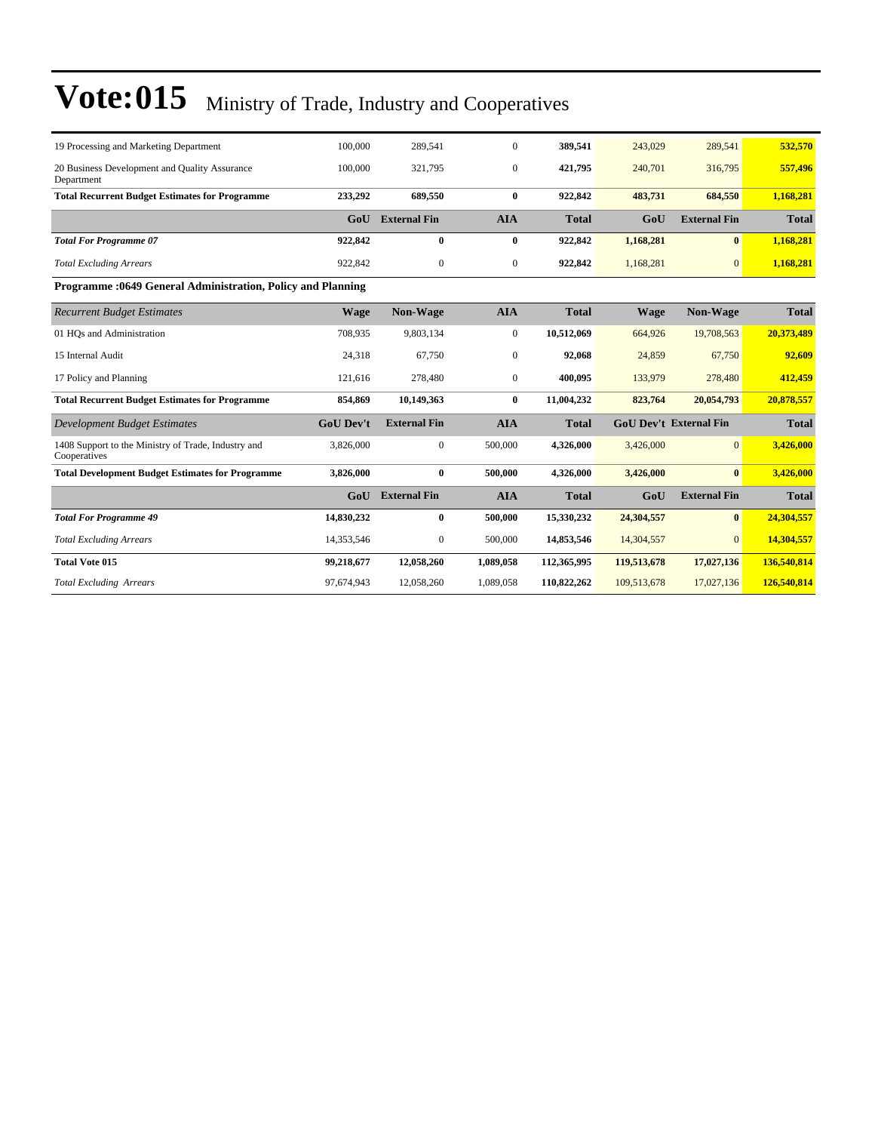| 19 Processing and Marketing Department                              | 100,000          | 289.541             | $\mathbf{0}$     | 389,541      | 243,029     | 289,541                       | 532,570      |
|---------------------------------------------------------------------|------------------|---------------------|------------------|--------------|-------------|-------------------------------|--------------|
| 20 Business Development and Quality Assurance<br>Department         | 100,000          | 321,795             | $\overline{0}$   | 421,795      | 240,701     | 316,795                       | 557,496      |
| <b>Total Recurrent Budget Estimates for Programme</b>               | 233,292          | 689,550             | $\bf{0}$         | 922,842      | 483,731     | 684,550                       | 1,168,281    |
|                                                                     | G <sub>0</sub> U | <b>External Fin</b> | <b>AIA</b>       | <b>Total</b> | GoU         | <b>External Fin</b>           | <b>Total</b> |
| <b>Total For Programme 07</b>                                       | 922,842          | $\mathbf{0}$        | $\bf{0}$         | 922,842      | 1,168,281   | $\mathbf{0}$                  | 1,168,281    |
| <b>Total Excluding Arrears</b>                                      | 922,842          | $\mathbf{0}$        | $\boldsymbol{0}$ | 922,842      | 1,168,281   | $\mathbf{0}$                  | 1,168,281    |
| Programme : 0649 General Administration, Policy and Planning        |                  |                     |                  |              |             |                               |              |
| <b>Recurrent Budget Estimates</b>                                   | <b>Wage</b>      | Non-Wage            | <b>AIA</b>       | <b>Total</b> | <b>Wage</b> | <b>Non-Wage</b>               | <b>Total</b> |
| 01 HOs and Administration                                           | 708,935          | 9,803,134           | $\boldsymbol{0}$ | 10,512,069   | 664,926     | 19,708,563                    | 20,373,489   |
| 15 Internal Audit                                                   | 24,318           | 67,750              | $\overline{0}$   | 92,068       | 24,859      | 67,750                        | 92,609       |
| 17 Policy and Planning                                              | 121,616          | 278,480             | $\boldsymbol{0}$ | 400,095      | 133,979     | 278,480                       | 412,459      |
| <b>Total Recurrent Budget Estimates for Programme</b>               | 854,869          | 10,149,363          | $\bf{0}$         | 11,004,232   | 823,764     | 20,054,793                    | 20,878,557   |
| Development Budget Estimates                                        | <b>GoU Dev't</b> | <b>External Fin</b> | <b>AIA</b>       | <b>Total</b> |             | <b>GoU Dev't External Fin</b> | <b>Total</b> |
| 1408 Support to the Ministry of Trade, Industry and<br>Cooperatives | 3,826,000        | $\mathbf{0}$        | 500,000          | 4,326,000    | 3,426,000   | $\Omega$                      | 3,426,000    |
| <b>Total Development Budget Estimates for Programme</b>             | 3,826,000        | $\bf{0}$            | 500,000          | 4,326,000    | 3,426,000   | $\mathbf{0}$                  | 3,426,000    |
|                                                                     | GoU              | <b>External Fin</b> | <b>AIA</b>       | <b>Total</b> | GoU         | <b>External Fin</b>           | <b>Total</b> |
| <b>Total For Programme 49</b>                                       | 14,830,232       | $\bf{0}$            | 500,000          | 15,330,232   | 24,304,557  | $\mathbf{0}$                  | 24,304,557   |
| <b>Total Excluding Arrears</b>                                      | 14,353,546       | $\boldsymbol{0}$    | 500,000          | 14,853,546   | 14,304,557  | $\mathbf{0}$                  | 14,304,557   |
| <b>Total Vote 015</b>                                               | 99,218,677       | 12,058,260          | 1,089,058        | 112,365,995  | 119,513,678 | 17,027,136                    | 136,540,814  |
| <b>Total Excluding Arrears</b>                                      | 97,674,943       | 12,058,260          | 1,089,058        | 110,822,262  | 109,513,678 | 17,027,136                    | 126,540,814  |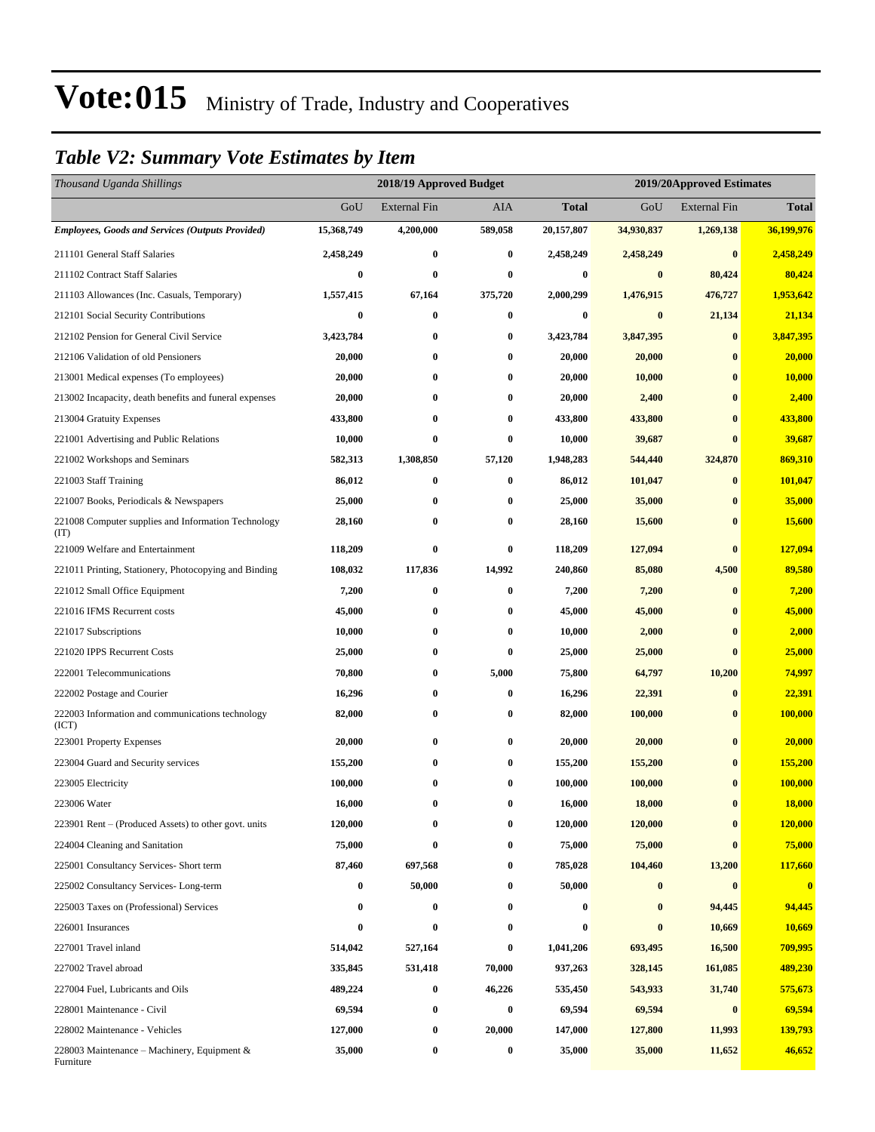### *Table V2: Summary Vote Estimates by Item*

| Thousand Uganda Shillings                                   |            | 2018/19 Approved Budget |          | 2019/20Approved Estimates |            |                     |              |
|-------------------------------------------------------------|------------|-------------------------|----------|---------------------------|------------|---------------------|--------------|
|                                                             | GoU        | <b>External Fin</b>     | AIA      | Total                     | GoU        | <b>External Fin</b> | <b>Total</b> |
| <b>Employees, Goods and Services (Outputs Provided)</b>     | 15,368,749 | 4,200,000               | 589,058  | 20,157,807                | 34,930,837 | 1,269,138           | 36,199,976   |
| 211101 General Staff Salaries                               | 2,458,249  | $\bf{0}$                | $\bf{0}$ | 2,458,249                 | 2,458,249  | $\bf{0}$            | 2,458,249    |
| 211102 Contract Staff Salaries                              | 0          | $\bf{0}$                | $\bf{0}$ | 0                         | $\bf{0}$   | 80,424              | 80,424       |
| 211103 Allowances (Inc. Casuals, Temporary)                 | 1,557,415  | 67,164                  | 375,720  | 2,000,299                 | 1,476,915  | 476,727             | 1,953,642    |
| 212101 Social Security Contributions                        | $\bf{0}$   | $\bf{0}$                | $\bf{0}$ | $\boldsymbol{0}$          | $\bf{0}$   | 21,134              | 21,134       |
| 212102 Pension for General Civil Service                    | 3,423,784  | $\bf{0}$                | $\bf{0}$ | 3,423,784                 | 3,847,395  | $\bf{0}$            | 3,847,395    |
| 212106 Validation of old Pensioners                         | 20,000     | $\bf{0}$                | $\bf{0}$ | 20,000                    | 20,000     | $\bf{0}$            | 20,000       |
| 213001 Medical expenses (To employees)                      | 20,000     | $\bf{0}$                | $\bf{0}$ | 20,000                    | 10,000     | $\bf{0}$            | 10,000       |
| 213002 Incapacity, death benefits and funeral expenses      | 20,000     | $\bf{0}$                | $\bf{0}$ | 20,000                    | 2,400      | $\bf{0}$            | 2,400        |
| 213004 Gratuity Expenses                                    | 433,800    | $\bf{0}$                | $\bf{0}$ | 433,800                   | 433,800    | $\bf{0}$            | 433,800      |
| 221001 Advertising and Public Relations                     | 10,000     | $\bf{0}$                | $\bf{0}$ | 10,000                    | 39,687     | $\bf{0}$            | 39,687       |
| 221002 Workshops and Seminars                               | 582,313    | 1,308,850               | 57,120   | 1,948,283                 | 544,440    | 324,870             | 869,310      |
| 221003 Staff Training                                       | 86,012     | $\bf{0}$                | $\bf{0}$ | 86,012                    | 101,047    | $\bf{0}$            | 101,047      |
| 221007 Books, Periodicals & Newspapers                      | 25,000     | 0                       | $\bf{0}$ | 25,000                    | 35,000     | $\bf{0}$            | 35,000       |
| 221008 Computer supplies and Information Technology<br>(TT) | 28,160     | $\bf{0}$                | $\bf{0}$ | 28,160                    | 15,600     | $\bf{0}$            | 15,600       |
| 221009 Welfare and Entertainment                            | 118,209    | $\bf{0}$                | $\bf{0}$ | 118,209                   | 127,094    | $\bf{0}$            | 127,094      |
| 221011 Printing, Stationery, Photocopying and Binding       | 108,032    | 117,836                 | 14,992   | 240,860                   | 85,080     | 4,500               | 89,580       |
| 221012 Small Office Equipment                               | 7,200      | $\bf{0}$                | $\bf{0}$ | 7,200                     | 7,200      | $\bf{0}$            | 7,200        |
| 221016 IFMS Recurrent costs                                 | 45,000     | $\bf{0}$                | $\bf{0}$ | 45,000                    | 45,000     | $\bf{0}$            | 45,000       |
| 221017 Subscriptions                                        | 10,000     | $\bf{0}$                | $\bf{0}$ | 10,000                    | 2,000      | $\bf{0}$            | 2,000        |
| 221020 IPPS Recurrent Costs                                 | 25,000     | 0                       | $\bf{0}$ | 25,000                    | 25,000     | $\bf{0}$            | 25,000       |
| 222001 Telecommunications                                   | 70,800     | $\bf{0}$                | 5,000    | 75,800                    | 64,797     | 10,200              | 74,997       |
| 222002 Postage and Courier                                  | 16,296     | $\bf{0}$                | $\bf{0}$ | 16,296                    | 22,391     | $\bf{0}$            | 22,391       |
| 222003 Information and communications technology<br>(ICT)   | 82,000     | $\bf{0}$                | $\bf{0}$ | 82,000                    | 100,000    | $\bf{0}$            | 100,000      |
| 223001 Property Expenses                                    | 20,000     | $\bf{0}$                | $\bf{0}$ | 20,000                    | 20,000     | $\bf{0}$            | 20,000       |
| 223004 Guard and Security services                          | 155,200    | $\bf{0}$                | $\bf{0}$ | 155,200                   | 155,200    | $\bf{0}$            | 155,200      |
| 223005 Electricity                                          | 100,000    | $\bf{0}$                | $\bf{0}$ | 100,000                   | 100,000    | $\bf{0}$            | 100,000      |
| 223006 Water                                                | 16,000     | $\bf{0}$                | $\bf{0}$ | 16,000                    | 18,000     | $\bf{0}$            | 18,000       |
| 223901 Rent - (Produced Assets) to other govt. units        | 120,000    | 0                       | $\bf{0}$ | 120,000                   | 120,000    | $\bf{0}$            | 120,000      |
| 224004 Cleaning and Sanitation                              | 75,000     | $\bf{0}$                | $\bf{0}$ | 75,000                    | 75,000     | $\bf{0}$            | 75,000       |
| 225001 Consultancy Services- Short term                     | 87,460     | 697,568                 | $\bf{0}$ | 785,028                   | 104,460    | 13,200              | 117,660      |
| 225002 Consultancy Services-Long-term                       | 0          | 50,000                  | $\bf{0}$ | 50,000                    | $\pmb{0}$  | $\bf{0}$            | $\bf{0}$     |
| 225003 Taxes on (Professional) Services                     | 0          | $\boldsymbol{0}$        | $\bf{0}$ | 0                         | $\bf{0}$   | 94,445              | 94,445       |
| 226001 Insurances                                           | $\bf{0}$   | $\bf{0}$                | $\bf{0}$ | $\bf{0}$                  | $\pmb{0}$  | 10,669              | 10,669       |
| 227001 Travel inland                                        | 514,042    | 527,164                 | $\bf{0}$ | 1,041,206                 | 693,495    | 16,500              | 709,995      |
| 227002 Travel abroad                                        | 335,845    | 531,418                 | 70,000   | 937,263                   | 328,145    | 161,085             | 489,230      |
| 227004 Fuel, Lubricants and Oils                            | 489,224    | $\boldsymbol{0}$        | 46,226   | 535,450                   | 543,933    | 31,740              | 575,673      |
| 228001 Maintenance - Civil                                  | 69,594     | $\boldsymbol{0}$        | $\bf{0}$ | 69,594                    | 69,594     | $\boldsymbol{0}$    | 69,594       |
| 228002 Maintenance - Vehicles                               | 127,000    | $\boldsymbol{0}$        | 20,000   | 147,000                   | 127,800    | 11,993              | 139,793      |
| 228003 Maintenance – Machinery, Equipment $\&$<br>Furniture | 35,000     | $\boldsymbol{0}$        | $\bf{0}$ | 35,000                    | 35,000     | 11,652              | 46,652       |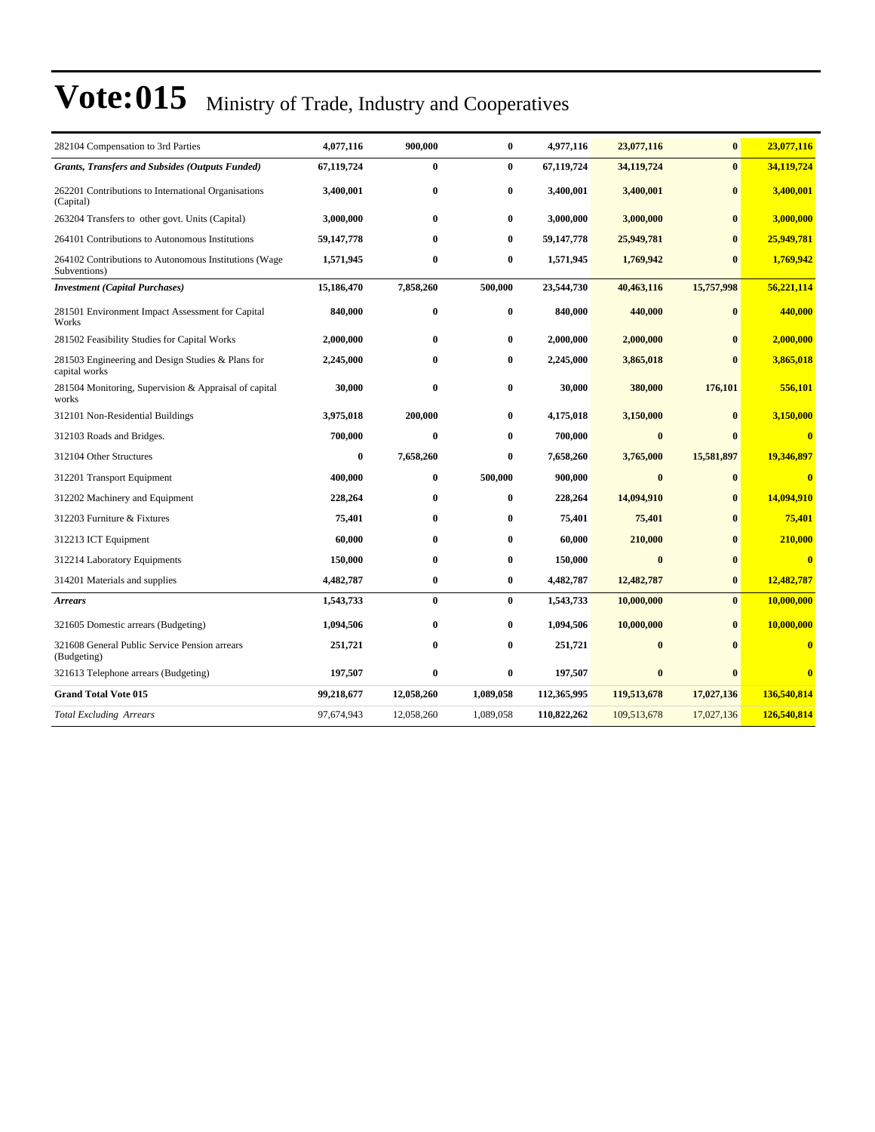| 282104 Compensation to 3rd Parties                                    | 4,077,116  | 900,000    | $\bf{0}$  | 4,977,116   | 23,077,116  | $\bf{0}$     | 23,077,116              |
|-----------------------------------------------------------------------|------------|------------|-----------|-------------|-------------|--------------|-------------------------|
| <b>Grants, Transfers and Subsides (Outputs Funded)</b>                | 67,119,724 | $\bf{0}$   | $\bf{0}$  | 67,119,724  | 34,119,724  | $\bf{0}$     | 34,119,724              |
| 262201 Contributions to International Organisations<br>(Capital)      | 3,400,001  | $\bf{0}$   | $\bf{0}$  | 3,400,001   | 3,400,001   | $\bf{0}$     | 3,400,001               |
| 263204 Transfers to other govt. Units (Capital)                       | 3,000,000  | $\bf{0}$   | $\bf{0}$  | 3,000,000   | 3,000,000   | $\bf{0}$     | 3,000,000               |
| 264101 Contributions to Autonomous Institutions                       | 59,147,778 | $\bf{0}$   | $\bf{0}$  | 59,147,778  | 25,949,781  | $\mathbf{0}$ | 25,949,781              |
| 264102 Contributions to Autonomous Institutions (Wage<br>Subventions) | 1,571,945  | $\bf{0}$   | $\bf{0}$  | 1,571,945   | 1,769,942   | $\bf{0}$     | 1,769,942               |
| <b>Investment</b> (Capital Purchases)                                 | 15,186,470 | 7,858,260  | 500,000   | 23,544,730  | 40,463,116  | 15,757,998   | 56,221,114              |
| 281501 Environment Impact Assessment for Capital<br>Works             | 840,000    | $\bf{0}$   | $\bf{0}$  | 840,000     | 440,000     | $\bf{0}$     | 440,000                 |
| 281502 Feasibility Studies for Capital Works                          | 2,000,000  | $\bf{0}$   | $\bf{0}$  | 2,000,000   | 2,000,000   | $\bf{0}$     | 2,000,000               |
| 281503 Engineering and Design Studies & Plans for<br>capital works    | 2,245,000  | $\bf{0}$   | $\bf{0}$  | 2,245,000   | 3,865,018   | $\mathbf{0}$ | 3,865,018               |
| 281504 Monitoring, Supervision & Appraisal of capital<br>works        | 30,000     | $\bf{0}$   | 0         | 30,000      | 380,000     | 176,101      | 556,101                 |
| 312101 Non-Residential Buildings                                      | 3,975,018  | 200,000    | $\bf{0}$  | 4,175,018   | 3,150,000   | $\mathbf{0}$ | 3,150,000               |
| 312103 Roads and Bridges.                                             | 700,000    | $\bf{0}$   | $\bf{0}$  | 700,000     | $\bf{0}$    | $\bf{0}$     | $\bf{0}$                |
| 312104 Other Structures                                               | $\bf{0}$   | 7,658,260  | $\bf{0}$  | 7,658,260   | 3,765,000   | 15,581,897   | 19,346,897              |
| 312201 Transport Equipment                                            | 400,000    | $\bf{0}$   | 500,000   | 900,000     | $\bf{0}$    | $\bf{0}$     | $\bf{0}$                |
| 312202 Machinery and Equipment                                        | 228,264    | $\bf{0}$   | $\bf{0}$  | 228,264     | 14,094,910  | $\bf{0}$     | 14,094,910              |
| 312203 Furniture & Fixtures                                           | 75,401     | $\bf{0}$   | $\bf{0}$  | 75,401      | 75,401      | $\bf{0}$     | 75,401                  |
| 312213 ICT Equipment                                                  | 60,000     | $\bf{0}$   | $\bf{0}$  | 60,000      | 210,000     | $\bf{0}$     | 210,000                 |
| 312214 Laboratory Equipments                                          | 150,000    | $\bf{0}$   | $\bf{0}$  | 150,000     | $\bf{0}$    | $\bf{0}$     | $\bf{0}$                |
| 314201 Materials and supplies                                         | 4,482,787  | $\bf{0}$   | $\bf{0}$  | 4,482,787   | 12,482,787  | $\bf{0}$     | 12,482,787              |
| <b>Arrears</b>                                                        | 1,543,733  | $\bf{0}$   | $\bf{0}$  | 1,543,733   | 10,000,000  | $\bf{0}$     | 10,000,000              |
| 321605 Domestic arrears (Budgeting)                                   | 1,094,506  | $\bf{0}$   | $\bf{0}$  | 1,094,506   | 10,000,000  | $\bf{0}$     | 10,000,000              |
| 321608 General Public Service Pension arrears<br>(Budgeting)          | 251,721    | $\bf{0}$   | $\bf{0}$  | 251,721     | $\bf{0}$    | $\mathbf{0}$ | $\bf{0}$                |
| 321613 Telephone arrears (Budgeting)                                  | 197,507    | $\bf{0}$   | $\bf{0}$  | 197,507     | $\bf{0}$    | $\bf{0}$     | $\overline{\mathbf{0}}$ |
| <b>Grand Total Vote 015</b>                                           | 99,218,677 | 12,058,260 | 1,089,058 | 112,365,995 | 119,513,678 | 17,027,136   | 136,540,814             |
| <b>Total Excluding Arrears</b>                                        | 97,674,943 | 12,058,260 | 1,089,058 | 110,822,262 | 109,513,678 | 17,027,136   | 126,540,814             |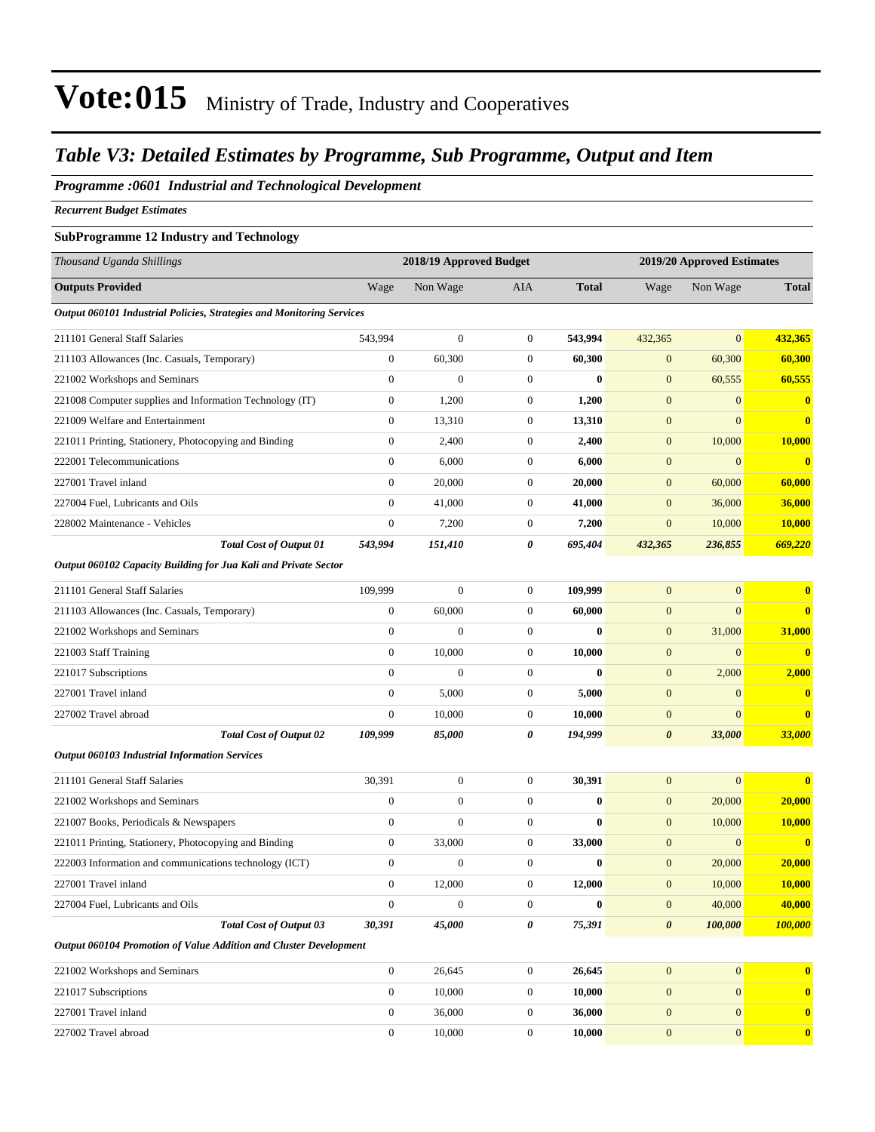### *Table V3: Detailed Estimates by Programme, Sub Programme, Output and Item*

#### *Programme :0601 Industrial and Technological Development*

*Recurrent Budget Estimates*

#### **SubProgramme 12 Industry and Technology**

| Thousand Uganda Shillings                                             |                  | 2018/19 Approved Budget |                  |              | 2019/20 Approved Estimates |                |               |  |
|-----------------------------------------------------------------------|------------------|-------------------------|------------------|--------------|----------------------------|----------------|---------------|--|
| <b>Outputs Provided</b>                                               | Wage             | Non Wage                | AIA              | <b>Total</b> | Wage                       | Non Wage       | <b>Total</b>  |  |
| Output 060101 Industrial Policies, Strategies and Monitoring Services |                  |                         |                  |              |                            |                |               |  |
| 211101 General Staff Salaries                                         | 543,994          | $\boldsymbol{0}$        | $\boldsymbol{0}$ | 543,994      | 432,365                    | $\overline{0}$ | 432,365       |  |
| 211103 Allowances (Inc. Casuals, Temporary)                           | $\boldsymbol{0}$ | 60,300                  | $\mathbf{0}$     | 60,300       | $\mathbf{0}$               | 60,300         | 60,300        |  |
| 221002 Workshops and Seminars                                         | $\boldsymbol{0}$ | $\overline{0}$          | $\mathbf{0}$     | $\mathbf{0}$ | $\mathbf{0}$               | 60,555         | 60,555        |  |
| 221008 Computer supplies and Information Technology (IT)              | $\mathbf{0}$     | 1,200                   | $\mathbf{0}$     | 1,200        | $\mathbf{0}$               | $\overline{0}$ | $\bf{0}$      |  |
| 221009 Welfare and Entertainment                                      | $\mathbf{0}$     | 13,310                  | $\boldsymbol{0}$ | 13,310       | $\mathbf{0}$               | $\overline{0}$ | $\bf{0}$      |  |
| 221011 Printing, Stationery, Photocopying and Binding                 | $\boldsymbol{0}$ | 2,400                   | $\boldsymbol{0}$ | 2,400        | $\boldsymbol{0}$           | 10,000         | 10,000        |  |
| 222001 Telecommunications                                             | $\mathbf{0}$     | 6,000                   | $\mathbf{0}$     | 6,000        | $\mathbf{0}$               | $\overline{0}$ | $\bf{0}$      |  |
| 227001 Travel inland                                                  | $\mathbf{0}$     | 20,000                  | $\mathbf{0}$     | 20,000       | $\mathbf{0}$               | 60,000         | 60,000        |  |
| 227004 Fuel, Lubricants and Oils                                      | $\overline{0}$   | 41,000                  | $\boldsymbol{0}$ | 41,000       | $\mathbf{0}$               | 36,000         | <b>36,000</b> |  |
| 228002 Maintenance - Vehicles                                         | $\boldsymbol{0}$ | 7,200                   | $\mathbf{0}$     | 7,200        | $\mathbf{0}$               | 10,000         | 10,000        |  |
| <b>Total Cost of Output 01</b>                                        | 543,994          | 151,410                 | 0                | 695,404      | 432,365                    | 236,855        | 669,220       |  |
| Output 060102 Capacity Building for Jua Kali and Private Sector       |                  |                         |                  |              |                            |                |               |  |
| 211101 General Staff Salaries                                         | 109,999          | $\boldsymbol{0}$        | $\mathbf{0}$     | 109,999      | $\boldsymbol{0}$           | $\overline{0}$ | $\bf{0}$      |  |
| 211103 Allowances (Inc. Casuals, Temporary)                           | $\boldsymbol{0}$ | 60,000                  | $\mathbf{0}$     | 60,000       | $\mathbf{0}$               | $\overline{0}$ | $\bf{0}$      |  |
| 221002 Workshops and Seminars                                         | $\overline{0}$   | $\overline{0}$          | $\boldsymbol{0}$ | $\bf{0}$     | $\mathbf{0}$               | 31,000         | 31,000        |  |
| 221003 Staff Training                                                 | $\mathbf{0}$     | 10,000                  | $\mathbf{0}$     | 10,000       | $\mathbf{0}$               | $\mathbf{0}$   | $\mathbf{0}$  |  |
| 221017 Subscriptions                                                  | $\boldsymbol{0}$ | $\overline{0}$          | $\boldsymbol{0}$ | $\bf{0}$     | $\mathbf{0}$               | 2,000          | 2,000         |  |
| 227001 Travel inland                                                  | $\boldsymbol{0}$ | 5,000                   | $\boldsymbol{0}$ | 5,000        | $\boldsymbol{0}$           | $\mathbf{0}$   | $\bf{0}$      |  |
| 227002 Travel abroad                                                  | $\boldsymbol{0}$ | 10,000                  | $\mathbf{0}$     | 10,000       | $\mathbf{0}$               | $\overline{0}$ | $\bf{0}$      |  |
| <b>Total Cost of Output 02</b>                                        | 109,999          | 85,000                  | 0                | 194,999      | $\boldsymbol{\theta}$      | 33,000         | <b>33,000</b> |  |
| <b>Output 060103 Industrial Information Services</b>                  |                  |                         |                  |              |                            |                |               |  |
| 211101 General Staff Salaries                                         | 30,391           | $\boldsymbol{0}$        | $\boldsymbol{0}$ | 30,391       | $\mathbf{0}$               | $\overline{0}$ | $\bf{0}$      |  |
| 221002 Workshops and Seminars                                         | $\boldsymbol{0}$ | $\boldsymbol{0}$        | $\mathbf{0}$     | $\bf{0}$     | $\boldsymbol{0}$           | 20,000         | 20,000        |  |
| 221007 Books, Periodicals & Newspapers                                | $\boldsymbol{0}$ | $\overline{0}$          | $\mathbf{0}$     | $\bf{0}$     | $\mathbf{0}$               | 10,000         | 10,000        |  |
| 221011 Printing, Stationery, Photocopying and Binding                 | 0                | 33,000                  | $\mathbf{0}$     | 33,000       | $\mathbf{0}$               | $\mathbf{0}$   | $\bf{0}$      |  |
| 222003 Information and communications technology (ICT)                | $\boldsymbol{0}$ | $\boldsymbol{0}$        | $\boldsymbol{0}$ | 0            | $\boldsymbol{0}$           | 20,000         | 20,000        |  |
| 227001 Travel inland                                                  | $\mathbf{0}$     | 12,000                  | $\mathbf{0}$     | 12,000       | $\overline{0}$             | 10,000         | 10,000        |  |
| 227004 Fuel, Lubricants and Oils                                      | $\boldsymbol{0}$ | $\boldsymbol{0}$        | $\boldsymbol{0}$ | $\bf{0}$     | $\boldsymbol{0}$           | 40,000         | 40,000        |  |
| <b>Total Cost of Output 03</b>                                        | 30,391           | 45,000                  | 0                | 75,391       | $\boldsymbol{\theta}$      | 100,000        | 100,000       |  |
| Output 060104 Promotion of Value Addition and Cluster Development     |                  |                         |                  |              |                            |                |               |  |
| 221002 Workshops and Seminars                                         | $\boldsymbol{0}$ | 26,645                  | $\boldsymbol{0}$ | 26,645       | $\boldsymbol{0}$           | $\mathbf{0}$   | $\bf{0}$      |  |
| 221017 Subscriptions                                                  | $\overline{0}$   | 10,000                  | $\boldsymbol{0}$ | 10,000       | $\boldsymbol{0}$           | $\mathbf{0}$   | $\bf{0}$      |  |
| 227001 Travel inland                                                  | $\boldsymbol{0}$ | 36,000                  | $\boldsymbol{0}$ | 36,000       | $\mathbf{0}$               | $\mathbf{0}$   | $\bf{0}$      |  |
| 227002 Travel abroad                                                  | $\boldsymbol{0}$ | 10,000                  | $\boldsymbol{0}$ | 10,000       | $\boldsymbol{0}$           | $\mathbf{0}$   | $\bf{0}$      |  |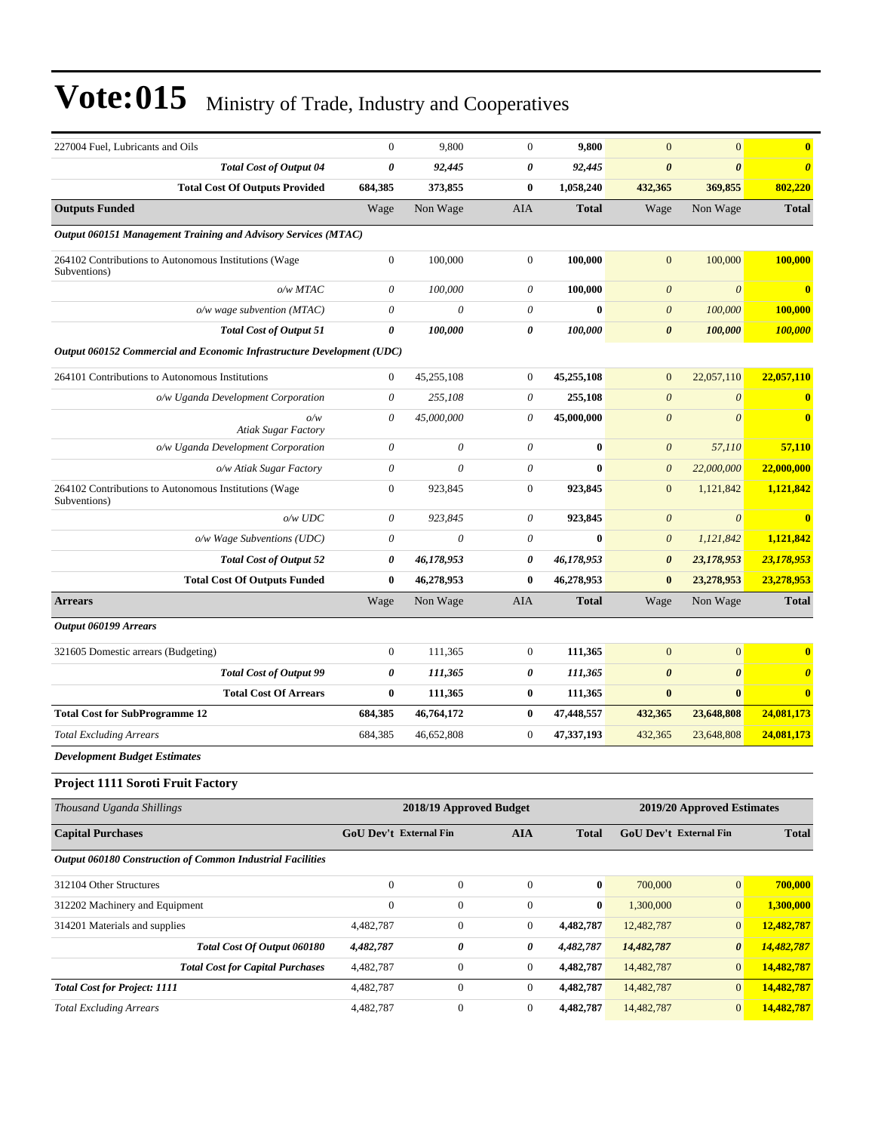| 227004 Fuel. Lubricants and Oils                                       | $\mathbf{0}$          | 9,800                         | $\overline{0}$   | 9,800            | $\mathbf{0}$                  | $\overline{0}$             | $\bf{0}$                |
|------------------------------------------------------------------------|-----------------------|-------------------------------|------------------|------------------|-------------------------------|----------------------------|-------------------------|
| <b>Total Cost of Output 04</b>                                         | $\boldsymbol{\theta}$ | 92,445                        | 0                | 92,445           | $\boldsymbol{\theta}$         | $\boldsymbol{\theta}$      | $\boldsymbol{\theta}$   |
| <b>Total Cost Of Outputs Provided</b>                                  | 684,385               | 373,855                       | 0                | 1,058,240        | 432,365                       | 369,855                    | 802,220                 |
| <b>Outputs Funded</b>                                                  | Wage                  | Non Wage                      | AIA              | <b>Total</b>     | Wage                          | Non Wage                   | <b>Total</b>            |
| Output 060151 Management Training and Advisory Services (MTAC)         |                       |                               |                  |                  |                               |                            |                         |
| 264102 Contributions to Autonomous Institutions (Wage<br>Subventions)  | $\boldsymbol{0}$      | 100,000                       | $\mathbf{0}$     | 100,000          | $\mathbf{0}$                  | 100,000                    | 100,000                 |
| $o/w$ $MTAC$                                                           | 0                     | 100,000                       | 0                | 100,000          | $\boldsymbol{\theta}$         | $\boldsymbol{0}$           | $\bf{0}$                |
| $o/w$ wage subvention (MTAC)                                           | $\theta$              | $\boldsymbol{\theta}$         | 0                | $\bf{0}$         | $\boldsymbol{0}$              | 100,000                    | 100,000                 |
| <b>Total Cost of Output 51</b>                                         | $\boldsymbol{\theta}$ | 100.000                       | 0                | 100,000          | $\boldsymbol{\theta}$         | 100,000                    | 100,000                 |
| Output 060152 Commercial and Economic Infrastructure Development (UDC) |                       |                               |                  |                  |                               |                            |                         |
| 264101 Contributions to Autonomous Institutions                        | $\mathbf{0}$          | 45,255,108                    | $\boldsymbol{0}$ | 45,255,108       | $\mathbf{0}$                  | 22,057,110                 | 22,057,110              |
| o/w Uganda Development Corporation                                     | $\theta$              | 255,108                       | 0                | 255,108          | $\boldsymbol{0}$              | $\boldsymbol{\theta}$      | $\bf{0}$                |
| o/w<br><b>Atiak Sugar Factory</b>                                      | $\theta$              | 45,000,000                    | 0                | 45,000,000       | $\boldsymbol{0}$              | $\boldsymbol{\theta}$      | $\bf{0}$                |
| o/w Uganda Development Corporation                                     | $\theta$              | 0                             | 0                | $\bf{0}$         | $\boldsymbol{\theta}$         | 57,110                     | 57,110                  |
| o/w Atiak Sugar Factory                                                | $\theta$              | $\theta$                      | $\theta$         | $\mathbf{0}$     | $\boldsymbol{\theta}$         | 22,000,000                 | 22,000,000              |
| 264102 Contributions to Autonomous Institutions (Wage<br>Subventions)  | $\mathbf{0}$          | 923,845                       | $\boldsymbol{0}$ | 923,845          | $\mathbf{0}$                  | 1,121,842                  | 1,121,842               |
| $o/w$ $UDC$                                                            | $\theta$              | 923,845                       | 0                | 923,845          | $\boldsymbol{0}$              | $\boldsymbol{\theta}$      | $\overline{\mathbf{0}}$ |
| o/w Wage Subventions (UDC)                                             | $\boldsymbol{\theta}$ | $\theta$                      | 0                | $\bf{0}$         | $\boldsymbol{\theta}$         | 1,121,842                  | 1,121,842               |
| <b>Total Cost of Output 52</b>                                         | 0                     | 46,178,953                    | 0                | 46,178,953       | $\boldsymbol{\theta}$         | 23,178,953                 | 23,178,953              |
| <b>Total Cost Of Outputs Funded</b>                                    | $\bf{0}$              | 46,278,953                    | 0                | 46,278,953       | $\bf{0}$                      | 23,278,953                 | 23,278,953              |
| <b>Arrears</b>                                                         | Wage                  | Non Wage                      | AIA              | <b>Total</b>     | Wage                          | Non Wage                   | <b>Total</b>            |
| Output 060199 Arrears                                                  |                       |                               |                  |                  |                               |                            |                         |
| 321605 Domestic arrears (Budgeting)                                    | $\mathbf{0}$          | 111,365                       | $\mathbf{0}$     | 111,365          | $\mathbf{0}$                  | $\mathbf{0}$               | $\bf{0}$                |
| <b>Total Cost of Output 99</b>                                         | 0                     | 111,365                       | 0                | 111,365          | $\boldsymbol{\theta}$         | $\boldsymbol{\theta}$      | $\boldsymbol{\theta}$   |
| <b>Total Cost Of Arrears</b>                                           | $\bf{0}$              | 111,365                       | $\bf{0}$         | 111,365          | $\bf{0}$                      | $\bf{0}$                   | $\bf{0}$                |
| <b>Total Cost for SubProgramme 12</b>                                  | 684,385               | 46,764,172                    | $\bf{0}$         | 47,448,557       | 432,365                       | 23,648,808                 | 24,081,173              |
| <b>Total Excluding Arrears</b>                                         | 684,385               | 46,652,808                    | 0                | 47,337,193       | 432,365                       | 23,648,808                 | 24,081,173              |
| <b>Development Budget Estimates</b>                                    |                       |                               |                  |                  |                               |                            |                         |
| Project 1111 Soroti Fruit Factory                                      |                       |                               |                  |                  |                               |                            |                         |
| Thousand Uganda Shillings                                              |                       | 2018/19 Approved Budget       |                  |                  |                               | 2019/20 Approved Estimates |                         |
| <b>Capital Purchases</b>                                               |                       | <b>GoU Dev't External Fin</b> | <b>AIA</b>       | <b>Total</b>     | <b>GoU Dev't External Fin</b> |                            | <b>Total</b>            |
| Output 060180 Construction of Common Industrial Facilities             |                       |                               |                  |                  |                               |                            |                         |
| 312104 Other Structures                                                | $\boldsymbol{0}$      | $\boldsymbol{0}$              | $\boldsymbol{0}$ | $\bf{0}$         | 700,000                       | $\mathbf{0}$               | 700,000                 |
| 312202 Machinery and Equipment                                         | $\boldsymbol{0}$      | $\boldsymbol{0}$              | $\boldsymbol{0}$ | $\boldsymbol{0}$ | 1,300,000                     | $\mathbf{0}$               | 1,300,000               |
| 314201 Materials and supplies                                          | 4,482,787             | $\boldsymbol{0}$              | 0                | 4,482,787        | 12,482,787                    | $\mathbf{0}$               | 12,482,787              |
| Total Cost Of Output 060180                                            | 4,482,787             | 0                             | 0                | 4,482,787        | 14,482,787                    | $\boldsymbol{\theta}$      | 14,482,787              |
| <b>Total Cost for Capital Purchases</b>                                | 4,482,787             | $\boldsymbol{0}$              | 0                | 4,482,787        | 14,482,787                    | $\mathbf{0}$               | 14,482,787              |
| <b>Total Cost for Project: 1111</b>                                    | 4,482,787             | $\boldsymbol{0}$              | $\boldsymbol{0}$ | 4,482,787        | 14,482,787                    | $\mathbf{0}$               | 14,482,787              |
| <b>Total Excluding Arrears</b>                                         | 4,482,787             | $\boldsymbol{0}$              | $\boldsymbol{0}$ | 4,482,787        | 14,482,787                    | $\mathbf{0}$               | 14,482,787              |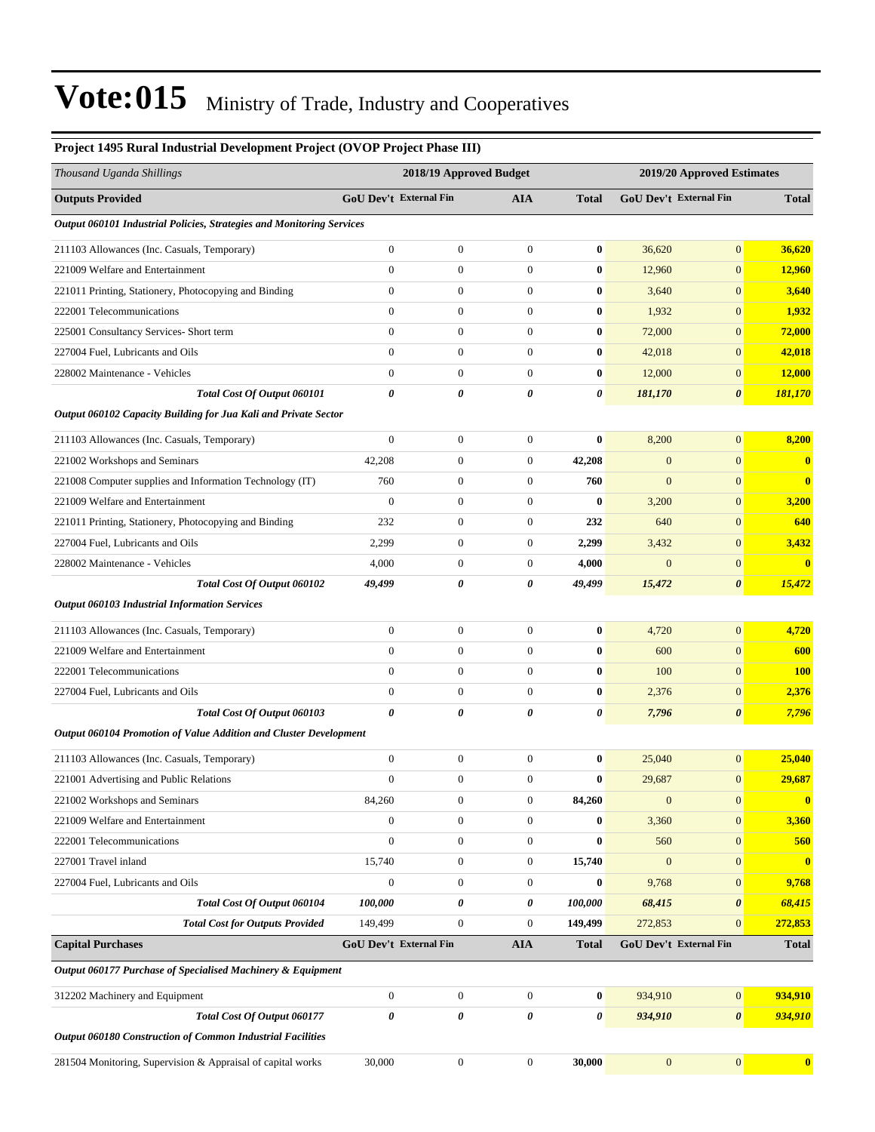| Project 1495 Rural Industrial Development Project (OVOP Project Phase III) |                        |                         |                  |                  |                            |                        |                  |  |  |
|----------------------------------------------------------------------------|------------------------|-------------------------|------------------|------------------|----------------------------|------------------------|------------------|--|--|
| Thousand Uganda Shillings                                                  |                        | 2018/19 Approved Budget |                  |                  | 2019/20 Approved Estimates |                        |                  |  |  |
| <b>Outputs Provided</b>                                                    | GoU Dev't External Fin |                         | AIA              | <b>Total</b>     |                            | GoU Dev't External Fin | <b>Total</b>     |  |  |
| Output 060101 Industrial Policies, Strategies and Monitoring Services      |                        |                         |                  |                  |                            |                        |                  |  |  |
| 211103 Allowances (Inc. Casuals, Temporary)                                | $\mathbf{0}$           | $\boldsymbol{0}$        | $\boldsymbol{0}$ | $\bf{0}$         | 36,620                     | $\boldsymbol{0}$       | 36,620           |  |  |
| 221009 Welfare and Entertainment                                           | $\mathbf{0}$           | $\mathbf{0}$            | $\overline{0}$   | $\bf{0}$         | 12,960                     | $\mathbf{0}$           | 12,960           |  |  |
| 221011 Printing, Stationery, Photocopying and Binding                      | $\overline{0}$         | $\boldsymbol{0}$        | $\boldsymbol{0}$ | $\bf{0}$         | 3,640                      | $\mathbf{0}$           | 3,640            |  |  |
| 222001 Telecommunications                                                  | $\boldsymbol{0}$       | $\boldsymbol{0}$        | $\boldsymbol{0}$ | $\bf{0}$         | 1,932                      | $\mathbf{0}$           | 1,932            |  |  |
| 225001 Consultancy Services- Short term                                    | $\overline{0}$         | $\boldsymbol{0}$        | $\boldsymbol{0}$ | $\bf{0}$         | 72,000                     | $\mathbf{0}$           | 72,000           |  |  |
| 227004 Fuel, Lubricants and Oils                                           | $\overline{0}$         | $\boldsymbol{0}$        | $\boldsymbol{0}$ | $\bf{0}$         | 42,018                     | $\mathbf{0}$           | 42,018           |  |  |
| 228002 Maintenance - Vehicles                                              | $\mathbf{0}$           | $\boldsymbol{0}$        | $\boldsymbol{0}$ | $\bf{0}$         | 12,000                     | $\mathbf{0}$           | 12,000           |  |  |
| Total Cost Of Output 060101                                                | $\boldsymbol{\theta}$  | 0                       | 0                | 0                | 181,170                    | $\boldsymbol{\theta}$  | 181,170          |  |  |
| Output 060102 Capacity Building for Jua Kali and Private Sector            |                        |                         |                  |                  |                            |                        |                  |  |  |
| 211103 Allowances (Inc. Casuals, Temporary)                                | $\mathbf{0}$           | $\boldsymbol{0}$        | $\boldsymbol{0}$ | $\bf{0}$         | 8,200                      | $\mathbf{0}$           | 8,200            |  |  |
| 221002 Workshops and Seminars                                              | 42,208                 | $\boldsymbol{0}$        | $\boldsymbol{0}$ | 42,208           | $\mathbf{0}$               | $\mathbf{0}$           | $\bf{0}$         |  |  |
| 221008 Computer supplies and Information Technology (IT)                   | 760                    | $\boldsymbol{0}$        | $\boldsymbol{0}$ | 760              | $\mathbf{0}$               | $\mathbf{0}$           | $\bf{0}$         |  |  |
| 221009 Welfare and Entertainment                                           | $\mathbf{0}$           | $\boldsymbol{0}$        | $\boldsymbol{0}$ | $\bf{0}$         | 3,200                      | $\mathbf{0}$           | 3,200            |  |  |
| 221011 Printing, Stationery, Photocopying and Binding                      | 232                    | $\boldsymbol{0}$        | $\boldsymbol{0}$ | 232              | 640                        | $\mathbf{0}$           | 640              |  |  |
| 227004 Fuel, Lubricants and Oils                                           | 2,299                  | $\boldsymbol{0}$        | 0                | 2,299            | 3,432                      | $\mathbf{0}$           | 3,432            |  |  |
| 228002 Maintenance - Vehicles                                              | 4,000                  | $\boldsymbol{0}$        | $\boldsymbol{0}$ | 4,000            | $\mathbf{0}$               | $\mathbf{0}$           | $\bf{0}$         |  |  |
| Total Cost Of Output 060102                                                | 49,499                 | 0                       | 0                | 49,499           | 15,472                     | $\boldsymbol{\theta}$  | 15,472           |  |  |
| <b>Output 060103 Industrial Information Services</b>                       |                        |                         |                  |                  |                            |                        |                  |  |  |
| 211103 Allowances (Inc. Casuals, Temporary)                                | $\boldsymbol{0}$       | $\boldsymbol{0}$        | $\boldsymbol{0}$ | $\bf{0}$         | 4,720                      | $\mathbf{0}$           | 4,720            |  |  |
| 221009 Welfare and Entertainment                                           | $\overline{0}$         | $\boldsymbol{0}$        | $\boldsymbol{0}$ | $\bf{0}$         | 600                        | $\mathbf{0}$           | 600              |  |  |
| 222001 Telecommunications                                                  | $\boldsymbol{0}$       | $\boldsymbol{0}$        | $\boldsymbol{0}$ | $\bf{0}$         | 100                        | $\mathbf{0}$           | <b>100</b>       |  |  |
| 227004 Fuel, Lubricants and Oils                                           | $\boldsymbol{0}$       | $\boldsymbol{0}$        | $\boldsymbol{0}$ | $\bf{0}$         | 2,376                      | $\mathbf{0}$           | 2,376            |  |  |
| Total Cost Of Output 060103                                                | $\boldsymbol{\theta}$  | 0                       | 0                | 0                | 7,796                      | $\boldsymbol{\theta}$  | 7,796            |  |  |
| Output 060104 Promotion of Value Addition and Cluster Development          |                        |                         |                  |                  |                            |                        |                  |  |  |
| 211103 Allowances (Inc. Casuals, Temporary)                                | $\boldsymbol{0}$       | $\boldsymbol{0}$        | $\boldsymbol{0}$ | $\bf{0}$         | 25,040                     | $\mathbf{0}$           | 25,040           |  |  |
| 221001 Advertising and Public Relations                                    | $\Omega$               | 0                       | $\boldsymbol{0}$ | $\bf{0}$         | 29,687                     | $\boldsymbol{0}$       | 29,687           |  |  |
| 221002 Workshops and Seminars                                              | 84,260                 | $\boldsymbol{0}$        | $\boldsymbol{0}$ | 84,260           | $\boldsymbol{0}$           | $\mathbf{0}$           | $\mathbf{0}$     |  |  |
| 221009 Welfare and Entertainment                                           | $\boldsymbol{0}$       | $\boldsymbol{0}$        | $\boldsymbol{0}$ | $\bf{0}$         | 3,360                      | $\mathbf{0}$           | 3,360            |  |  |
| 222001 Telecommunications                                                  | $\boldsymbol{0}$       | $\boldsymbol{0}$        | $\boldsymbol{0}$ | $\bf{0}$         | 560                        | $\mathbf{0}$           | 560              |  |  |
| 227001 Travel inland                                                       | 15,740                 | $\boldsymbol{0}$        | 0                | 15,740           | $\mathbf{0}$               | $\mathbf{0}$           | $\bf{0}$         |  |  |
| 227004 Fuel, Lubricants and Oils                                           | $\overline{0}$         | $\boldsymbol{0}$        | $\boldsymbol{0}$ | $\bf{0}$         | 9,768                      | $\mathbf{0}$           | 9,768            |  |  |
| Total Cost Of Output 060104                                                | 100,000                | 0                       | 0                | 100,000          | 68,415                     | $\boldsymbol{\theta}$  | 68,415           |  |  |
| <b>Total Cost for Outputs Provided</b>                                     | 149,499                | $\boldsymbol{0}$        | $\boldsymbol{0}$ | 149,499          | 272,853                    | $\mathbf{0}$           | 272,853          |  |  |
| <b>Capital Purchases</b>                                                   | GoU Dev't External Fin |                         | <b>AIA</b>       | <b>Total</b>     |                            | GoU Dev't External Fin | <b>Total</b>     |  |  |
| Output 060177 Purchase of Specialised Machinery & Equipment                |                        |                         |                  |                  |                            |                        |                  |  |  |
| 312202 Machinery and Equipment                                             | $\boldsymbol{0}$       | $\boldsymbol{0}$        | $\mathbf{0}$     | $\boldsymbol{0}$ | 934,910                    | $\mathbf{0}$           | 934,910          |  |  |
| Total Cost Of Output 060177                                                | $\pmb{\theta}$         | 0                       | 0                | 0                | 934,910                    | $\boldsymbol{\theta}$  | 934,910          |  |  |
| <b>Output 060180 Construction of Common Industrial Facilities</b>          |                        |                         |                  |                  |                            |                        |                  |  |  |
| 281504 Monitoring, Supervision & Appraisal of capital works                | 30,000                 | $\boldsymbol{0}$        | $\boldsymbol{0}$ | 30,000           | $\boldsymbol{0}$           | 0                      | $\boldsymbol{0}$ |  |  |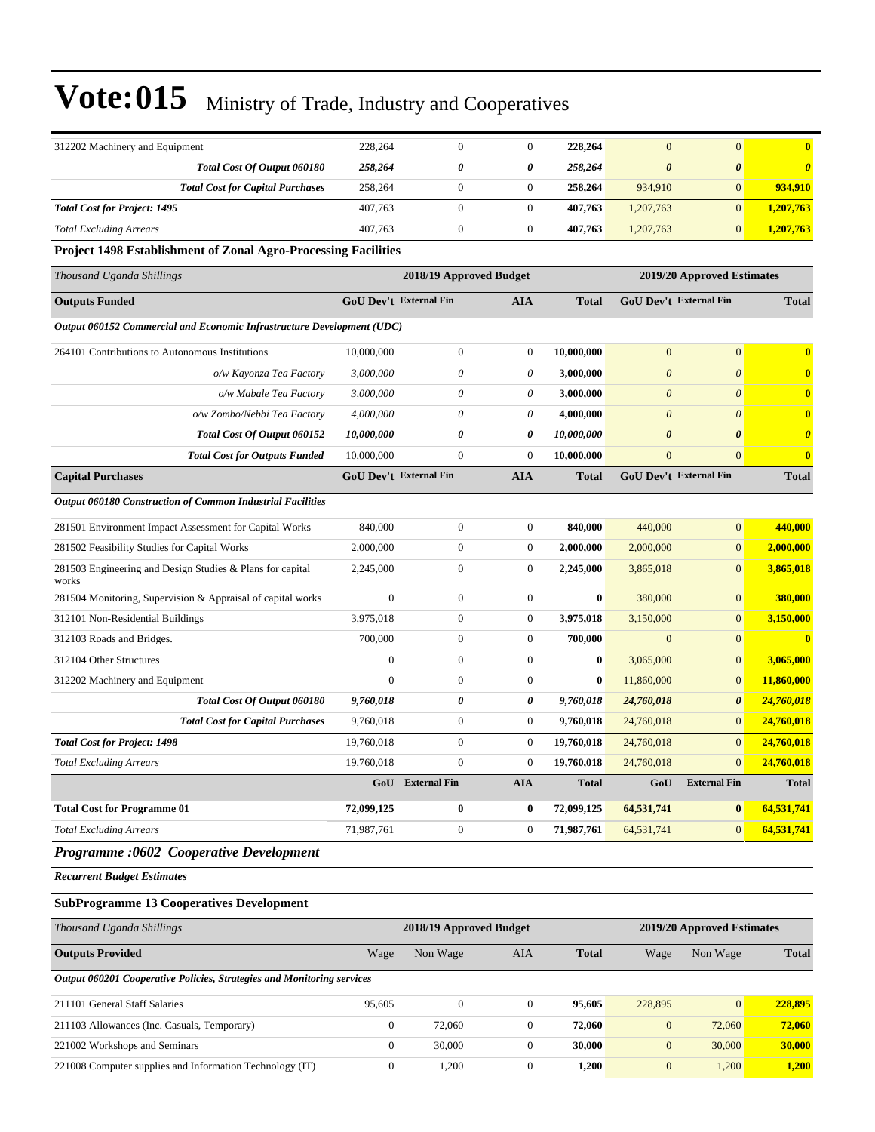| 312202 Machinery and Equipment                                         | 228,264                                              | $\overline{0}$          | $\overline{0}$   | 228,264      | $\overline{0}$        | $\overline{0}$             | $\overline{\mathbf{0}}$ |
|------------------------------------------------------------------------|------------------------------------------------------|-------------------------|------------------|--------------|-----------------------|----------------------------|-------------------------|
| Total Cost Of Output 060180                                            | 258,264                                              | 0                       | 0                | 258,264      | $\boldsymbol{\theta}$ | $\boldsymbol{\theta}$      | $\boldsymbol{\theta}$   |
| <b>Total Cost for Capital Purchases</b>                                | 258,264                                              | $\boldsymbol{0}$        | $\mathbf{0}$     | 258,264      | 934,910               | $\mathbf{0}$               | 934,910                 |
| <b>Total Cost for Project: 1495</b>                                    | 407,763                                              | $\overline{0}$          | $\mathbf{0}$     | 407,763      | 1,207,763             | $\overline{0}$             | 1,207,763               |
| <b>Total Excluding Arrears</b>                                         | 407,763                                              | $\boldsymbol{0}$        | $\mathbf{0}$     | 407,763      | 1,207,763             | $\overline{0}$             | 1,207,763               |
| <b>Project 1498 Establishment of Zonal Agro-Processing Facilities</b>  |                                                      |                         |                  |              |                       |                            |                         |
| Thousand Uganda Shillings                                              |                                                      | 2018/19 Approved Budget |                  |              |                       | 2019/20 Approved Estimates |                         |
| <b>Outputs Funded</b>                                                  | <b>GoU Dev't External Fin</b><br>AIA<br><b>Total</b> |                         |                  |              |                       | GoU Dev't External Fin     | <b>Total</b>            |
| Output 060152 Commercial and Economic Infrastructure Development (UDC) |                                                      |                         |                  |              |                       |                            |                         |
| 264101 Contributions to Autonomous Institutions                        | 10,000,000                                           | $\boldsymbol{0}$        | $\mathbf{0}$     | 10,000,000   | $\overline{0}$        | $\overline{0}$             | $\mathbf{0}$            |
| o/w Kayonza Tea Factory                                                | 3,000,000                                            | $\theta$                | 0                | 3,000,000    | $\boldsymbol{\theta}$ | $\theta$                   | $\mathbf{0}$            |
| o/w Mabale Tea Factory                                                 | 3,000,000                                            | $\theta$                | 0                | 3,000,000    | $\boldsymbol{\theta}$ | $\theta$                   | $\bf{0}$                |
| o/w Zombo/Nebbi Tea Factory                                            | 4,000,000                                            | $\theta$                | $\theta$         | 4,000,000    | $\theta$              | $\theta$                   | $\mathbf{0}$            |
| Total Cost Of Output 060152                                            | 10,000,000                                           | 0                       | 0                | 10,000,000   | $\boldsymbol{\theta}$ | $\boldsymbol{\theta}$      | $\boldsymbol{\theta}$   |
| <b>Total Cost for Outputs Funded</b>                                   | 10,000,000                                           | $\overline{0}$          | $\mathbf{0}$     | 10,000,000   | $\boldsymbol{0}$      | $\mathbf{0}$               | $\bf{0}$                |
| <b>Capital Purchases</b>                                               | <b>GoU Dev't External Fin</b>                        |                         | <b>AIA</b>       | <b>Total</b> |                       | GoU Dev't External Fin     | <b>Total</b>            |
| Output 060180 Construction of Common Industrial Facilities             |                                                      |                         |                  |              |                       |                            |                         |
| 281501 Environment Impact Assessment for Capital Works                 | 840,000                                              | $\boldsymbol{0}$        | $\overline{0}$   | 840,000      | 440,000               | $\overline{0}$             | 440,000                 |
| 281502 Feasibility Studies for Capital Works                           | 2,000,000                                            | $\boldsymbol{0}$        | $\boldsymbol{0}$ | 2,000,000    | 2,000,000             | $\mathbf{0}$               | 2,000,000               |
| 281503 Engineering and Design Studies & Plans for capital<br>works     | 2,245,000                                            | $\mathbf{0}$            | $\mathbf{0}$     | 2,245,000    | 3,865,018             | $\Omega$                   | 3,865,018               |
| 281504 Monitoring, Supervision & Appraisal of capital works            | $\theta$                                             | $\overline{0}$          | $\overline{0}$   | $\bf{0}$     | 380,000               | $\mathbf{0}$               | 380,000                 |
| 312101 Non-Residential Buildings                                       | 3,975,018                                            | $\boldsymbol{0}$        | $\boldsymbol{0}$ | 3,975,018    | 3,150,000             | $\mathbf{0}$               | 3,150,000               |
| 312103 Roads and Bridges.                                              | 700,000                                              | $\boldsymbol{0}$        | $\boldsymbol{0}$ | 700,000      | $\mathbf{0}$          | $\mathbf{0}$               | $\overline{\mathbf{0}}$ |
| 312104 Other Structures                                                | $\overline{0}$                                       | $\overline{0}$          | $\overline{0}$   | $\bf{0}$     | 3,065,000             | $\overline{0}$             | 3,065,000               |
| 312202 Machinery and Equipment                                         | $\theta$                                             | $\boldsymbol{0}$        | $\boldsymbol{0}$ | $\bf{0}$     | 11,860,000            | $\mathbf{0}$               | 11,860,000              |
| Total Cost Of Output 060180                                            | 9,760,018                                            | 0                       | 0                | 9,760,018    | 24,760,018            | $\boldsymbol{\theta}$      | 24,760,018              |
| <b>Total Cost for Capital Purchases</b>                                | 9,760,018                                            | $\overline{0}$          | $\overline{0}$   | 9,760,018    | 24,760,018            | $\mathbf{0}$               | 24,760,018              |
| <b>Total Cost for Project: 1498</b>                                    | 19,760,018                                           | $\overline{0}$          | $\mathbf{0}$     | 19,760,018   | 24,760,018            | $\mathbf{0}$               | 24,760,018              |
| <b>Total Excluding Arrears</b>                                         | 19,760,018                                           | $\overline{0}$          | $\boldsymbol{0}$ | 19,760,018   | 24,760,018            | $\mathbf{0}$               | 24,760,018              |
|                                                                        | GoU                                                  | <b>External Fin</b>     | <b>AIA</b>       | <b>Total</b> | GoU                   | <b>External Fin</b>        | <b>Total</b>            |
| <b>Total Cost for Programme 01</b>                                     | 72,099,125                                           | $\bf{0}$                | $\bf{0}$         | 72,099,125   | 64,531,741            | $\bf{0}$                   | 64,531,741              |
| <b>Total Excluding Arrears</b>                                         | 71,987,761                                           | $\boldsymbol{0}$        | $\boldsymbol{0}$ | 71,987,761   | 64,531,741            | $\mathbf{0}$               | 64,531,741              |
| Programme :0602 Cooperative Development                                |                                                      |                         |                  |              |                       |                            |                         |

*Recurrent Budget Estimates*

#### **SubProgramme 13 Cooperatives Development**

| Thousand Uganda Shillings                                              | 2018/19 Approved Budget<br>2019/20 Approved Estimates |          |                |              |              |                 |              |
|------------------------------------------------------------------------|-------------------------------------------------------|----------|----------------|--------------|--------------|-----------------|--------------|
| <b>Outputs Provided</b>                                                | Wage                                                  | Non Wage | AIA            | <b>Total</b> | Wage         | Non Wage        | <b>Total</b> |
| Output 060201 Cooperative Policies, Strategies and Monitoring services |                                                       |          |                |              |              |                 |              |
| 211101 General Staff Salaries                                          | 95,605                                                | $\Omega$ | $\Omega$       | 95.605       | 228,895      | $\vert 0 \vert$ | 228,895      |
| 211103 Allowances (Inc. Casuals, Temporary)                            | $\Omega$                                              | 72,060   | $\theta$       | 72,060       | $\mathbf{0}$ | 72,060          | 72,060       |
| 221002 Workshops and Seminars                                          | $\mathbf{0}$                                          | 30,000   |                | 30,000       | $\mathbf{0}$ | 30,000          | 30,000       |
| 221008 Computer supplies and Information Technology (IT)               | $\mathbf{0}$                                          | 1.200    | $\overline{0}$ | 1,200        | $\mathbf{0}$ | 1,200           | 1,200        |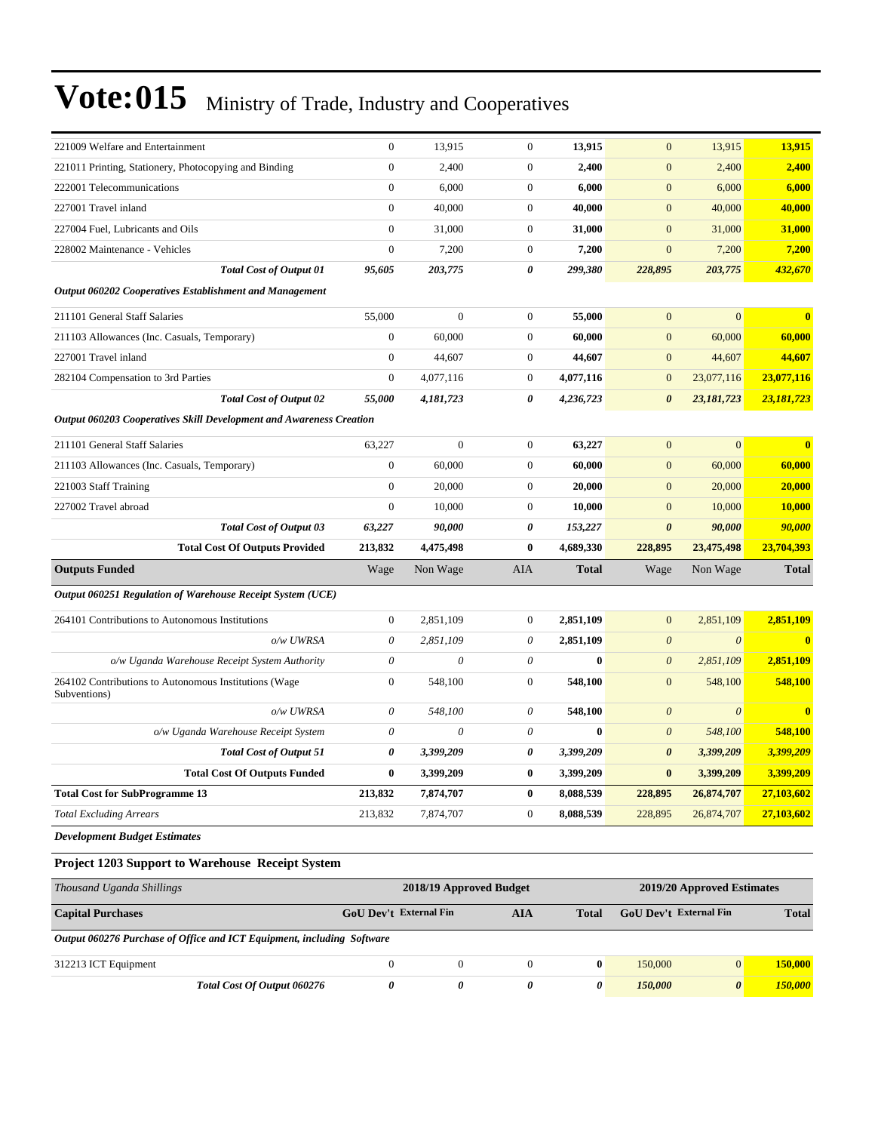| 221009 Welfare and Entertainment                                           | $\overline{0}$            | 13,915           | $\theta$              | 13,915       | $\overline{0}$            | 13,915                | 13,915                  |
|----------------------------------------------------------------------------|---------------------------|------------------|-----------------------|--------------|---------------------------|-----------------------|-------------------------|
| 221011 Printing, Stationery, Photocopying and Binding                      | $\boldsymbol{0}$          | 2,400            | $\boldsymbol{0}$      | 2,400        | $\mathbf{0}$              | 2,400                 | 2,400                   |
| 222001 Telecommunications                                                  | $\overline{0}$            | 6,000            | $\theta$              | 6,000        | $\overline{0}$            | 6,000                 | 6,000                   |
| 227001 Travel inland                                                       | $\overline{0}$            | 40,000           | $\theta$              | 40,000       | $\overline{0}$            | 40,000                | 40,000                  |
| 227004 Fuel, Lubricants and Oils                                           | $\boldsymbol{0}$          | 31,000           | $\boldsymbol{0}$      | 31,000       | $\boldsymbol{0}$          | 31,000                | 31,000                  |
| 228002 Maintenance - Vehicles                                              | $\boldsymbol{0}$          | 7,200            | $\mathbf{0}$          | 7,200        | $\mathbf{0}$              | 7,200                 | 7,200                   |
| <b>Total Cost of Output 01</b>                                             | 95,605                    | 203,775          | $\pmb{\theta}$        | 299,380      | 228,895                   | 203,775               | 432,670                 |
| <b>Output 060202 Cooperatives Establishment and Management</b>             |                           |                  |                       |              |                           |                       |                         |
| 211101 General Staff Salaries                                              | 55,000                    | $\mathbf{0}$     | $\mathbf{0}$          | 55,000       | $\mathbf{0}$              | $\overline{0}$        | $\mathbf{0}$            |
| 211103 Allowances (Inc. Casuals, Temporary)                                | $\overline{0}$            | 60,000           | $\theta$              | 60,000       | $\mathbf{0}$              | 60,000                | 60,000                  |
| 227001 Travel inland                                                       | $\overline{0}$            | 44,607           | $\boldsymbol{0}$      | 44,607       | $\mathbf{0}$              | 44,607                | 44,607                  |
| 282104 Compensation to 3rd Parties                                         | $\boldsymbol{0}$          | 4,077,116        | $\boldsymbol{0}$      | 4,077,116    | $\mathbf{0}$              | 23,077,116            | 23,077,116              |
| <b>Total Cost of Output 02</b>                                             | 55,000                    | 4,181,723        | $\boldsymbol{\theta}$ | 4,236,723    | $\boldsymbol{\theta}$     | 23,181,723            | 23,181,723              |
| <b>Output 060203 Cooperatives Skill Development and Awareness Creation</b> |                           |                  |                       |              |                           |                       |                         |
| 211101 General Staff Salaries                                              | 63,227                    | $\boldsymbol{0}$ | $\boldsymbol{0}$      | 63,227       | $\mathbf{0}$              | $\mathbf{0}$          | $\bf{0}$                |
| 211103 Allowances (Inc. Casuals, Temporary)                                | $\boldsymbol{0}$          | 60,000           | $\theta$              | 60,000       | $\mathbf{0}$              | 60,000                | 60,000                  |
| 221003 Staff Training                                                      | $\overline{0}$            | 20,000           | $\theta$              | 20,000       | $\mathbf{0}$              | 20,000                | 20,000                  |
| 227002 Travel abroad                                                       | $\overline{0}$            | 10,000           | $\theta$              | 10,000       | $\boldsymbol{0}$          | 10,000                | 10,000                  |
| <b>Total Cost of Output 03</b>                                             | 63,227                    | 90,000           | $\pmb{\theta}$        | 153,227      | $\boldsymbol{\theta}$     | 90,000                | 90,000                  |
| <b>Total Cost Of Outputs Provided</b>                                      | 213,832                   | 4,475,498        | $\bf{0}$              | 4,689,330    | 228,895                   | 23,475,498            | 23,704,393              |
| <b>Outputs Funded</b>                                                      | Wage                      | Non Wage         | AIA                   | <b>Total</b> | Wage                      | Non Wage              | <b>Total</b>            |
| Output 060251 Regulation of Warehouse Receipt System (UCE)                 |                           |                  |                       |              |                           |                       |                         |
| 264101 Contributions to Autonomous Institutions                            | $\boldsymbol{0}$          | 2,851,109        | $\mathbf{0}$          | 2,851,109    | $\overline{0}$            | 2,851,109             | 2,851,109               |
| o/w UWRSA                                                                  | $\theta$                  | 2,851,109        | $\theta$              | 2,851,109    | $\boldsymbol{\theta}$     | $\boldsymbol{\theta}$ | $\overline{\mathbf{0}}$ |
| o/w Uganda Warehouse Receipt System Authority                              | $\boldsymbol{\mathit{0}}$ | $\theta$         | $\theta$              | $\mathbf{0}$ | $\boldsymbol{\mathit{0}}$ | 2,851,109             | 2,851,109               |
| 264102 Contributions to Autonomous Institutions (Wage<br>Subventions)      | $\overline{0}$            | 548,100          | $\theta$              | 548,100      | $\mathbf{0}$              | 548,100               | 548,100                 |
| o/w UWRSA                                                                  | $\theta$                  | 548,100          | $\theta$              | 548,100      | $\theta$                  | $\theta$              | $\bf{0}$                |
| o/w Uganda Warehouse Receipt System                                        | $\theta$                  | $\theta$         | $\theta$              | $\bf{0}$     | $\boldsymbol{\theta}$     | 548,100               | 548,100                 |
| <b>Total Cost of Output 51</b>                                             | 0                         | 3,399,209        | 0                     | 3,399,209    | $\boldsymbol{\theta}$     | 3,399,209             | 3,399,209               |
| <b>Total Cost Of Outputs Funded</b>                                        | $\bf{0}$                  | 3,399,209        | $\bf{0}$              | 3,399,209    | $\bf{0}$                  | 3,399,209             | 3,399,209               |
| <b>Total Cost for SubProgramme 13</b>                                      | 213,832                   | 7,874,707        | $\bf{0}$              | 8,088,539    | 228,895                   | 26,874,707            | 27,103,602              |
| <b>Total Excluding Arrears</b>                                             | 213,832                   | 7,874,707        | $\mathbf{0}$          | 8,088,539    | 228,895                   | 26,874,707            | 27,103,602              |
| <b>Development Budget Estimates</b>                                        |                           |                  |                       |              |                           |                       |                         |

### **Project 1203 Support to Warehouse Receipt System**

| Thousand Uganda Shillings                                              |                               | 2018/19 Approved Budget | 2019/20 Approved Estimates |              |                               |                |              |
|------------------------------------------------------------------------|-------------------------------|-------------------------|----------------------------|--------------|-------------------------------|----------------|--------------|
| <b>Capital Purchases</b>                                               | <b>GoU</b> Dev't External Fin |                         | AIA                        | <b>Total</b> | <b>GoU</b> Dev't External Fin |                | <b>Total</b> |
| Output 060276 Purchase of Office and ICT Equipment, including Software |                               |                         |                            |              |                               |                |              |
| 312213 ICT Equipment                                                   | $\Omega$                      |                         |                            | $\mathbf{0}$ | 150,000                       | $\overline{0}$ | 150,000      |
| Total Cost Of Output 060276                                            |                               |                         |                            | 0            | 150,000                       | $\theta$       | 150,000      |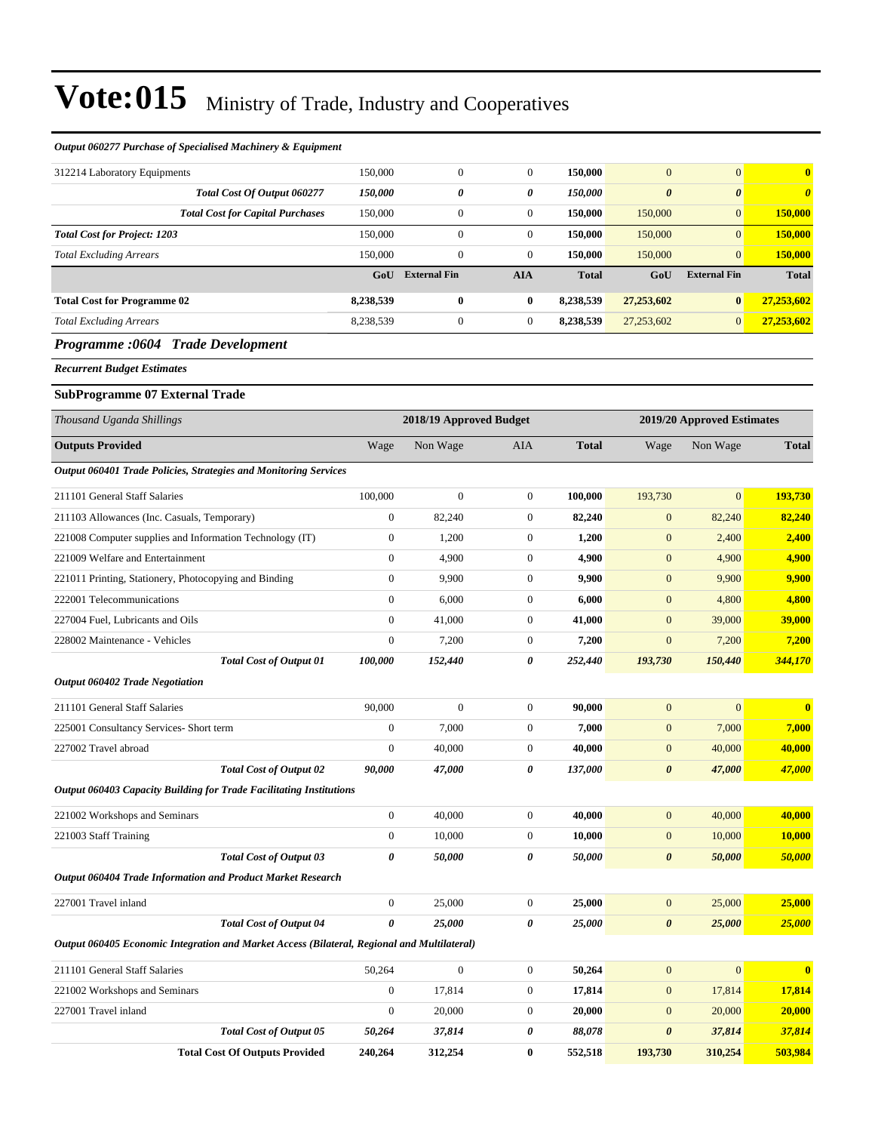#### *Output 060277 Purchase of Specialised Machinery & Equipment*

| 312214 Laboratory Equipments                                                                | 150,000          | $\boldsymbol{0}$        | $\boldsymbol{0}$ | 150,000      | $\mathbf{0}$          | $\overline{0}$             | $\bf{0}$              |
|---------------------------------------------------------------------------------------------|------------------|-------------------------|------------------|--------------|-----------------------|----------------------------|-----------------------|
| Total Cost Of Output 060277                                                                 | 150,000          | 0                       | 0                | 150,000      | $\boldsymbol{\theta}$ | $\boldsymbol{\theta}$      | $\boldsymbol{\theta}$ |
| <b>Total Cost for Capital Purchases</b>                                                     | 150,000          | $\boldsymbol{0}$        | $\mathbf{0}$     | 150,000      | 150,000               | $\mathbf{0}$               | 150,000               |
| <b>Total Cost for Project: 1203</b>                                                         | 150,000          | $\boldsymbol{0}$        | $\overline{0}$   | 150,000      | 150,000               | $\mathbf{0}$               | 150,000               |
| <b>Total Excluding Arrears</b>                                                              | 150,000          | $\boldsymbol{0}$        | $\overline{0}$   | 150,000      | 150,000               | $\overline{0}$             | 150,000               |
|                                                                                             | GoU              | <b>External Fin</b>     | <b>AIA</b>       | <b>Total</b> | GoU                   | <b>External Fin</b>        | <b>Total</b>          |
| <b>Total Cost for Programme 02</b>                                                          | 8,238,539        | $\bf{0}$                | 0                | 8,238,539    | 27,253,602            | $\bf{0}$                   | 27,253,602            |
| <b>Total Excluding Arrears</b>                                                              | 8,238,539        | $\boldsymbol{0}$        | $\mathbf{0}$     | 8,238,539    | 27,253,602            | $\mathbf{0}$               | 27,253,602            |
| Programme :0604 Trade Development                                                           |                  |                         |                  |              |                       |                            |                       |
| <b>Recurrent Budget Estimates</b>                                                           |                  |                         |                  |              |                       |                            |                       |
| <b>SubProgramme 07 External Trade</b>                                                       |                  |                         |                  |              |                       |                            |                       |
| Thousand Uganda Shillings                                                                   |                  | 2018/19 Approved Budget |                  |              |                       | 2019/20 Approved Estimates |                       |
| <b>Outputs Provided</b>                                                                     | Wage             | Non Wage                | <b>AIA</b>       | <b>Total</b> | Wage                  | Non Wage                   | <b>Total</b>          |
| Output 060401 Trade Policies, Strategies and Monitoring Services                            |                  |                         |                  |              |                       |                            |                       |
| 211101 General Staff Salaries                                                               | 100,000          | $\boldsymbol{0}$        | $\mathbf{0}$     | 100,000      | 193,730               | $\mathbf{0}$               | 193,730               |
| 211103 Allowances (Inc. Casuals, Temporary)                                                 | $\boldsymbol{0}$ | 82,240                  | $\boldsymbol{0}$ | 82,240       | $\mathbf{0}$          | 82,240                     | 82,240                |
| 221008 Computer supplies and Information Technology (IT)                                    | $\mathbf{0}$     | 1,200                   | $\mathbf{0}$     | 1,200        | $\boldsymbol{0}$      | 2,400                      | 2,400                 |
| 221009 Welfare and Entertainment                                                            | $\mathbf{0}$     | 4,900                   | $\boldsymbol{0}$ | 4,900        | $\mathbf{0}$          | 4,900                      | 4,900                 |
| 221011 Printing, Stationery, Photocopying and Binding                                       | $\mathbf{0}$     | 9,900                   | $\boldsymbol{0}$ | 9,900        | $\mathbf{0}$          | 9,900                      | 9,900                 |
| 222001 Telecommunications                                                                   | $\boldsymbol{0}$ | 6,000                   | 0                | 6,000        | $\mathbf{0}$          | 4,800                      | 4,800                 |
| 227004 Fuel, Lubricants and Oils                                                            | $\mathbf{0}$     | 41,000                  | $\boldsymbol{0}$ | 41,000       | $\mathbf{0}$          | 39,000                     | 39,000                |
| 228002 Maintenance - Vehicles                                                               | $\mathbf{0}$     | 7,200                   | $\mathbf{0}$     | 7,200        | $\mathbf{0}$          | 7,200                      | 7,200                 |
| <b>Total Cost of Output 01</b>                                                              | 100,000          | 152,440                 | 0                | 252,440      | 193,730               | 150,440                    | 344,170               |
| <b>Output 060402 Trade Negotiation</b>                                                      |                  |                         |                  |              |                       |                            |                       |
| 211101 General Staff Salaries                                                               | 90,000           | $\boldsymbol{0}$        | $\mathbf{0}$     | 90,000       | $\mathbf{0}$          | $\overline{0}$             | $\bf{0}$              |
| 225001 Consultancy Services- Short term                                                     | $\boldsymbol{0}$ | 7,000                   | $\boldsymbol{0}$ | 7,000        | $\mathbf{0}$          | 7,000                      | 7,000                 |
| 227002 Travel abroad                                                                        | $\mathbf{0}$     | 40,000                  | $\boldsymbol{0}$ | 40,000       | $\mathbf{0}$          | 40,000                     | 40,000                |
| <b>Total Cost of Output 02</b>                                                              | 90,000           | 47,000                  | 0                | 137,000      | $\boldsymbol{\theta}$ | 47,000                     | 47,000                |
| Output 060403 Capacity Building for Trade Facilitating Institutions                         |                  |                         |                  |              |                       |                            |                       |
| 221002 Workshops and Seminars                                                               | $\boldsymbol{0}$ | 40,000                  | $\boldsymbol{0}$ | 40,000       | $\boldsymbol{0}$      | 40,000                     | 40,000                |
| 221003 Staff Training                                                                       | $\boldsymbol{0}$ | 10,000                  | $\boldsymbol{0}$ | 10,000       | $\mathbf{0}$          | 10,000                     | <b>10,000</b>         |
| <b>Total Cost of Output 03</b>                                                              | 0                | 50,000                  | 0                | 50,000       | $\boldsymbol{\theta}$ | 50,000                     | 50,000                |
| Output 060404 Trade Information and Product Market Research                                 |                  |                         |                  |              |                       |                            |                       |
| 227001 Travel inland                                                                        | $\boldsymbol{0}$ | 25,000                  | $\boldsymbol{0}$ | 25,000       | $\boldsymbol{0}$      | 25,000                     | 25,000                |
| <b>Total Cost of Output 04</b>                                                              | $\pmb{\theta}$   | 25,000                  | 0                | 25,000       | $\pmb{\theta}$        | 25,000                     | 25,000                |
| Output 060405 Economic Integration and Market Access (Bilateral, Regional and Multilateral) |                  |                         |                  |              |                       |                            |                       |
| 211101 General Staff Salaries                                                               | 50,264           | $\boldsymbol{0}$        | $\boldsymbol{0}$ | 50,264       | $\boldsymbol{0}$      | $\boldsymbol{0}$           | $\mathbf{0}$          |
| 221002 Workshops and Seminars                                                               | $\boldsymbol{0}$ | 17,814                  | $\boldsymbol{0}$ | 17,814       | $\boldsymbol{0}$      | 17,814                     | 17,814                |
| 227001 Travel inland                                                                        | $\boldsymbol{0}$ | 20,000                  | $\boldsymbol{0}$ | 20,000       | $\mathbf{0}$          | 20,000                     | 20,000                |
| <b>Total Cost of Output 05</b>                                                              | 50,264           | 37,814                  | 0                | 88,078       | $\boldsymbol{\theta}$ | 37,814                     | 37,814                |
| <b>Total Cost Of Outputs Provided</b>                                                       | 240,264          | 312,254                 | $\boldsymbol{0}$ | 552,518      | 193,730               | 310,254                    | 503,984               |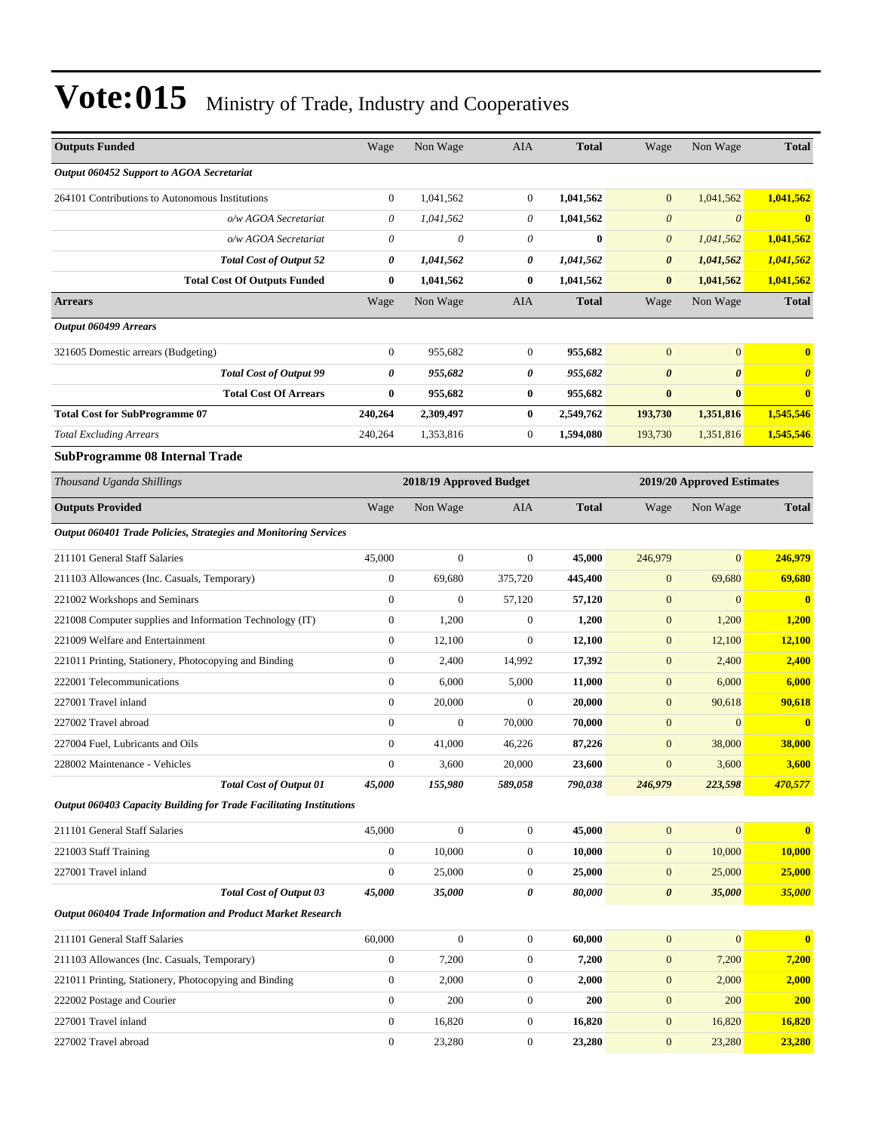| <b>Outputs Funded</b>                                               | Wage                      | Non Wage                  | AIA              | <b>Total</b> | Wage                  | Non Wage                   | <b>Total</b>          |
|---------------------------------------------------------------------|---------------------------|---------------------------|------------------|--------------|-----------------------|----------------------------|-----------------------|
| Output 060452 Support to AGOA Secretariat                           |                           |                           |                  |              |                       |                            |                       |
| 264101 Contributions to Autonomous Institutions                     | $\boldsymbol{0}$          | 1,041,562                 | $\overline{0}$   | 1,041,562    | $\mathbf{0}$          | 1,041,562                  | 1,041,562             |
| o/w AGOA Secretariat                                                | 0                         | 1,041,562                 | 0                | 1,041,562    | $\boldsymbol{\theta}$ | $\boldsymbol{\theta}$      | $\bf{0}$              |
| o/w AGOA Secretariat                                                | $\boldsymbol{\mathit{0}}$ | $\boldsymbol{\mathit{0}}$ | 0                | $\bf{0}$     | $\boldsymbol{\theta}$ | 1,041,562                  | 1,041,562             |
| <b>Total Cost of Output 52</b>                                      | 0                         | 1,041,562                 | 0                | 1,041,562    | $\boldsymbol{\theta}$ | 1,041,562                  | 1,041,562             |
| <b>Total Cost Of Outputs Funded</b>                                 | $\bf{0}$                  | 1.041.562                 | 0                | 1,041,562    | $\bf{0}$              | 1,041,562                  | 1,041,562             |
| <b>Arrears</b>                                                      | Wage                      | Non Wage                  | AIA              | <b>Total</b> | Wage                  | Non Wage                   | <b>Total</b>          |
| Output 060499 Arrears                                               |                           |                           |                  |              |                       |                            |                       |
| 321605 Domestic arrears (Budgeting)                                 | $\boldsymbol{0}$          | 955,682                   | $\boldsymbol{0}$ | 955,682      | $\mathbf{0}$          | $\boldsymbol{0}$           | $\bf{0}$              |
| <b>Total Cost of Output 99</b>                                      | 0                         | 955,682                   | 0                | 955,682      | $\boldsymbol{\theta}$ | $\boldsymbol{\theta}$      | $\boldsymbol{\theta}$ |
| <b>Total Cost Of Arrears</b>                                        | $\bf{0}$                  | 955,682                   | 0                | 955,682      | $\bf{0}$              | $\bf{0}$                   | $\bf{0}$              |
| <b>Total Cost for SubProgramme 07</b>                               | 240,264                   | 2,309,497                 | 0                | 2,549,762    | 193,730               | 1,351,816                  | 1,545,546             |
| <b>Total Excluding Arrears</b>                                      | 240,264                   | 1,353,816                 | $\boldsymbol{0}$ | 1,594,080    | 193,730               | 1,351,816                  | 1,545,546             |
| <b>SubProgramme 08 Internal Trade</b>                               |                           |                           |                  |              |                       |                            |                       |
| Thousand Uganda Shillings                                           |                           | 2018/19 Approved Budget   |                  |              |                       | 2019/20 Approved Estimates |                       |
| <b>Outputs Provided</b>                                             | Wage                      | Non Wage                  | <b>AIA</b>       | <b>Total</b> | Wage                  | Non Wage                   | <b>Total</b>          |
| Output 060401 Trade Policies, Strategies and Monitoring Services    |                           |                           |                  |              |                       |                            |                       |
| 211101 General Staff Salaries                                       | 45,000                    | $\boldsymbol{0}$          | $\boldsymbol{0}$ | 45,000       | 246,979               | $\boldsymbol{0}$           | 246,979               |
| 211103 Allowances (Inc. Casuals, Temporary)                         | $\mathbf{0}$              | 69,680                    | 375,720          | 445,400      | $\mathbf{0}$          | 69,680                     | 69,680                |
| 221002 Workshops and Seminars                                       | $\boldsymbol{0}$          | $\boldsymbol{0}$          | 57,120           | 57,120       | $\mathbf{0}$          | $\overline{0}$             | $\bf{0}$              |
| 221008 Computer supplies and Information Technology (IT)            | $\boldsymbol{0}$          | 1,200                     | $\boldsymbol{0}$ | 1,200        | $\mathbf{0}$          | 1,200                      | 1,200                 |
| 221009 Welfare and Entertainment                                    | $\mathbf{0}$              | 12,100                    | $\boldsymbol{0}$ | 12,100       | $\mathbf{0}$          | 12,100                     | 12,100                |
| 221011 Printing, Stationery, Photocopying and Binding               | $\boldsymbol{0}$          | 2,400                     | 14,992           | 17,392       | $\mathbf{0}$          | 2,400                      | 2,400                 |
| 222001 Telecommunications                                           | $\boldsymbol{0}$          | 6,000                     | 5,000            | 11,000       | $\mathbf{0}$          | 6,000                      | 6,000                 |
| 227001 Travel inland                                                | $\boldsymbol{0}$          | 20,000                    | $\boldsymbol{0}$ | 20,000       | $\mathbf{0}$          | 90,618                     | 90,618                |
| 227002 Travel abroad                                                | $\mathbf{0}$              | $\boldsymbol{0}$          | 70,000           | 70,000       | $\mathbf{0}$          | $\overline{0}$             | $\bf{0}$              |
| 227004 Fuel, Lubricants and Oils                                    | $\boldsymbol{0}$          | 41,000                    | 46,226           | 87,226       | $\mathbf{0}$          | 38,000                     | 38,000                |
| 228002 Maintenance - Vehicles                                       | $\mathbf{0}$              | 3,600                     | 20,000           | 23,600       | $\mathbf{0}$          | 3,600                      | 3,600                 |
| <b>Total Cost of Output 01</b>                                      | 45,000                    | 155,980                   | 589,058          | 790,038      | 246,979               | 223,598                    | 470,577               |
| Output 060403 Capacity Building for Trade Facilitating Institutions |                           |                           |                  |              |                       |                            |                       |
| 211101 General Staff Salaries                                       | 45,000                    | $\boldsymbol{0}$          | $\boldsymbol{0}$ | 45,000       | $\mathbf{0}$          | $\overline{0}$             | $\bf{0}$              |
| 221003 Staff Training                                               | $\boldsymbol{0}$          | 10,000                    | $\boldsymbol{0}$ | 10,000       | $\mathbf{0}$          | 10,000                     | 10,000                |
| 227001 Travel inland                                                | $\boldsymbol{0}$          | 25,000                    | 0                | 25,000       | $\mathbf{0}$          | 25,000                     | 25,000                |
| <b>Total Cost of Output 03</b>                                      | 45,000                    | 35,000                    | 0                | 80,000       | $\boldsymbol{\theta}$ | 35,000                     | 35,000                |
| Output 060404 Trade Information and Product Market Research         |                           |                           |                  |              |                       |                            |                       |
| 211101 General Staff Salaries                                       | 60,000                    | $\boldsymbol{0}$          | $\overline{0}$   | 60,000       | $\mathbf{0}$          | $\overline{0}$             | $\bf{0}$              |
| 211103 Allowances (Inc. Casuals, Temporary)                         | $\boldsymbol{0}$          | 7,200                     | $\boldsymbol{0}$ | 7,200        | $\mathbf{0}$          | 7,200                      | 7,200                 |
| 221011 Printing, Stationery, Photocopying and Binding               | $\boldsymbol{0}$          | 2,000                     | $\boldsymbol{0}$ | 2,000        | $\mathbf{0}$          | 2,000                      | 2,000                 |
| 222002 Postage and Courier                                          | $\boldsymbol{0}$          | 200                       | $\boldsymbol{0}$ | 200          | $\mathbf{0}$          | 200                        | <b>200</b>            |
| 227001 Travel inland                                                | $\boldsymbol{0}$          | 16,820                    | $\boldsymbol{0}$ | 16,820       | $\boldsymbol{0}$      | 16,820                     | <b>16,820</b>         |
| 227002 Travel abroad                                                | $\boldsymbol{0}$          | 23,280                    | $\boldsymbol{0}$ | 23,280       | $\boldsymbol{0}$      | 23,280                     | 23,280                |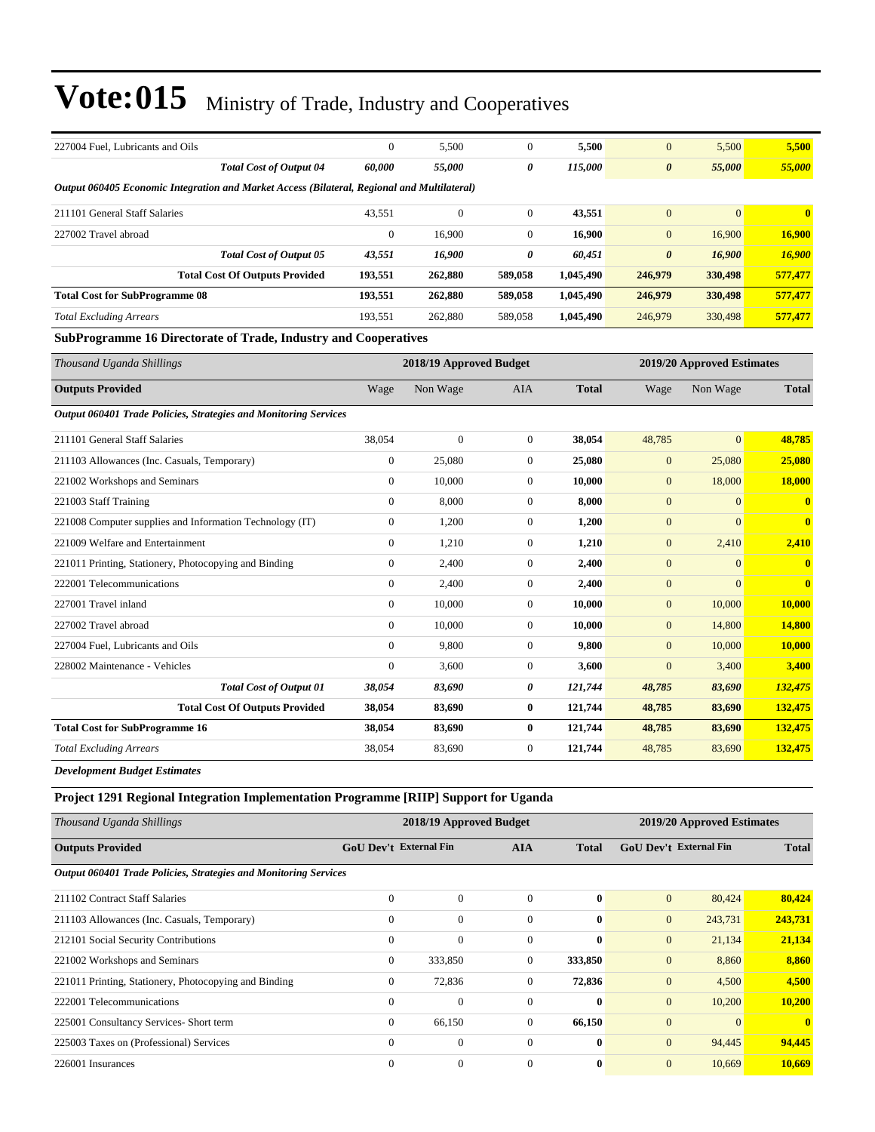| 227004 Fuel, Lubricants and Oils                                                            | $\mathbf{0}$     | 5,500                   | $\mathbf{0}$   | 5,500        | $\mathbf{0}$          | 5,500                      | 5,500                   |
|---------------------------------------------------------------------------------------------|------------------|-------------------------|----------------|--------------|-----------------------|----------------------------|-------------------------|
| <b>Total Cost of Output 04</b>                                                              | 60,000           | 55,000                  | 0              | 115,000      | $\boldsymbol{\theta}$ | 55,000                     | 55,000                  |
| Output 060405 Economic Integration and Market Access (Bilateral, Regional and Multilateral) |                  |                         |                |              |                       |                            |                         |
| 211101 General Staff Salaries                                                               | 43,551           | $\overline{0}$          | $\overline{0}$ | 43,551       | $\overline{0}$        | $\Omega$                   | $\mathbf{0}$            |
| 227002 Travel abroad                                                                        | $\overline{0}$   | 16,900                  | $\overline{0}$ | 16,900       | $\overline{0}$        | 16,900                     | 16,900                  |
| <b>Total Cost of Output 05</b>                                                              | 43,551           | 16,900                  | 0              | 60,451       | $\boldsymbol{\theta}$ | 16,900                     | 16,900                  |
| <b>Total Cost Of Outputs Provided</b>                                                       | 193,551          | 262,880                 | 589,058        | 1,045,490    | 246,979               | 330,498                    | 577,477                 |
| <b>Total Cost for SubProgramme 08</b>                                                       | 193,551          | 262,880                 | 589,058        | 1,045,490    | 246,979               | 330,498                    | 577,477                 |
| <b>Total Excluding Arrears</b>                                                              | 193,551          | 262,880                 | 589,058        | 1,045,490    | 246,979               | 330,498                    | 577,477                 |
| <b>SubProgramme 16 Directorate of Trade, Industry and Cooperatives</b>                      |                  |                         |                |              |                       |                            |                         |
| Thousand Uganda Shillings                                                                   |                  | 2018/19 Approved Budget |                |              |                       | 2019/20 Approved Estimates |                         |
| <b>Outputs Provided</b>                                                                     | Wage             | Non Wage                | <b>AIA</b>     | <b>Total</b> | Wage                  | Non Wage                   | <b>Total</b>            |
| Output 060401 Trade Policies, Strategies and Monitoring Services                            |                  |                         |                |              |                       |                            |                         |
| 211101 General Staff Salaries                                                               | 38,054           | $\boldsymbol{0}$        | $\mathbf{0}$   | 38,054       | 48,785                | $\overline{0}$             | 48,785                  |
| 211103 Allowances (Inc. Casuals, Temporary)                                                 | $\boldsymbol{0}$ | 25,080                  | $\overline{0}$ | 25,080       | $\mathbf{0}$          | 25,080                     | 25,080                  |
| 221002 Workshops and Seminars                                                               | $\boldsymbol{0}$ | 10,000                  | $\mathbf{0}$   | 10,000       | $\mathbf{0}$          | 18,000                     | 18,000                  |
| 221003 Staff Training                                                                       | $\overline{0}$   | 8,000                   | $\overline{0}$ | 8,000        | $\mathbf{0}$          | $\overline{0}$             | $\mathbf{0}$            |
| 221008 Computer supplies and Information Technology (IT)                                    | $\overline{0}$   | 1,200                   | $\overline{0}$ | 1,200        | $\overline{0}$        | $\Omega$                   | $\overline{\mathbf{0}}$ |
| 221009 Welfare and Entertainment                                                            | $\boldsymbol{0}$ | 1,210                   | $\mathbf{0}$   | 1,210        | $\mathbf{0}$          | 2,410                      | 2,410                   |
| 221011 Printing, Stationery, Photocopying and Binding                                       | $\boldsymbol{0}$ | 2,400                   | $\mathbf{0}$   | 2,400        | $\mathbf{0}$          | $\mathbf{0}$               | $\bf{0}$                |
| 222001 Telecommunications                                                                   | $\overline{0}$   | 2,400                   | $\overline{0}$ | 2,400        | $\mathbf{0}$          | $\overline{0}$             | $\overline{\mathbf{0}}$ |
| 227001 Travel inland                                                                        | $\overline{0}$   | 10,000                  | $\mathbf{0}$   | 10,000       | $\mathbf{0}$          | 10,000                     | <b>10,000</b>           |
| 227002 Travel abroad                                                                        | $\overline{0}$   | 10,000                  | $\overline{0}$ | 10,000       | $\overline{0}$        | 14,800                     | 14,800                  |
| 227004 Fuel, Lubricants and Oils                                                            | $\overline{0}$   | 9,800                   | $\overline{0}$ | 9,800        | $\overline{0}$        | 10,000                     | 10,000                  |
| 228002 Maintenance - Vehicles                                                               | $\boldsymbol{0}$ | 3,600                   | $\mathbf{0}$   | 3,600        | $\mathbf{0}$          | 3,400                      | 3,400                   |
| <b>Total Cost of Output 01</b>                                                              | 38,054           | 83,690                  | 0              | 121,744      | 48,785                | 83,690                     | 132,475                 |
| <b>Total Cost Of Outputs Provided</b>                                                       | 38,054           | 83,690                  | $\bf{0}$       | 121,744      | 48,785                | 83,690                     | 132,475                 |
| <b>Total Cost for SubProgramme 16</b>                                                       | 38,054           | 83,690                  | $\bf{0}$       | 121,744      | 48,785                | 83,690                     | 132,475                 |
| <b>Total Excluding Arrears</b>                                                              | 38,054           | 83,690                  | $\mathbf{0}$   | 121,744      | 48,785                | 83,690                     | 132,475                 |
| <b>Development Budget Estimates</b>                                                         |                  |                         |                |              |                       |                            |                         |

### **Project 1291 Regional Integration Implementation Programme [RIIP] Support for Uganda**

| Thousand Uganda Shillings                                               |                | 2018/19 Approved Budget                                     |          |                               | 2019/20 Approved Estimates |              |              |  |
|-------------------------------------------------------------------------|----------------|-------------------------------------------------------------|----------|-------------------------------|----------------------------|--------------|--------------|--|
| <b>Outputs Provided</b>                                                 |                | <b>GoU</b> Dev't External Fin<br><b>AIA</b><br><b>Total</b> |          | <b>GoU Dev't External Fin</b> |                            | <b>Total</b> |              |  |
| <b>Output 060401 Trade Policies, Strategies and Monitoring Services</b> |                |                                                             |          |                               |                            |              |              |  |
| 211102 Contract Staff Salaries                                          | $\Omega$       | $\theta$                                                    | $\Omega$ | $\mathbf{0}$                  | $\mathbf{0}$               | 80,424       | 80,424       |  |
| 211103 Allowances (Inc. Casuals, Temporary)                             | $\Omega$       | $\theta$                                                    | $\Omega$ | $\mathbf{0}$                  | $\mathbf{0}$               | 243,731      | 243,731      |  |
| 212101 Social Security Contributions                                    | $\Omega$       | $\theta$                                                    | $\Omega$ | $\mathbf{0}$                  | $\mathbf{0}$               | 21,134       | 21,134       |  |
| 221002 Workshops and Seminars                                           | $\Omega$       | 333,850                                                     | $\Omega$ | 333,850                       | $\mathbf{0}$               | 8,860        | 8,860        |  |
| 221011 Printing, Stationery, Photocopying and Binding                   | $\mathbf{0}$   | 72,836                                                      | 0        | 72,836                        | $\mathbf{0}$               | 4,500        | 4,500        |  |
| 222001 Telecommunications                                               | $\overline{0}$ | $\theta$                                                    | $\Omega$ | $\mathbf{0}$                  | $\mathbf{0}$               | 10,200       | 10,200       |  |
| 225001 Consultancy Services- Short term                                 | $\mathbf{0}$   | 66,150                                                      | 0        | 66,150                        | $\overline{0}$             | $\Omega$     | $\mathbf{0}$ |  |
| 225003 Taxes on (Professional) Services                                 | $\Omega$       | $\theta$                                                    | $\Omega$ | $\mathbf{0}$                  | $\mathbf{0}$               | 94,445       | 94,445       |  |
| 226001 Insurances                                                       | $\theta$       | $\theta$                                                    | $\Omega$ | $\mathbf{0}$                  | $\mathbf{0}$               | 10,669       | 10.669       |  |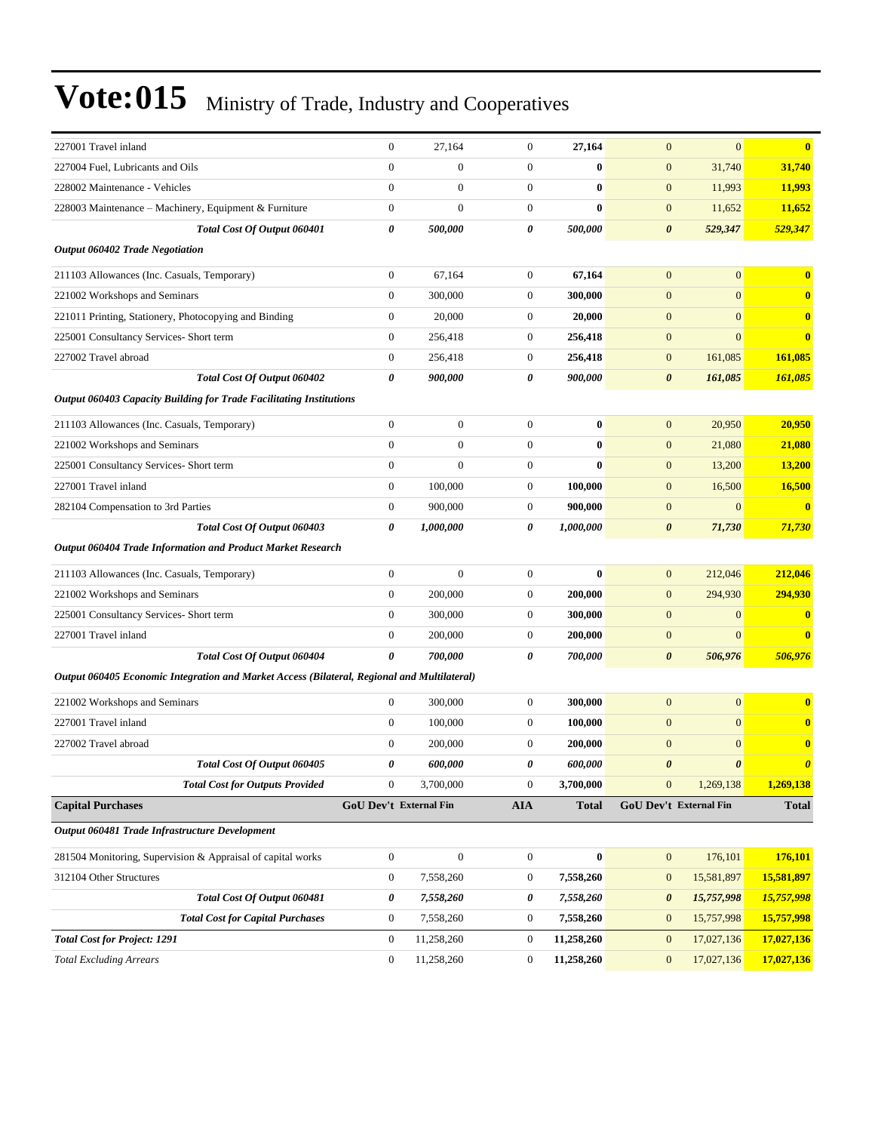| 227001 Travel inland                                                                        | $\boldsymbol{0}$ | 27,164                 | $\mathbf{0}$     | 27,164       | $\mathbf{0}$          | $\mathbf{0}$           | $\bf{0}$              |
|---------------------------------------------------------------------------------------------|------------------|------------------------|------------------|--------------|-----------------------|------------------------|-----------------------|
| 227004 Fuel, Lubricants and Oils                                                            | $\mathbf{0}$     | $\boldsymbol{0}$       | $\boldsymbol{0}$ | $\bf{0}$     | $\boldsymbol{0}$      | 31,740                 | 31,740                |
| 228002 Maintenance - Vehicles                                                               | $\mathbf{0}$     | $\boldsymbol{0}$       | $\mathbf{0}$     | $\bf{0}$     | $\boldsymbol{0}$      | 11,993                 | 11,993                |
| 228003 Maintenance - Machinery, Equipment & Furniture                                       | $\boldsymbol{0}$ | $\overline{0}$         | $\overline{0}$   | $\bf{0}$     | $\mathbf{0}$          | 11,652                 | 11,652                |
| Total Cost Of Output 060401                                                                 | 0                | 500,000                | 0                | 500,000      | $\boldsymbol{\theta}$ | 529,347                | 529,347               |
| <b>Output 060402 Trade Negotiation</b>                                                      |                  |                        |                  |              |                       |                        |                       |
| 211103 Allowances (Inc. Casuals, Temporary)                                                 | $\boldsymbol{0}$ | 67,164                 | $\mathbf{0}$     | 67,164       | $\mathbf{0}$          | $\mathbf{0}$           | $\bf{0}$              |
| 221002 Workshops and Seminars                                                               | $\mathbf{0}$     | 300,000                | $\boldsymbol{0}$ | 300,000      | $\mathbf{0}$          | $\overline{0}$         | $\bf{0}$              |
| 221011 Printing, Stationery, Photocopying and Binding                                       | $\mathbf{0}$     | 20,000                 | $\mathbf{0}$     | 20,000       | $\mathbf{0}$          | $\mathbf{0}$           | $\bf{0}$              |
| 225001 Consultancy Services- Short term                                                     | $\boldsymbol{0}$ | 256,418                | 0                | 256,418      | $\mathbf{0}$          | $\mathbf{0}$           | $\bf{0}$              |
| 227002 Travel abroad                                                                        | $\mathbf{0}$     | 256,418                | $\boldsymbol{0}$ | 256,418      | $\mathbf{0}$          | 161,085                | 161,085               |
| Total Cost Of Output 060402                                                                 | 0                | 900,000                | 0                | 900,000      | $\boldsymbol{\theta}$ | 161,085                | 161,085               |
| <b>Output 060403 Capacity Building for Trade Facilitating Institutions</b>                  |                  |                        |                  |              |                       |                        |                       |
| 211103 Allowances (Inc. Casuals, Temporary)                                                 | $\mathbf{0}$     | $\boldsymbol{0}$       | $\overline{0}$   | $\bf{0}$     | $\boldsymbol{0}$      | 20,950                 | 20,950                |
| 221002 Workshops and Seminars                                                               | $\mathbf{0}$     | $\boldsymbol{0}$       | $\mathbf{0}$     | $\bf{0}$     | $\boldsymbol{0}$      | 21,080                 | 21,080                |
| 225001 Consultancy Services- Short term                                                     | $\boldsymbol{0}$ | $\overline{0}$         | $\boldsymbol{0}$ | $\bf{0}$     | $\mathbf{0}$          | 13,200                 | 13,200                |
| 227001 Travel inland                                                                        | $\theta$         | 100,000                | $\boldsymbol{0}$ | 100,000      | $\mathbf{0}$          | 16,500                 | <b>16,500</b>         |
| 282104 Compensation to 3rd Parties                                                          | $\boldsymbol{0}$ | 900,000                | $\overline{0}$   | 900,000      | $\mathbf{0}$          | $\mathbf{0}$           | $\bf{0}$              |
| Total Cost Of Output 060403                                                                 | 0                | 1,000,000              | 0                | 1,000,000    | $\boldsymbol{\theta}$ | 71,730                 | 71,730                |
| Output 060404 Trade Information and Product Market Research                                 |                  |                        |                  |              |                       |                        |                       |
| 211103 Allowances (Inc. Casuals, Temporary)                                                 | $\mathbf{0}$     | $\mathbf{0}$           | $\mathbf{0}$     | $\bf{0}$     | $\mathbf{0}$          | 212,046                | 212,046               |
| 221002 Workshops and Seminars                                                               | $\boldsymbol{0}$ | 200,000                | $\boldsymbol{0}$ | 200,000      | $\mathbf{0}$          | 294,930                | 294,930               |
| 225001 Consultancy Services- Short term                                                     | $\theta$         | 300,000                | $\mathbf{0}$     | 300,000      | $\mathbf{0}$          | $\mathbf{0}$           | $\boldsymbol{0}$      |
| 227001 Travel inland                                                                        | $\boldsymbol{0}$ | 200,000                | 0                | 200,000      | $\mathbf{0}$          | $\boldsymbol{0}$       | $\bf{0}$              |
| Total Cost Of Output 060404                                                                 | $\theta$         | 700,000                | 0                | 700,000      | $\boldsymbol{\theta}$ | 506,976                | 506,976               |
| Output 060405 Economic Integration and Market Access (Bilateral, Regional and Multilateral) |                  |                        |                  |              |                       |                        |                       |
| 221002 Workshops and Seminars                                                               | $\mathbf{0}$     | 300,000                | $\mathbf{0}$     | 300,000      | $\boldsymbol{0}$      | $\mathbf{0}$           | $\bf{0}$              |
| 227001 Travel inland                                                                        | $\boldsymbol{0}$ | 100,000                | $\boldsymbol{0}$ | 100,000      | $\mathbf{0}$          | $\mathbf{0}$           | $\bf{0}$              |
| 227002 Travel abroad                                                                        | $\theta$         | 200,000                | $\boldsymbol{0}$ | 200,000      | $\mathbf{0}$          | $\mathbf{0}$           | $\bf{0}$              |
| Total Cost Of Output 060405                                                                 | 0                | 600,000                | 0                | 600,000      | $\boldsymbol{\theta}$ | 0                      | $\boldsymbol{\theta}$ |
| <b>Total Cost for Outputs Provided</b>                                                      | $\boldsymbol{0}$ | 3,700,000              | $\boldsymbol{0}$ | 3,700,000    | $\boldsymbol{0}$      | 1,269,138              | 1,269,138             |
| <b>Capital Purchases</b>                                                                    |                  | GoU Dev't External Fin | AIA              | <b>Total</b> |                       | GoU Dev't External Fin | <b>Total</b>          |
| Output 060481 Trade Infrastructure Development                                              |                  |                        |                  |              |                       |                        |                       |
| 281504 Monitoring, Supervision & Appraisal of capital works                                 | $\boldsymbol{0}$ | $\boldsymbol{0}$       | $\boldsymbol{0}$ | $\bf{0}$     | $\boldsymbol{0}$      | 176,101                | 176,101               |
| 312104 Other Structures                                                                     | $\boldsymbol{0}$ | 7,558,260              | $\boldsymbol{0}$ | 7,558,260    | $\boldsymbol{0}$      | 15,581,897             | 15,581,897            |
| Total Cost Of Output 060481                                                                 | $\pmb{\theta}$   | 7,558,260              | 0                | 7,558,260    | $\boldsymbol{\theta}$ | 15,757,998             | 15,757,998            |
| <b>Total Cost for Capital Purchases</b>                                                     | $\boldsymbol{0}$ | 7,558,260              | $\boldsymbol{0}$ | 7,558,260    | $\boldsymbol{0}$      | 15,757,998             | 15,757,998            |
| <b>Total Cost for Project: 1291</b>                                                         | $\boldsymbol{0}$ | 11,258,260             | $\boldsymbol{0}$ | 11,258,260   | $\boldsymbol{0}$      | 17,027,136             | 17,027,136            |
| <b>Total Excluding Arrears</b>                                                              | $\mathbf{0}$     | 11,258,260             | $\boldsymbol{0}$ | 11,258,260   | $\boldsymbol{0}$      | 17,027,136             | 17,027,136            |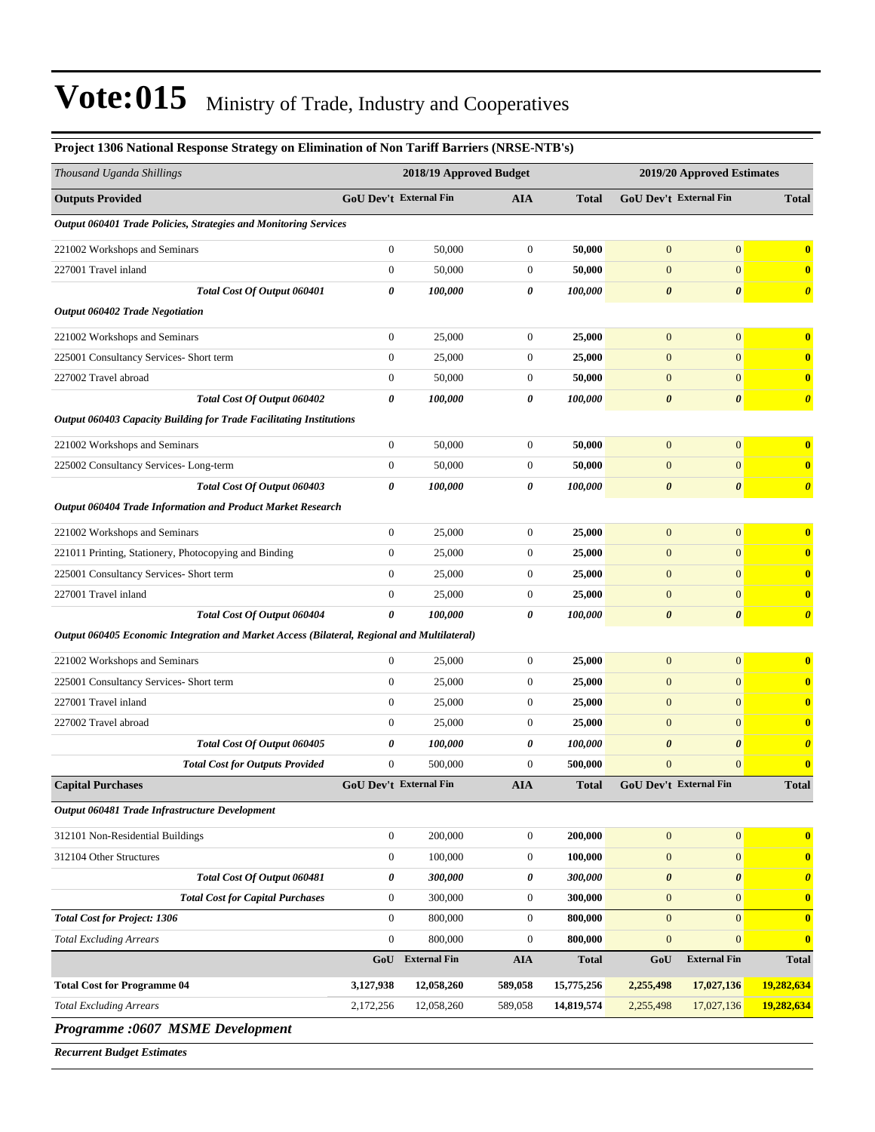| Project 1306 National Response Strategy on Elimination of Non Tariff Barriers (NRSE-NTB's)  |                         |                        |                  |              |                            |                        |                         |
|---------------------------------------------------------------------------------------------|-------------------------|------------------------|------------------|--------------|----------------------------|------------------------|-------------------------|
| Thousand Uganda Shillings                                                                   | 2018/19 Approved Budget |                        |                  |              | 2019/20 Approved Estimates |                        |                         |
| <b>Outputs Provided</b>                                                                     |                         | GoU Dev't External Fin | AIA              | <b>Total</b> |                            | GoU Dev't External Fin | <b>Total</b>            |
| Output 060401 Trade Policies, Strategies and Monitoring Services                            |                         |                        |                  |              |                            |                        |                         |
| 221002 Workshops and Seminars                                                               | $\boldsymbol{0}$        | 50,000                 | $\mathbf{0}$     | 50,000       | $\boldsymbol{0}$           | $\boldsymbol{0}$       | $\bf{0}$                |
| 227001 Travel inland                                                                        | $\boldsymbol{0}$        | 50,000                 | $\boldsymbol{0}$ | 50,000       | $\mathbf{0}$               | $\overline{0}$         | $\bf{0}$                |
| Total Cost Of Output 060401                                                                 | 0                       | 100,000                | 0                | 100,000      | $\boldsymbol{\theta}$      | $\boldsymbol{\theta}$  | $\boldsymbol{\theta}$   |
| <b>Output 060402 Trade Negotiation</b>                                                      |                         |                        |                  |              |                            |                        |                         |
| 221002 Workshops and Seminars                                                               | $\boldsymbol{0}$        | 25,000                 | $\mathbf{0}$     | 25,000       | $\mathbf{0}$               | $\mathbf{0}$           | $\bf{0}$                |
| 225001 Consultancy Services- Short term                                                     | $\boldsymbol{0}$        | 25,000                 | 0                | 25,000       | $\mathbf{0}$               | $\mathbf{0}$           | $\bf{0}$                |
| 227002 Travel abroad                                                                        | $\boldsymbol{0}$        | 50,000                 | 0                | 50,000       | $\mathbf{0}$               | $\mathbf{0}$           | $\bf{0}$                |
| Total Cost Of Output 060402                                                                 | 0                       | 100,000                | 0                | 100,000      | $\boldsymbol{\theta}$      | $\boldsymbol{\theta}$  | $\boldsymbol{\theta}$   |
| <b>Output 060403 Capacity Building for Trade Facilitating Institutions</b>                  |                         |                        |                  |              |                            |                        |                         |
| 221002 Workshops and Seminars                                                               | $\mathbf{0}$            | 50,000                 | $\mathbf{0}$     | 50,000       | $\boldsymbol{0}$           | $\mathbf{0}$           | $\overline{\mathbf{0}}$ |
| 225002 Consultancy Services-Long-term                                                       | $\boldsymbol{0}$        | 50,000                 | $\boldsymbol{0}$ | 50,000       | $\mathbf{0}$               | $\mathbf{0}$           | $\mathbf{0}$            |
| Total Cost Of Output 060403                                                                 | 0                       | 100,000                | 0                | 100,000      | $\boldsymbol{\theta}$      | $\boldsymbol{\theta}$  | $\boldsymbol{\theta}$   |
| Output 060404 Trade Information and Product Market Research                                 |                         |                        |                  |              |                            |                        |                         |
| 221002 Workshops and Seminars                                                               | $\mathbf{0}$            | 25,000                 | $\boldsymbol{0}$ | 25,000       | $\boldsymbol{0}$           | $\mathbf{0}$           | $\bf{0}$                |
| 221011 Printing, Stationery, Photocopying and Binding                                       | $\boldsymbol{0}$        | 25,000                 | $\boldsymbol{0}$ | 25,000       | $\boldsymbol{0}$           | $\mathbf{0}$           | $\mathbf{0}$            |
| 225001 Consultancy Services- Short term                                                     | $\mathbf{0}$            | 25,000                 | $\boldsymbol{0}$ | 25,000       | $\mathbf{0}$               | $\mathbf{0}$           | $\bf{0}$                |
| 227001 Travel inland                                                                        | $\boldsymbol{0}$        | 25,000                 | $\boldsymbol{0}$ | 25,000       | $\boldsymbol{0}$           | $\mathbf{0}$           | $\mathbf{0}$            |
| Total Cost Of Output 060404                                                                 | 0                       | 100,000                | 0                | 100,000      | $\boldsymbol{\theta}$      | 0                      | $\boldsymbol{\theta}$   |
| Output 060405 Economic Integration and Market Access (Bilateral, Regional and Multilateral) |                         |                        |                  |              |                            |                        |                         |
| 221002 Workshops and Seminars                                                               | $\mathbf{0}$            | 25,000                 | $\mathbf{0}$     | 25,000       | $\boldsymbol{0}$           | $\mathbf{0}$           | $\bf{0}$                |
| 225001 Consultancy Services- Short term                                                     | $\boldsymbol{0}$        | 25,000                 | $\boldsymbol{0}$ | 25,000       | $\boldsymbol{0}$           | $\mathbf{0}$           | $\bf{0}$                |
| 227001 Travel inland                                                                        | $\boldsymbol{0}$        | 25,000                 | $\boldsymbol{0}$ | 25,000       | $\mathbf{0}$               | $\mathbf{0}$           | $\bf{0}$                |
| 227002 Travel abroad                                                                        | $\boldsymbol{0}$        | 25,000                 | 0                | 25,000       | $\boldsymbol{0}$           | $\mathbf{0}$           | $\bf{0}$                |
| Total Cost Of Output 060405                                                                 | 0                       | 100,000                | 0                | 100,000      | $\boldsymbol{\theta}$      | 0                      | $\boldsymbol{\theta}$   |
| <b>Total Cost for Outputs Provided</b>                                                      | $\boldsymbol{0}$        | 500,000                | 0                | 500,000      | $\boldsymbol{0}$           | $\mathbf{0}$           | $\bf{0}$                |
| <b>Capital Purchases</b>                                                                    |                         | GoU Dev't External Fin | <b>AIA</b>       | <b>Total</b> |                            | GoU Dev't External Fin | <b>Total</b>            |
| Output 060481 Trade Infrastructure Development                                              |                         |                        |                  |              |                            |                        |                         |
| 312101 Non-Residential Buildings                                                            | $\mathbf{0}$            | 200,000                | $\mathbf{0}$     | 200,000      | $\boldsymbol{0}$           | $\mathbf{0}$           | $\bf{0}$                |
| 312104 Other Structures                                                                     | $\mathbf{0}$            | 100,000                | $\boldsymbol{0}$ | 100,000      | $\mathbf{0}$               | $\mathbf{0}$           | $\mathbf{0}$            |
| Total Cost Of Output 060481                                                                 | $\boldsymbol{\theta}$   | 300,000                | 0                | 300,000      | $\boldsymbol{\theta}$      | $\pmb{\theta}$         | $\boldsymbol{\theta}$   |
| <b>Total Cost for Capital Purchases</b>                                                     | $\mathbf{0}$            | 300,000                | $\mathbf{0}$     | 300,000      | $\mathbf{0}$               | $\mathbf{0}$           | $\bf{0}$                |
| <b>Total Cost for Project: 1306</b>                                                         | $\mathbf{0}$            | 800,000                | $\mathbf{0}$     | 800,000      | $\mathbf{0}$               | $\mathbf{0}$           | $\bf{0}$                |
| <b>Total Excluding Arrears</b>                                                              | $\mathbf{0}$            | 800,000                | $\boldsymbol{0}$ | 800,000      | $\boldsymbol{0}$           | $\mathbf{0}$           | $\bf{0}$                |
|                                                                                             | GoU                     | <b>External Fin</b>    | <b>AIA</b>       | <b>Total</b> | GoU                        | <b>External Fin</b>    | <b>Total</b>            |
| <b>Total Cost for Programme 04</b>                                                          | 3,127,938               | 12,058,260             | 589,058          | 15,775,256   | 2,255,498                  | 17,027,136             | 19,282,634              |
| <b>Total Excluding Arrears</b>                                                              | 2,172,256               | 12,058,260             | 589,058          | 14,819,574   | 2,255,498                  | 17,027,136             | 19,282,634              |
|                                                                                             |                         |                        |                  |              |                            |                        |                         |

*Programme :0607 MSME Development*

*Recurrent Budget Estimates*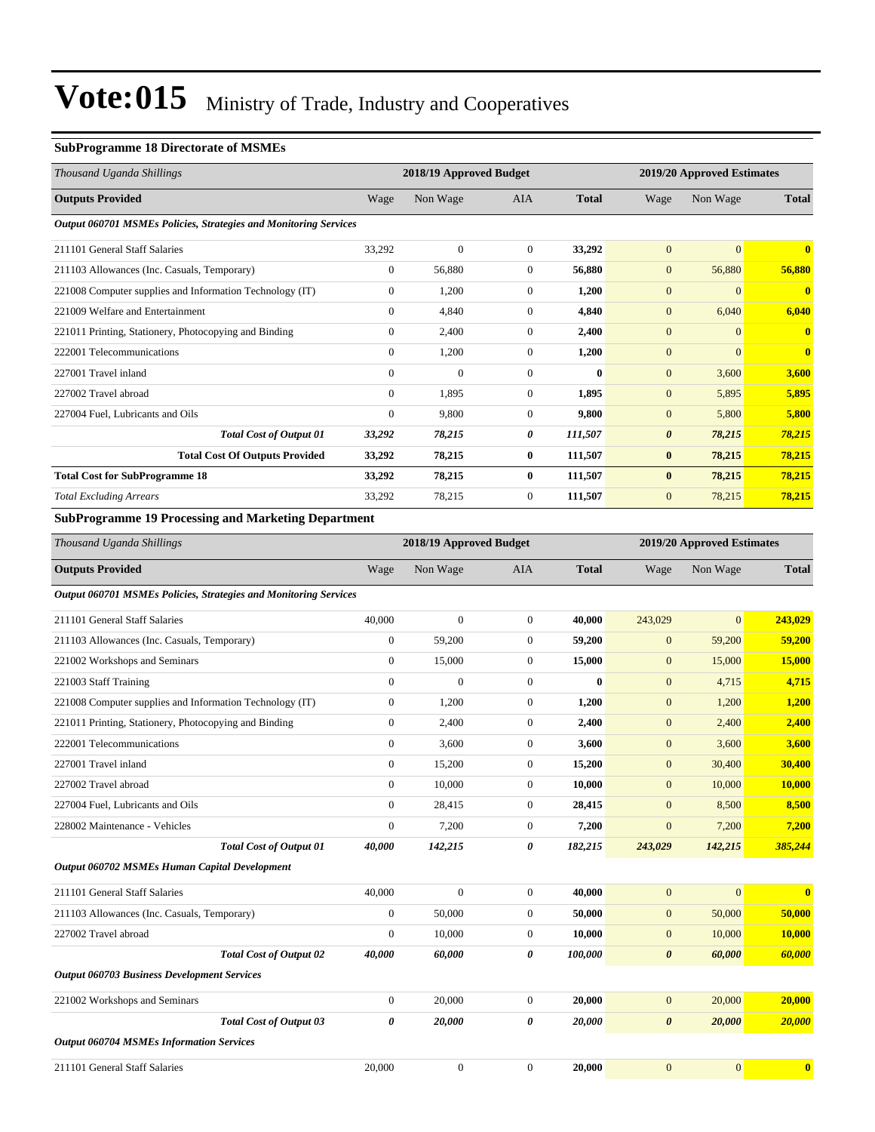### **SubProgramme 18 Directorate of MSMEs**

| Thousand Uganda Shillings                                        |                                                       |              | 2018/19 Approved Budget |                  |                | 2019/20 Approved Estimates |              |
|------------------------------------------------------------------|-------------------------------------------------------|--------------|-------------------------|------------------|----------------|----------------------------|--------------|
| <b>Outputs Provided</b>                                          | Wage                                                  | Non Wage     | <b>AIA</b>              | <b>Total</b>     | Wage           | Non Wage                   | <b>Total</b> |
| Output 060701 MSMEs Policies, Strategies and Monitoring Services |                                                       |              |                         |                  |                |                            |              |
| 211101 General Staff Salaries                                    | 33,292                                                | $\mathbf{0}$ | $\overline{0}$          | 33,292           | $\mathbf{0}$   | $\mathbf{0}$               | $\bf{0}$     |
| 211103 Allowances (Inc. Casuals, Temporary)                      | $\mathbf{0}$                                          | 56.880       | $\overline{0}$          | 56.880           | $\overline{0}$ | 56,880                     | 56,880       |
| 221008 Computer supplies and Information Technology (IT)         | $\mathbf{0}$                                          | 1,200        | $\overline{0}$          | 1,200            | $\mathbf{0}$   | $\overline{0}$             | $\bf{0}$     |
| 221009 Welfare and Entertainment                                 | $\Omega$                                              | 4,840        | $\Omega$                | 4,840            | $\mathbf{0}$   | 6,040                      | 6,040        |
| 221011 Printing, Stationery, Photocopying and Binding            | $\mathbf{0}$                                          | 2,400        | $\overline{0}$          | 2,400            | $\overline{0}$ | $\mathbf{0}$               | $\bf{0}$     |
| 222001 Telecommunications                                        | $\mathbf{0}$                                          | 1,200        | $\overline{0}$          | 1,200            | $\mathbf{0}$   | $\Omega$                   | $\mathbf{0}$ |
| 227001 Travel inland                                             | $\mathbf{0}$                                          | $\Omega$     | $\mathbf{0}$            | $\boldsymbol{0}$ | $\mathbf{0}$   | 3,600                      | 3,600        |
| 227002 Travel abroad                                             | $\mathbf{0}$                                          | 1.895        | $\overline{0}$          | 1.895            | $\overline{0}$ | 5,895                      | 5,895        |
| 227004 Fuel, Lubricants and Oils                                 | $\mathbf{0}$                                          | 9.800        | $\overline{0}$          | 9.800            | $\overline{0}$ | 5,800                      | 5,800        |
| <b>Total Cost of Output 01</b>                                   | 33,292                                                | 78,215       | 0                       | 111,507          | 0              | 78,215                     | 78,215       |
| <b>Total Cost Of Outputs Provided</b>                            | 33,292                                                | 78,215       | $\bf{0}$                | 111,507          | $\bf{0}$       | 78,215                     | 78,215       |
| <b>Total Cost for SubProgramme 18</b>                            | 33,292                                                | 78,215       | $\bf{0}$                | 111.507          | $\bf{0}$       | 78,215                     | 78,215       |
| <b>Total Excluding Arrears</b>                                   | 33,292                                                | 78,215       | $\overline{0}$          | 111,507          | $\overline{0}$ | 78,215                     | 78,215       |
| <b>SubProgramme 19 Processing and Marketing Department</b>       |                                                       |              |                         |                  |                |                            |              |
| Thousand Uganda Shillings                                        | 2018/19 Approved Budget<br>2019/20 Approved Estimates |              |                         |                  |                |                            |              |
| <b>Outputs Provided</b>                                          | Wage                                                  | Non Wage     | <b>AIA</b>              | <b>Total</b>     | Wage           | Non Wage                   | <b>Total</b> |
| Output 060701 MSMEs Policies, Strategies and Monitoring Services |                                                       |              |                         |                  |                |                            |              |

| 211101 General Staff Salaries                            | 40,000       | $\mathbf{0}$ | $\theta$     | 40.000   | 243,029        | $\mathbf{0}$ | 243,029 |
|----------------------------------------------------------|--------------|--------------|--------------|----------|----------------|--------------|---------|
| 211103 Allowances (Inc. Casuals, Temporary)              | $\theta$     | 59,200       | 0            | 59,200   | $\mathbf{0}$   | 59,200       | 59,200  |
| 221002 Workshops and Seminars                            | $\mathbf{0}$ | 15,000       | $\theta$     | 15,000   | $\overline{0}$ | 15,000       | 15,000  |
| 221003 Staff Training                                    | $\theta$     | $\mathbf{0}$ | $\theta$     | $\bf{0}$ | $\overline{0}$ | 4,715        | 4,715   |
| 221008 Computer supplies and Information Technology (IT) | $\theta$     | 1,200        | $\mathbf{0}$ | 1,200    | $\mathbf{0}$   | 1,200        | 1,200   |
| 221011 Printing, Stationery, Photocopying and Binding    | $\mathbf{0}$ | 2,400        | $\theta$     | 2,400    | $\mathbf{0}$   | 2,400        | 2,400   |
| 222001 Telecommunications                                | $\mathbf{0}$ | 3,600        | $\theta$     | 3,600    | $\overline{0}$ | 3,600        | 3,600   |
| 227001 Travel inland                                     | $\mathbf{0}$ | 15,200       | $\theta$     | 15,200   | $\overline{0}$ | 30,400       | 30,400  |
| 227002 Travel abroad                                     | $\mathbf{0}$ | 10,000       | $\theta$     | 10,000   | $\mathbf{0}$   | 10,000       | 10,000  |
| 227004 Fuel, Lubricants and Oils                         | $\mathbf{0}$ | 28,415       | $\theta$     | 28,415   | $\overline{0}$ | 8,500        | 8,500   |
| 228002 Maintenance - Vehicles                            | $\mathbf{0}$ | 7,200        | $\theta$     | 7,200    | $\overline{0}$ | 7,200        | 7,200   |
| <b>Total Cost of Output 01</b>                           | 40.000       | 142,215      | 0            | 182,215  | 243,029        | 142,215      | 385,244 |

*Output 060702 MSMEs Human Capital Development*

| 211101 General Staff Salaries                      |                                | 40,000   | $\mathbf{0}$ | $\mathbf{0}$ | 40,000  | $\mathbf{0}$          | $\Omega$     | $\mathbf{0}$ |
|----------------------------------------------------|--------------------------------|----------|--------------|--------------|---------|-----------------------|--------------|--------------|
| 211103 Allowances (Inc. Casuals, Temporary)        |                                | $\theta$ | 50,000       | $\mathbf{0}$ | 50,000  | $\mathbf{0}$          | 50,000       | 50,000       |
| 227002 Travel abroad                               |                                | $\theta$ | 10,000       | $\mathbf{0}$ | 10,000  | $\mathbf{0}$          | 10,000       | 10.000       |
|                                                    | <b>Total Cost of Output 02</b> | 40,000   | 60,000       | 0            | 100,000 | $\boldsymbol{\theta}$ | 60,000       | 60,000       |
| <b>Output 060703 Business Development Services</b> |                                |          |              |              |         |                       |              |              |
| 221002 Workshops and Seminars                      |                                | $\theta$ | 20,000       | $\mathbf{0}$ | 20,000  | $\mathbf{0}$          | 20,000       | 20,000       |
|                                                    | <b>Total Cost of Output 03</b> | 0        | 20,000       | 0            | 20,000  | $\boldsymbol{\theta}$ | 20,000       | 20,000       |
| <b>Output 060704 MSMEs Information Services</b>    |                                |          |              |              |         |                       |              |              |
| 211101 General Staff Salaries                      |                                | 20,000   | $\mathbf{0}$ | $\Omega$     | 20,000  | $\overline{0}$        | $\mathbf{0}$ | $\mathbf{0}$ |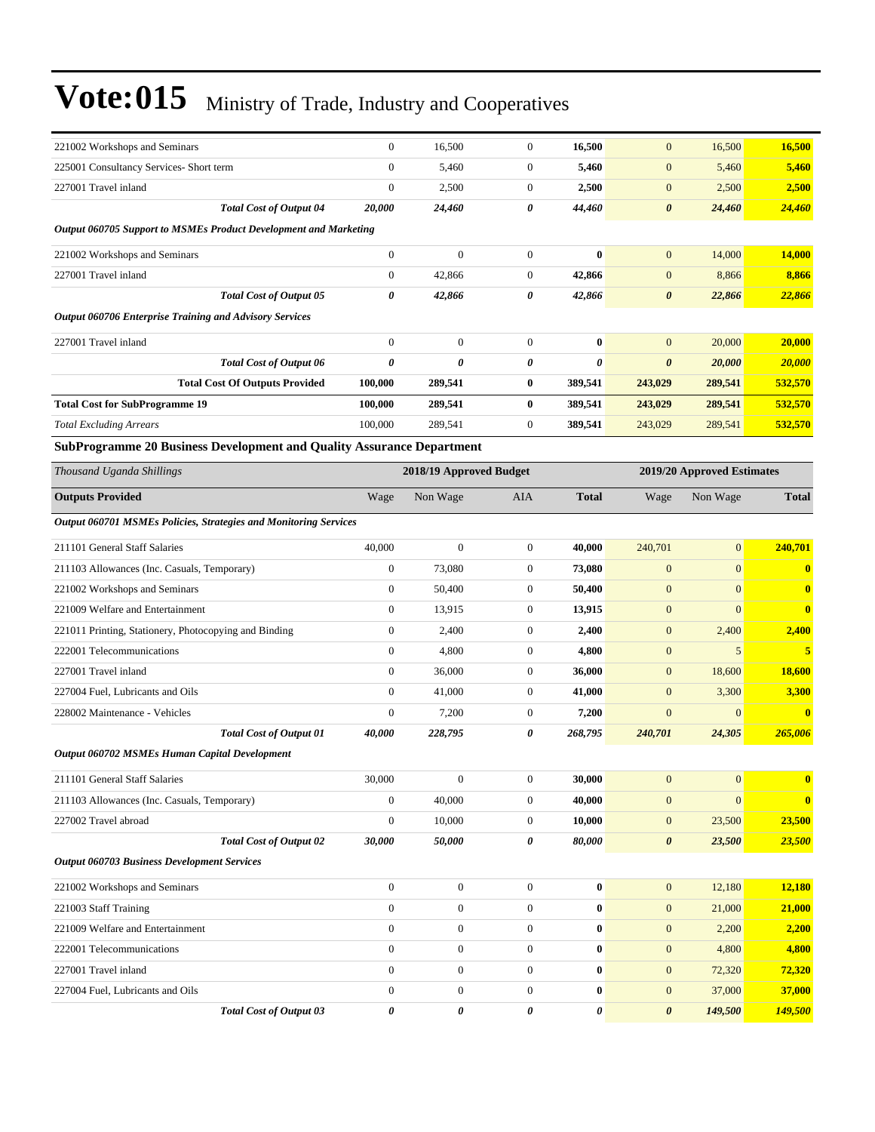| 221002 Workshops and Seminars                                                | $\overline{0}$        | 16,500                  | $\boldsymbol{0}$ | 16,500       | $\mathbf{0}$          | 16,500                     | 16,500         |
|------------------------------------------------------------------------------|-----------------------|-------------------------|------------------|--------------|-----------------------|----------------------------|----------------|
| 225001 Consultancy Services- Short term                                      | $\boldsymbol{0}$      | 5,460                   | $\boldsymbol{0}$ | 5,460        | $\mathbf{0}$          | 5,460                      | 5,460          |
| 227001 Travel inland                                                         | $\boldsymbol{0}$      | 2,500                   | $\boldsymbol{0}$ | 2,500        | $\mathbf{0}$          | 2,500                      | 2,500          |
| <b>Total Cost of Output 04</b>                                               | 20,000                | 24,460                  | 0                | 44,460       | $\boldsymbol{\theta}$ | 24,460                     | <b>24,460</b>  |
| Output 060705 Support to MSMEs Product Development and Marketing             |                       |                         |                  |              |                       |                            |                |
| 221002 Workshops and Seminars                                                | $\boldsymbol{0}$      | $\boldsymbol{0}$        | $\boldsymbol{0}$ | $\bf{0}$     | $\mathbf{0}$          | 14,000                     | 14,000         |
| 227001 Travel inland                                                         | $\boldsymbol{0}$      | 42,866                  | $\boldsymbol{0}$ | 42,866       | $\mathbf{0}$          | 8,866                      | 8,866          |
| <b>Total Cost of Output 05</b>                                               | 0                     | 42,866                  | 0                | 42,866       | $\boldsymbol{\theta}$ | 22,866                     | 22,866         |
| <b>Output 060706 Enterprise Training and Advisory Services</b>               |                       |                         |                  |              |                       |                            |                |
| 227001 Travel inland                                                         | $\boldsymbol{0}$      | $\boldsymbol{0}$        | $\boldsymbol{0}$ | $\bf{0}$     | $\mathbf{0}$          | 20,000                     | 20,000         |
| <b>Total Cost of Output 06</b>                                               | $\boldsymbol{\theta}$ | 0                       | 0                | 0            | $\boldsymbol{\theta}$ | 20,000                     | <b>20,000</b>  |
| <b>Total Cost Of Outputs Provided</b>                                        | 100,000               | 289,541                 | 0                | 389,541      | 243,029               | 289,541                    | 532,570        |
| <b>Total Cost for SubProgramme 19</b>                                        | 100,000               | 289,541                 | $\bf{0}$         | 389,541      | 243,029               | 289,541                    | 532,570        |
| <b>Total Excluding Arrears</b>                                               | 100,000               | 289,541                 | $\boldsymbol{0}$ | 389,541      | 243,029               | 289,541                    | 532,570        |
| <b>SubProgramme 20 Business Development and Quality Assurance Department</b> |                       |                         |                  |              |                       |                            |                |
| Thousand Uganda Shillings                                                    |                       | 2018/19 Approved Budget |                  |              |                       | 2019/20 Approved Estimates |                |
| <b>Outputs Provided</b>                                                      | Wage                  | Non Wage                | <b>AIA</b>       | <b>Total</b> | Wage                  | Non Wage                   | <b>Total</b>   |
| <b>Output 060701 MSMEs Policies, Strategies and Monitoring Services</b>      |                       |                         |                  |              |                       |                            |                |
| 211101 General Staff Salaries                                                | 40,000                | $\mathbf{0}$            | $\boldsymbol{0}$ | 40,000       | 240,701               | $\overline{0}$             | 240,701        |
| 211103 Allowances (Inc. Casuals, Temporary)                                  | $\boldsymbol{0}$      | 73,080                  | $\boldsymbol{0}$ | 73,080       | $\mathbf{0}$          | $\overline{0}$             | $\bf{0}$       |
| 221002 Workshops and Seminars                                                | $\boldsymbol{0}$      | 50,400                  | $\boldsymbol{0}$ | 50,400       | $\mathbf{0}$          | $\overline{0}$             | $\bf{0}$       |
| 221009 Welfare and Entertainment                                             | $\overline{0}$        | 13,915                  | $\boldsymbol{0}$ | 13,915       | $\mathbf{0}$          | $\overline{0}$             | $\bf{0}$       |
| 221011 Printing, Stationery, Photocopying and Binding                        | $\boldsymbol{0}$      | 2,400                   | $\boldsymbol{0}$ | 2,400        | $\mathbf{0}$          | 2,400                      | 2,400          |
| 222001 Telecommunications                                                    | $\boldsymbol{0}$      | 4,800                   | $\boldsymbol{0}$ | 4,800        | $\mathbf{0}$          | 5                          | 5 <sup>5</sup> |
| 227001 Travel inland                                                         | $\mathbf{0}$          | 36,000                  | $\boldsymbol{0}$ | 36,000       | $\mathbf{0}$          | 18,600                     | 18,600         |
| 227004 Fuel, Lubricants and Oils                                             | $\boldsymbol{0}$      | 41,000                  | $\boldsymbol{0}$ | 41,000       | $\mathbf{0}$          | 3,300                      | 3,300          |
| 228002 Maintenance - Vehicles                                                | $\boldsymbol{0}$      | 7,200                   | $\boldsymbol{0}$ | 7,200        | $\mathbf{0}$          | $\overline{0}$             | $\bf{0}$       |
| <b>Total Cost of Output 01</b>                                               | 40,000                | 228,795                 | 0                | 268,795      | 240,701               | 24,305                     | 265,006        |
| Output 060702 MSMEs Human Capital Development                                |                       |                         |                  |              |                       |                            |                |
| 211101 General Staff Salaries                                                | 30,000                | $\boldsymbol{0}$        | $\boldsymbol{0}$ | 30,000       | $\boldsymbol{0}$      | $\mathbf{0}$               | $\bf{0}$       |
| 211103 Allowances (Inc. Casuals, Temporary)                                  | $\boldsymbol{0}$      | 40,000                  | $\boldsymbol{0}$ | 40,000       | $\boldsymbol{0}$      | $\overline{0}$             | $\bf{0}$       |
| 227002 Travel abroad                                                         | $\boldsymbol{0}$      | 10,000                  | $\boldsymbol{0}$ | 10,000       | $\mathbf{0}$          | 23,500                     | 23,500         |
| <b>Total Cost of Output 02</b>                                               | 30,000                | 50,000                  | 0                | 80,000       | $\boldsymbol{\theta}$ | 23,500                     | <b>23,500</b>  |
| <b>Output 060703 Business Development Services</b>                           |                       |                         |                  |              |                       |                            |                |
| 221002 Workshops and Seminars                                                | $\overline{0}$        | $\boldsymbol{0}$        | $\boldsymbol{0}$ | $\bf{0}$     | $\mathbf{0}$          | 12,180                     | 12,180         |
| 221003 Staff Training                                                        | $\boldsymbol{0}$      | $\boldsymbol{0}$        | $\boldsymbol{0}$ | $\bf{0}$     | $\mathbf{0}$          | 21,000                     | 21,000         |
| 221009 Welfare and Entertainment                                             | $\overline{0}$        | $\boldsymbol{0}$        | $\boldsymbol{0}$ | $\bf{0}$     | $\mathbf{0}$          | 2,200                      | 2,200          |
| 222001 Telecommunications                                                    | $\overline{0}$        | $\boldsymbol{0}$        | $\boldsymbol{0}$ | $\bf{0}$     | $\mathbf{0}$          | 4,800                      | 4,800          |
| 227001 Travel inland                                                         | $\overline{0}$        | $\boldsymbol{0}$        | $\boldsymbol{0}$ | $\bf{0}$     | $\mathbf{0}$          | 72,320                     | 72,320         |
| 227004 Fuel, Lubricants and Oils                                             | $\overline{0}$        | $\boldsymbol{0}$        | $\boldsymbol{0}$ | $\bf{0}$     | $\mathbf{0}$          | 37,000                     | 37,000         |
| Total Cost of Output 03                                                      | 0                     | 0                       | 0                | 0            | $\pmb{\theta}$        | 149,500                    | 149,500        |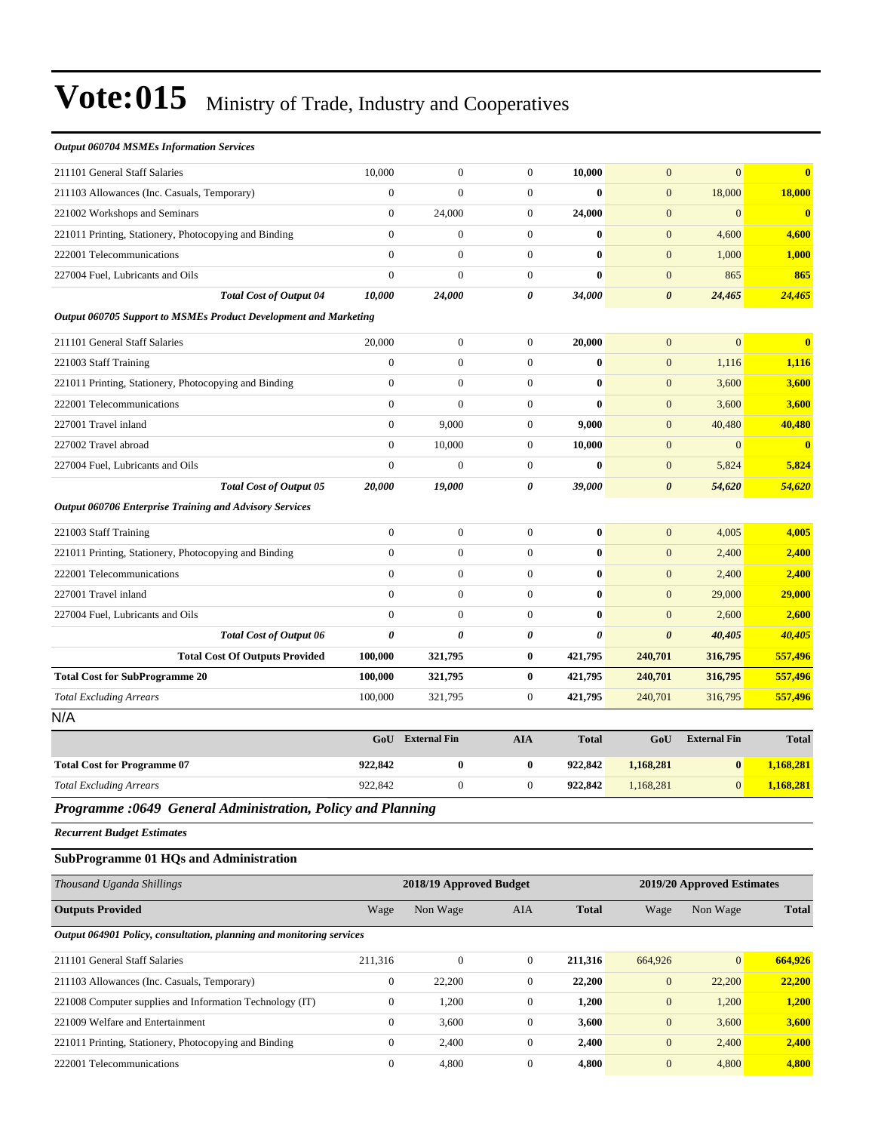| <b>Output 060704 MSMEs Information Services</b>                  |                  |                     |                       |                       |                       |                     |              |
|------------------------------------------------------------------|------------------|---------------------|-----------------------|-----------------------|-----------------------|---------------------|--------------|
| 211101 General Staff Salaries                                    | 10,000           | $\mathbf{0}$        | $\overline{0}$        | 10,000                | $\overline{0}$        | $\overline{0}$      | $\bf{0}$     |
| 211103 Allowances (Inc. Casuals, Temporary)                      | $\overline{0}$   | $\mathbf{0}$        | $\theta$              | $\bf{0}$              | $\overline{0}$        | 18,000              | 18,000       |
| 221002 Workshops and Seminars                                    | $\overline{0}$   | 24,000              | $\mathbf{0}$          | 24,000                | $\mathbf{0}$          | $\overline{0}$      | $\mathbf{0}$ |
| 221011 Printing, Stationery, Photocopying and Binding            | $\overline{0}$   | $\mathbf{0}$        | $\overline{0}$        | $\bf{0}$              | $\mathbf{0}$          | 4,600               | 4,600        |
| 222001 Telecommunications                                        | $\boldsymbol{0}$ | $\boldsymbol{0}$    | $\boldsymbol{0}$      | $\bf{0}$              | $\boldsymbol{0}$      | 1,000               | 1,000        |
| 227004 Fuel, Lubricants and Oils                                 | $\overline{0}$   | $\mathbf{0}$        | $\mathbf{0}$          | $\bf{0}$              | $\mathbf{0}$          | 865                 | 865          |
| Total Cost of Output 04                                          | 10,000           | 24,000              | $\boldsymbol{\theta}$ | 34,000                | $\boldsymbol{\theta}$ | 24,465              | 24,465       |
| Output 060705 Support to MSMEs Product Development and Marketing |                  |                     |                       |                       |                       |                     |              |
| 211101 General Staff Salaries                                    | 20,000           | $\mathbf{0}$        | $\theta$              | 20,000                | $\overline{0}$        | $\overline{0}$      | $\bf{0}$     |
| 221003 Staff Training                                            | $\overline{0}$   | $\mathbf{0}$        | $\theta$              | $\bf{0}$              | $\overline{0}$        | 1,116               | 1,116        |
| 221011 Printing, Stationery, Photocopying and Binding            | $\overline{0}$   | $\mathbf{0}$        | $\overline{0}$        | $\bf{0}$              | $\overline{0}$        | 3,600               | 3,600        |
| 222001 Telecommunications                                        | $\overline{0}$   | $\mathbf{0}$        | $\boldsymbol{0}$      | $\bf{0}$              | $\boldsymbol{0}$      | 3,600               | 3,600        |
| 227001 Travel inland                                             | $\overline{0}$   | 9,000               | $\mathbf{0}$          | 9,000                 | $\mathbf{0}$          | 40,480              | 40,480       |
| 227002 Travel abroad                                             | $\overline{0}$   | 10,000              | $\theta$              | 10,000                | $\overline{0}$        | $\overline{0}$      | $\mathbf{0}$ |
| 227004 Fuel, Lubricants and Oils                                 | $\boldsymbol{0}$ | $\mathbf{0}$        | $\boldsymbol{0}$      | $\bf{0}$              | $\overline{0}$        | 5,824               | 5,824        |
| <b>Total Cost of Output 05</b>                                   | 20,000           | 19,000              | $\boldsymbol{\theta}$ | 39,000                | $\boldsymbol{\theta}$ | 54,620              | 54,620       |
| <b>Output 060706 Enterprise Training and Advisory Services</b>   |                  |                     |                       |                       |                       |                     |              |
| 221003 Staff Training                                            | $\boldsymbol{0}$ | $\boldsymbol{0}$    | $\boldsymbol{0}$      | $\bf{0}$              | $\overline{0}$        | 4,005               | 4,005        |
| 221011 Printing, Stationery, Photocopying and Binding            | $\overline{0}$   | $\mathbf{0}$        | $\overline{0}$        | $\bf{0}$              | $\mathbf{0}$          | 2,400               | 2,400        |
| 222001 Telecommunications                                        | $\overline{0}$   | $\mathbf{0}$        | $\theta$              | $\bf{0}$              | $\mathbf{0}$          | 2,400               | 2,400        |
| 227001 Travel inland                                             | $\boldsymbol{0}$ | $\boldsymbol{0}$    | $\boldsymbol{0}$      | $\bf{0}$              | $\overline{0}$        | 29,000              | 29,000       |
| 227004 Fuel, Lubricants and Oils                                 | $\overline{0}$   | $\Omega$            | $\theta$              | $\bf{0}$              | $\boldsymbol{0}$      | 2,600               | 2,600        |
| <b>Total Cost of Output 06</b>                                   | 0                | $\theta$            | $\boldsymbol{\theta}$ | $\boldsymbol{\theta}$ | $\boldsymbol{\theta}$ | 40,405              | 40,405       |
| <b>Total Cost Of Outputs Provided</b>                            | 100,000          | 321,795             | $\bf{0}$              | 421,795               | 240,701               | 316,795             | 557,496      |
| <b>Total Cost for SubProgramme 20</b>                            | 100,000          | 321,795             | $\bf{0}$              | 421,795               | 240,701               | 316,795             | 557,496      |
| <b>Total Excluding Arrears</b>                                   | 100,000          | 321,795             | $\theta$              | 421,795               | 240,701               | 316,795             | 557,496      |
| N/A                                                              |                  |                     |                       |                       |                       |                     |              |
|                                                                  | GoU              | <b>External Fin</b> | <b>AIA</b>            | <b>Total</b>          | GoU                   | <b>External Fin</b> | <b>Total</b> |
| <b>Total Cost for Programme 07</b>                               | 922,842          | $\bf{0}$            | $\bf{0}$              | 922,842               | 1,168,281             | $\bf{0}$            | 1,168,281    |
| <b>Total Excluding Arrears</b>                                   | 922,842          | $\boldsymbol{0}$    | $\boldsymbol{0}$      | 922,842               | 1,168,281             | $\overline{0}$      | 1,168,281    |
| Programme :0649 General Administration, Policy and Planning      |                  |                     |                       |                       |                       |                     |              |
| <b>Recurrent Budget Estimates</b>                                |                  |                     |                       |                       |                       |                     |              |

#### **SubProgramme 01 HQs and Administration**

| Thousand Uganda Shillings                                            |              | 2018/19 Approved Budget |                | 2019/20 Approved Estimates |              |                |              |
|----------------------------------------------------------------------|--------------|-------------------------|----------------|----------------------------|--------------|----------------|--------------|
| <b>Outputs Provided</b>                                              | Wage         | Non Wage                | <b>AIA</b>     | <b>Total</b>               | Wage         | Non Wage       | <b>Total</b> |
| Output 064901 Policy, consultation, planning and monitoring services |              |                         |                |                            |              |                |              |
| 211101 General Staff Salaries                                        | 211.316      | $\Omega$                | $\overline{0}$ | 211.316                    | 664,926      | $\overline{0}$ | 664,926      |
| 211103 Allowances (Inc. Casuals, Temporary)                          | $\theta$     | 22,200                  | $\mathbf{0}$   | 22,200                     | $\mathbf{0}$ | 22,200         | 22,200       |
| 221008 Computer supplies and Information Technology (IT)             | $\mathbf{0}$ | 1,200                   | $\mathbf{0}$   | 1,200                      | $\mathbf{0}$ | 1,200          | 1,200        |
| 221009 Welfare and Entertainment                                     | $\mathbf{0}$ | 3,600                   | $\overline{0}$ | 3,600                      | $\mathbf{0}$ | 3,600          | 3,600        |
| 221011 Printing, Stationery, Photocopying and Binding                | $\mathbf{0}$ | 2,400                   | $\mathbf{0}$   | 2,400                      | $\mathbf{0}$ | 2,400          | 2,400        |
| 222001 Telecommunications                                            | $\mathbf{0}$ | 4,800                   | $\mathbf{0}$   | 4,800                      | $\mathbf{0}$ | 4,800          | 4,800        |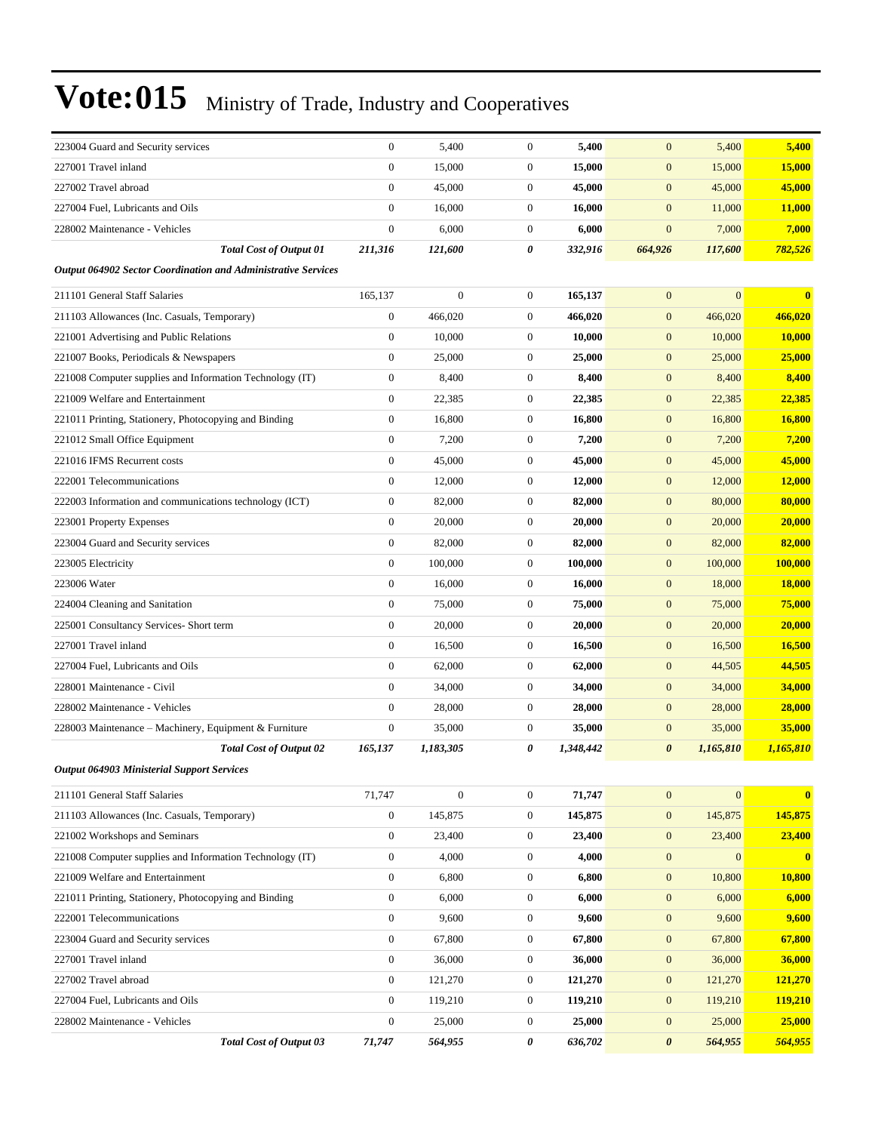| 223004 Guard and Security services                            | $\mathbf{0}$     | 5,400            | $\mathbf{0}$     | 5,400     | $\boldsymbol{0}$      | 5,400        | 5,400         |
|---------------------------------------------------------------|------------------|------------------|------------------|-----------|-----------------------|--------------|---------------|
| 227001 Travel inland                                          | $\mathbf{0}$     | 15,000           | $\mathbf{0}$     | 15,000    | $\boldsymbol{0}$      | 15,000       | <b>15,000</b> |
| 227002 Travel abroad                                          | $\mathbf{0}$     | 45,000           | $\boldsymbol{0}$ | 45,000    | $\boldsymbol{0}$      | 45,000       | 45,000        |
| 227004 Fuel, Lubricants and Oils                              | $\overline{0}$   | 16,000           | $\mathbf{0}$     | 16.000    | $\boldsymbol{0}$      | 11,000       | 11,000        |
| 228002 Maintenance - Vehicles                                 | $\overline{0}$   | 6,000            | $\mathbf{0}$     | 6,000     | $\mathbf{0}$          | 7,000        | 7,000         |
| <b>Total Cost of Output 01</b>                                | 211,316          | 121,600          | 0                | 332,916   | 664,926               | 117,600      | 782,526       |
| Output 064902 Sector Coordination and Administrative Services |                  |                  |                  |           |                       |              |               |
| 211101 General Staff Salaries                                 | 165,137          | $\overline{0}$   | $\mathbf{0}$     | 165,137   | $\boldsymbol{0}$      | $\mathbf{0}$ | $\bf{0}$      |
| 211103 Allowances (Inc. Casuals, Temporary)                   | $\overline{0}$   | 466,020          | $\mathbf{0}$     | 466,020   | $\boldsymbol{0}$      | 466,020      | 466,020       |
| 221001 Advertising and Public Relations                       | $\mathbf{0}$     | 10,000           | $\mathbf{0}$     | 10,000    | $\boldsymbol{0}$      | 10,000       | 10,000        |
| 221007 Books, Periodicals & Newspapers                        | $\mathbf{0}$     | 25,000           | $\mathbf{0}$     | 25,000    | $\mathbf{0}$          | 25,000       | 25,000        |
| 221008 Computer supplies and Information Technology (IT)      | $\boldsymbol{0}$ | 8,400            | $\mathbf{0}$     | 8,400     | $\boldsymbol{0}$      | 8,400        | 8,400         |
| 221009 Welfare and Entertainment                              | $\boldsymbol{0}$ | 22,385           | $\boldsymbol{0}$ | 22,385    | $\boldsymbol{0}$      | 22,385       | 22,385        |
| 221011 Printing, Stationery, Photocopying and Binding         | $\boldsymbol{0}$ | 16,800           | $\mathbf{0}$     | 16,800    | $\boldsymbol{0}$      | 16,800       | 16,800        |
| 221012 Small Office Equipment                                 | $\boldsymbol{0}$ | 7,200            | $\mathbf{0}$     | 7,200     | $\boldsymbol{0}$      | 7,200        | 7,200         |
| 221016 IFMS Recurrent costs                                   | $\mathbf{0}$     | 45,000           | $\mathbf{0}$     | 45,000    | $\boldsymbol{0}$      | 45,000       | 45,000        |
| 222001 Telecommunications                                     | $\boldsymbol{0}$ | 12,000           | $\mathbf{0}$     | 12,000    | $\boldsymbol{0}$      | 12,000       | 12,000        |
| 222003 Information and communications technology (ICT)        | $\boldsymbol{0}$ | 82,000           | $\mathbf{0}$     | 82,000    | $\boldsymbol{0}$      | 80,000       | 80,000        |
| 223001 Property Expenses                                      | $\overline{0}$   | 20,000           | $\mathbf{0}$     | 20,000    | $\boldsymbol{0}$      | 20,000       | 20,000        |
| 223004 Guard and Security services                            | $\boldsymbol{0}$ | 82,000           | $\mathbf{0}$     | 82,000    | $\boldsymbol{0}$      | 82,000       | 82,000        |
| 223005 Electricity                                            | $\mathbf{0}$     | 100,000          | $\mathbf{0}$     | 100,000   | $\mathbf{0}$          | 100,000      | 100,000       |
| 223006 Water                                                  | $\boldsymbol{0}$ | 16,000           | $\mathbf{0}$     | 16,000    | $\boldsymbol{0}$      | 18,000       | 18,000        |
| 224004 Cleaning and Sanitation                                | $\boldsymbol{0}$ | 75,000           | $\mathbf{0}$     | 75,000    | $\boldsymbol{0}$      | 75,000       | 75,000        |
| 225001 Consultancy Services- Short term                       | $\boldsymbol{0}$ | 20,000           | $\mathbf{0}$     | 20,000    | $\boldsymbol{0}$      | 20,000       | 20,000        |
| 227001 Travel inland                                          | $\boldsymbol{0}$ | 16,500           | $\mathbf{0}$     | 16,500    | $\boldsymbol{0}$      | 16,500       | 16,500        |
| 227004 Fuel, Lubricants and Oils                              | $\mathbf{0}$     | 62,000           | $\mathbf{0}$     | 62,000    | $\mathbf{0}$          | 44,505       | 44,505        |
| 228001 Maintenance - Civil                                    | $\boldsymbol{0}$ | 34,000           | $\mathbf{0}$     | 34,000    | $\boldsymbol{0}$      | 34,000       | 34,000        |
| 228002 Maintenance - Vehicles                                 | $\boldsymbol{0}$ | 28,000           | $\mathbf{0}$     | 28,000    | $\boldsymbol{0}$      | 28,000       | 28,000        |
| 228003 Maintenance - Machinery, Equipment & Furniture         | $\boldsymbol{0}$ | 35,000           | $\mathbf{0}$     | 35,000    | $\boldsymbol{0}$      | 35,000       | 35,000        |
| <b>Total Cost of Output 02</b>                                | 165,137          | 1,183,305        | 0                | 1,348,442 | 0                     | 1,165,810    | 1,165,810     |
| <b>Output 064903 Ministerial Support Services</b>             |                  |                  |                  |           |                       |              |               |
| 211101 General Staff Salaries                                 | 71,747           | $\boldsymbol{0}$ | $\mathbf{0}$     | 71,747    | $\mathbf{0}$          | $\mathbf{0}$ | $\bf{0}$      |
| 211103 Allowances (Inc. Casuals, Temporary)                   | $\overline{0}$   | 145,875          | $\mathbf{0}$     | 145,875   | $\mathbf{0}$          | 145,875      | 145,875       |
| 221002 Workshops and Seminars                                 | $\boldsymbol{0}$ | 23,400           | $\boldsymbol{0}$ | 23,400    | $\mathbf{0}$          | 23,400       | 23,400        |
| 221008 Computer supplies and Information Technology (IT)      | $\overline{0}$   | 4,000            | $\mathbf{0}$     | 4,000     | $\mathbf{0}$          | $\mathbf{0}$ | $\mathbf{0}$  |
| 221009 Welfare and Entertainment                              | $\overline{0}$   | 6,800            | $\boldsymbol{0}$ | 6,800     | $\mathbf{0}$          | 10,800       | 10,800        |
| 221011 Printing, Stationery, Photocopying and Binding         | $\mathbf{0}$     | 6,000            | $\boldsymbol{0}$ | 6,000     | $\mathbf{0}$          | 6,000        | 6,000         |
| 222001 Telecommunications                                     | $\overline{0}$   | 9,600            | $\boldsymbol{0}$ | 9,600     | $\mathbf{0}$          | 9,600        | 9,600         |
| 223004 Guard and Security services                            | $\overline{0}$   | 67,800           | $\boldsymbol{0}$ | 67,800    | $\mathbf{0}$          | 67,800       | 67,800        |
| 227001 Travel inland                                          | $\overline{0}$   | 36,000           | $\boldsymbol{0}$ | 36,000    | $\boldsymbol{0}$      | 36,000       | 36,000        |
| 227002 Travel abroad                                          | $\overline{0}$   | 121,270          | $\boldsymbol{0}$ | 121,270   | $\boldsymbol{0}$      | 121,270      | 121,270       |
| 227004 Fuel, Lubricants and Oils                              | $\mathbf{0}$     | 119,210          | $\boldsymbol{0}$ | 119,210   | $\mathbf{0}$          | 119,210      | 119,210       |
| 228002 Maintenance - Vehicles                                 | $\overline{0}$   | 25,000           | $\boldsymbol{0}$ | 25,000    | $\mathbf{0}$          | 25,000       | 25,000        |
| <b>Total Cost of Output 03</b>                                | 71,747           | 564,955          | 0                | 636,702   | $\boldsymbol{\theta}$ | 564,955      | 564,955       |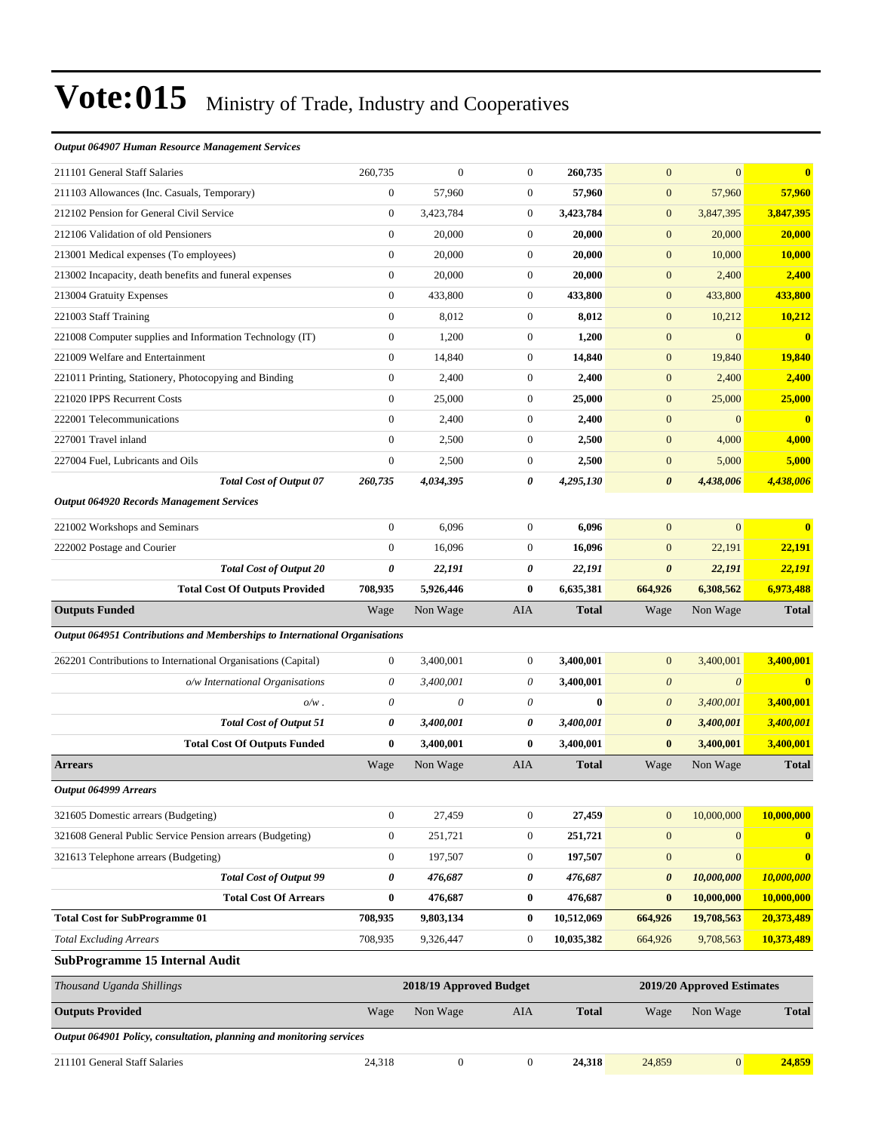#### *Output 064907 Human Resource Management Services*

| 211101 General Staff Salaries                                              | 260,735                                               | $\overline{0}$   | $\boldsymbol{0}$ | 260,735      | $\mathbf{0}$          | $\overline{0}$        | $\bf{0}$                |
|----------------------------------------------------------------------------|-------------------------------------------------------|------------------|------------------|--------------|-----------------------|-----------------------|-------------------------|
| 211103 Allowances (Inc. Casuals, Temporary)                                | $\boldsymbol{0}$                                      | 57,960           | $\boldsymbol{0}$ | 57,960       | $\boldsymbol{0}$      | 57,960                | 57,960                  |
| 212102 Pension for General Civil Service                                   | $\mathbf{0}$                                          | 3,423,784        | $\overline{0}$   | 3,423,784    | $\boldsymbol{0}$      | 3,847,395             | 3,847,395               |
| 212106 Validation of old Pensioners                                        | $\theta$                                              | 20,000           | $\boldsymbol{0}$ | 20,000       | $\boldsymbol{0}$      | 20,000                | 20,000                  |
| 213001 Medical expenses (To employees)                                     | $\boldsymbol{0}$                                      | 20,000           | $\boldsymbol{0}$ | 20,000       | $\mathbf{0}$          | 10,000                | 10,000                  |
| 213002 Incapacity, death benefits and funeral expenses                     | $\boldsymbol{0}$                                      | 20,000           | $\boldsymbol{0}$ | 20,000       | $\boldsymbol{0}$      | 2,400                 | 2,400                   |
| 213004 Gratuity Expenses                                                   | $\boldsymbol{0}$                                      | 433,800          | $\boldsymbol{0}$ | 433,800      | $\boldsymbol{0}$      | 433,800               | 433,800                 |
| 221003 Staff Training                                                      | $\boldsymbol{0}$                                      | 8,012            | $\boldsymbol{0}$ | 8,012        | $\mathbf{0}$          | 10,212                | 10,212                  |
| 221008 Computer supplies and Information Technology (IT)                   | $\mathbf{0}$                                          | 1,200            | $\boldsymbol{0}$ | 1,200        | $\mathbf{0}$          | $\mathbf{0}$          | $\overline{\mathbf{0}}$ |
| 221009 Welfare and Entertainment                                           | $\mathbf{0}$                                          | 14,840           | $\boldsymbol{0}$ | 14,840       | $\mathbf{0}$          | 19,840                | <b>19,840</b>           |
| 221011 Printing, Stationery, Photocopying and Binding                      | $\boldsymbol{0}$                                      | 2,400            | $\boldsymbol{0}$ | 2,400        | $\boldsymbol{0}$      | 2,400                 | 2,400                   |
| 221020 IPPS Recurrent Costs                                                | $\mathbf{0}$                                          | 25,000           | $\boldsymbol{0}$ | 25,000       | $\boldsymbol{0}$      | 25,000                | 25,000                  |
| 222001 Telecommunications                                                  | $\boldsymbol{0}$                                      | 2,400            | $\boldsymbol{0}$ | 2,400        | $\boldsymbol{0}$      | $\mathbf{0}$          | $\bf{0}$                |
| 227001 Travel inland                                                       | $\mathbf{0}$                                          | 2,500            | $\boldsymbol{0}$ | 2,500        | $\boldsymbol{0}$      | 4,000                 | 4,000                   |
| 227004 Fuel, Lubricants and Oils                                           | $\boldsymbol{0}$                                      | 2,500            | $\boldsymbol{0}$ | 2,500        | $\boldsymbol{0}$      | 5,000                 | 5,000                   |
| <b>Total Cost of Output 07</b>                                             | 260,735                                               | 4,034,395        | 0                | 4,295,130    | $\boldsymbol{\theta}$ | 4,438,006             | 4,438,006               |
| <b>Output 064920 Records Management Services</b>                           |                                                       |                  |                  |              |                       |                       |                         |
| 221002 Workshops and Seminars                                              | $\mathbf{0}$                                          | 6,096            | $\overline{0}$   | 6,096        | $\mathbf{0}$          | $\mathbf{0}$          | $\mathbf{0}$            |
| 222002 Postage and Courier                                                 | $\mathbf{0}$                                          | 16,096           | $\boldsymbol{0}$ | 16,096       | $\mathbf{0}$          | 22,191                | 22,191                  |
| <b>Total Cost of Output 20</b>                                             | $\pmb{\theta}$                                        | 22,191           | 0                | 22,191       | $\boldsymbol{\theta}$ | 22,191                | 22,191                  |
| <b>Total Cost Of Outputs Provided</b>                                      | 708,935                                               | 5,926,446        | 0                | 6,635,381    | 664,926               | 6,308,562             | 6,973,488               |
| <b>Outputs Funded</b>                                                      | Wage                                                  | Non Wage         | AIA              | <b>Total</b> | Wage                  | Non Wage              | <b>Total</b>            |
| Output 064951 Contributions and Memberships to International Organisations |                                                       |                  |                  |              |                       |                       |                         |
| 262201 Contributions to International Organisations (Capital)              | $\boldsymbol{0}$                                      | 3,400,001        | $\overline{0}$   | 3,400,001    | $\mathbf{0}$          | 3,400,001             | 3,400,001               |
| o/w International Organisations                                            | 0                                                     | 3,400,001        | 0                | 3,400,001    | $\boldsymbol{\theta}$ | $\boldsymbol{\theta}$ | $\bf{0}$                |
| $o/w$ .                                                                    | $\theta$                                              | $\theta$         | 0                | $\bf{0}$     | $\boldsymbol{\theta}$ | 3,400,001             | 3,400,001               |
| <b>Total Cost of Output 51</b>                                             | 0                                                     | 3,400,001        | 0                | 3,400,001    | $\pmb{\theta}$        | 3,400,001             | 3,400,001               |
| <b>Total Cost Of Outputs Funded</b>                                        | $\bf{0}$                                              | 3,400,001        | 0                | 3,400,001    | $\bf{0}$              | 3,400,001             | 3,400,001               |
| <b>Arrears</b>                                                             | Wage                                                  | Non Wage         | AIA              | <b>Total</b> | Wage                  | Non Wage              | <b>Total</b>            |
| Output 064999 Arrears                                                      |                                                       |                  |                  |              |                       |                       |                         |
| 321605 Domestic arrears (Budgeting)                                        | $\boldsymbol{0}$                                      | 27,459           | $\boldsymbol{0}$ | 27,459       | $\boldsymbol{0}$      | 10,000,000            | 10,000,000              |
| 321608 General Public Service Pension arrears (Budgeting)                  | $\boldsymbol{0}$                                      | 251,721          | $\boldsymbol{0}$ | 251,721      | $\boldsymbol{0}$      | $\boldsymbol{0}$      | $\bf{0}$                |
| 321613 Telephone arrears (Budgeting)                                       | $\boldsymbol{0}$                                      | 197,507          | $\boldsymbol{0}$ | 197,507      | $\boldsymbol{0}$      | $\mathbf{0}$          | $\bf{0}$                |
| <b>Total Cost of Output 99</b>                                             | $\pmb{\theta}$                                        | 476,687          | 0                | 476,687      | 0                     | 10,000,000            | 10,000,000              |
| <b>Total Cost Of Arrears</b>                                               | $\bf{0}$                                              | 476,687          | 0                | 476,687      | $\bf{0}$              | 10,000,000            | 10,000,000              |
| <b>Total Cost for SubProgramme 01</b>                                      | 708,935                                               | 9,803,134        | $\bf{0}$         | 10,512,069   | 664,926               | 19,708,563            | 20,373,489              |
| <b>Total Excluding Arrears</b>                                             | 708,935                                               | 9,326,447        | $\boldsymbol{0}$ | 10,035,382   | 664,926               | 9,708,563             | 10,373,489              |
| <b>SubProgramme 15 Internal Audit</b>                                      |                                                       |                  |                  |              |                       |                       |                         |
| Thousand Uganda Shillings                                                  | 2018/19 Approved Budget<br>2019/20 Approved Estimates |                  |                  |              |                       |                       |                         |
| <b>Outputs Provided</b>                                                    | Wage                                                  | Non Wage         | AIA              | <b>Total</b> | Wage                  | Non Wage              | <b>Total</b>            |
| Output 064901 Policy, consultation, planning and monitoring services       |                                                       |                  |                  |              |                       |                       |                         |
| 211101 General Staff Salaries                                              | 24,318                                                | $\boldsymbol{0}$ | $\boldsymbol{0}$ | 24,318       | 24,859                | $\vert 0 \vert$       | 24,859                  |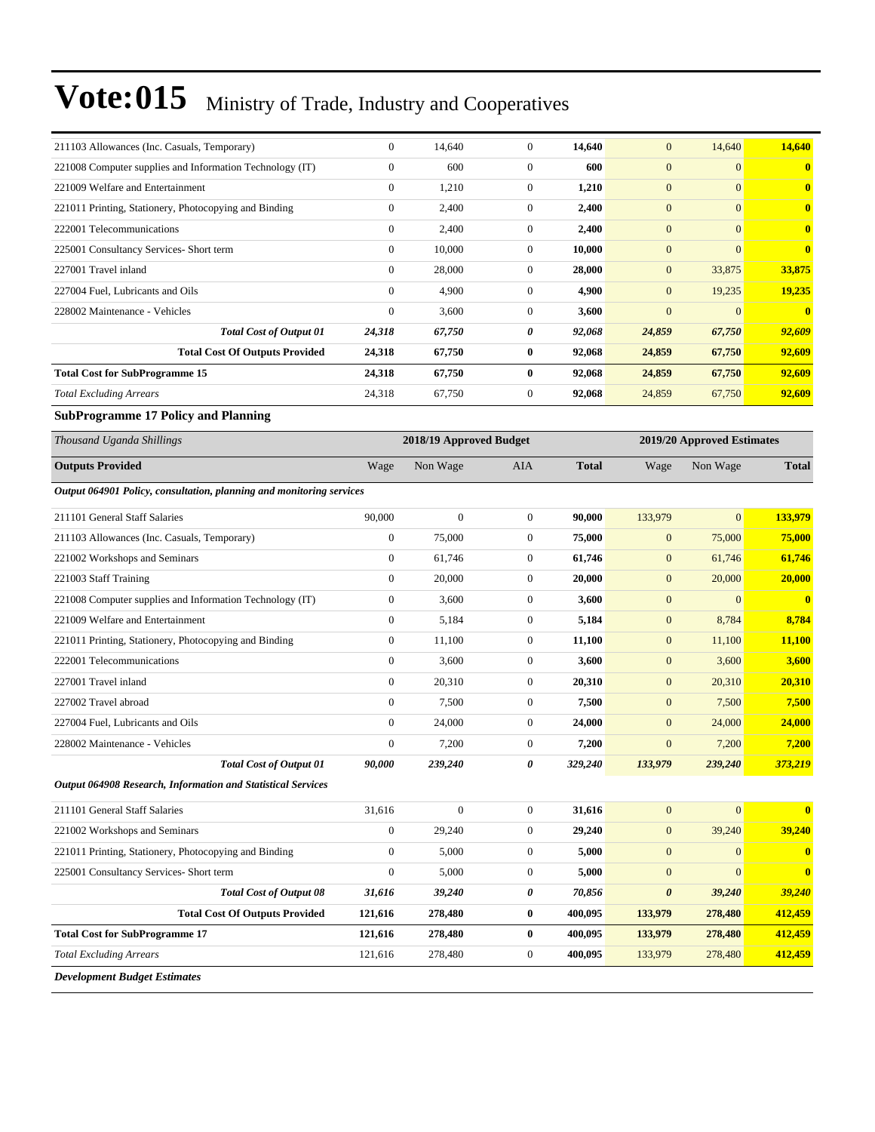| 211103 Allowances (Inc. Casuals, Temporary)                          | $\boldsymbol{0}$ | 14,640                  | $\boldsymbol{0}$ | 14,640       | $\mathbf{0}$     | 14,640                     | 14,640                  |
|----------------------------------------------------------------------|------------------|-------------------------|------------------|--------------|------------------|----------------------------|-------------------------|
| 221008 Computer supplies and Information Technology (IT)             | $\boldsymbol{0}$ | 600                     | $\boldsymbol{0}$ | 600          | $\mathbf{0}$     | $\mathbf{0}$               | $\bf{0}$                |
| 221009 Welfare and Entertainment                                     | $\boldsymbol{0}$ | 1,210                   | $\boldsymbol{0}$ | 1,210        | $\mathbf{0}$     | $\overline{0}$             | $\bf{0}$                |
| 221011 Printing, Stationery, Photocopying and Binding                | $\boldsymbol{0}$ | 2,400                   | $\boldsymbol{0}$ | 2,400        | $\mathbf{0}$     | $\mathbf{0}$               | $\bf{0}$                |
| 222001 Telecommunications                                            | $\mathbf{0}$     | 2,400                   | $\boldsymbol{0}$ | 2,400        | $\mathbf{0}$     | $\overline{0}$             | $\bf{0}$                |
| 225001 Consultancy Services- Short term                              | $\boldsymbol{0}$ | 10,000                  | $\boldsymbol{0}$ | 10,000       | $\mathbf{0}$     | $\mathbf{0}$               | $\bf{0}$                |
| 227001 Travel inland                                                 | $\boldsymbol{0}$ | 28,000                  | $\mathbf{0}$     | 28,000       | $\mathbf{0}$     | 33,875                     | 33,875                  |
| 227004 Fuel, Lubricants and Oils                                     | $\boldsymbol{0}$ | 4,900                   | $\boldsymbol{0}$ | 4,900        | $\mathbf{0}$     | 19,235                     | 19,235                  |
| 228002 Maintenance - Vehicles                                        | $\mathbf{0}$     | 3,600                   | $\boldsymbol{0}$ | 3,600        | $\mathbf{0}$     | $\mathbf{0}$               | $\overline{\mathbf{0}}$ |
| <b>Total Cost of Output 01</b>                                       | 24,318           | 67,750                  | 0                | 92,068       | 24,859           | 67,750                     | 92,609                  |
| <b>Total Cost Of Outputs Provided</b>                                | 24,318           | 67,750                  | $\bf{0}$         | 92,068       | 24,859           | 67,750                     | 92,609                  |
| <b>Total Cost for SubProgramme 15</b>                                | 24,318           | 67,750                  | $\bf{0}$         | 92,068       | 24,859           | 67,750                     | 92,609                  |
| <b>Total Excluding Arrears</b>                                       | 24,318           | 67,750                  | $\boldsymbol{0}$ | 92,068       | 24,859           | 67,750                     | 92,609                  |
| <b>SubProgramme 17 Policy and Planning</b>                           |                  |                         |                  |              |                  |                            |                         |
| Thousand Uganda Shillings                                            |                  | 2018/19 Approved Budget |                  |              |                  | 2019/20 Approved Estimates |                         |
| <b>Outputs Provided</b>                                              | Wage             | Non Wage                | AIA              | <b>Total</b> | Wage             | Non Wage                   | <b>Total</b>            |
| Output 064901 Policy, consultation, planning and monitoring services |                  |                         |                  |              |                  |                            |                         |
| 211101 General Staff Salaries                                        | 90,000           | $\mathbf{0}$            | $\boldsymbol{0}$ | 90,000       | 133,979          | $\overline{0}$             | 133,979                 |
| 211103 Allowances (Inc. Casuals, Temporary)                          | $\boldsymbol{0}$ | 75,000                  | $\boldsymbol{0}$ | 75,000       | $\mathbf{0}$     | 75,000                     | 75,000                  |
| 221002 Workshops and Seminars                                        | $\boldsymbol{0}$ | 61,746                  | $\boldsymbol{0}$ | 61,746       | $\mathbf{0}$     | 61,746                     | 61,746                  |
| 221003 Staff Training                                                | $\boldsymbol{0}$ | 20,000                  | $\mathbf{0}$     | 20,000       | $\mathbf{0}$     | 20,000                     | 20,000                  |
| 221008 Computer supplies and Information Technology (IT)             | $\boldsymbol{0}$ | 3,600                   | $\boldsymbol{0}$ | 3,600        | $\mathbf{0}$     | $\boldsymbol{0}$           | $\overline{\mathbf{0}}$ |
| 221009 Welfare and Entertainment                                     | $\boldsymbol{0}$ | 5,184                   | $\boldsymbol{0}$ | 5,184        | $\boldsymbol{0}$ | 8,784                      | 8,784                   |
| 221011 Printing, Stationery, Photocopying and Binding                | $\boldsymbol{0}$ | 11,100                  | $\boldsymbol{0}$ | 11,100       | $\boldsymbol{0}$ | 11,100                     | 11,100                  |
| 222001 Telecommunications                                            | $\boldsymbol{0}$ | 3,600                   | $\boldsymbol{0}$ | 3,600        | $\mathbf{0}$     | 3,600                      | 3,600                   |
| 227001 Travel inland                                                 | $\boldsymbol{0}$ | 20,310                  | $\mathbf{0}$     | 20,310       | $\mathbf{0}$     | 20,310                     | 20,310                  |
| 227002 Travel abroad                                                 | $\boldsymbol{0}$ | 7,500                   | $\boldsymbol{0}$ | 7,500        | $\mathbf{0}$     | 7,500                      | 7,500                   |
| 227004 Fuel, Lubricants and Oils                                     | $\mathbf{0}$     | 24,000                  | $\boldsymbol{0}$ | 24,000       | $\mathbf{0}$     | 24,000                     | 24,000                  |
| 228002 Maintenance - Vehicles                                        | $\mathbf{0}$     | 7,200                   | $\mathbf{0}$     | 7,200        | $\mathbf{0}$     | 7,200                      | 7,200                   |
| <b>Total Cost of Output 01</b>                                       | 90,000           | 239,240                 | 0                | 329,240      | 133,979          | 239,240                    | 373,219                 |
| Output 064908 Research, Information and Statistical Services         |                  |                         |                  |              |                  |                            |                         |
| 211101 General Staff Salaries                                        | 31,616           | $\boldsymbol{0}$        | $\boldsymbol{0}$ | 31,616       | $\boldsymbol{0}$ | $\boldsymbol{0}$           | $\bf{0}$                |
| 221002 Workshops and Seminars                                        | $\boldsymbol{0}$ | 29,240                  | $\overline{0}$   | 29,240       | $\boldsymbol{0}$ | 39,240                     | 39,240                  |
| 221011 Printing, Stationery, Photocopying and Binding                | $\boldsymbol{0}$ | 5,000                   | $\boldsymbol{0}$ | 5,000        | $\boldsymbol{0}$ | $\mathbf{0}$               | $\mathbf{0}$            |
| 225001 Consultancy Services- Short term                              | $\boldsymbol{0}$ | 5,000                   | $\boldsymbol{0}$ | 5,000        | $\boldsymbol{0}$ | $\boldsymbol{0}$           | $\mathbf{0}$            |
| <b>Total Cost of Output 08</b>                                       | 31,616           | 39,240                  | 0                | 70,856       | $\pmb{\theta}$   | 39,240                     | 39,240                  |
| <b>Total Cost Of Outputs Provided</b>                                | 121,616          | 278,480                 | $\boldsymbol{0}$ | 400,095      | 133,979          | 278,480                    | 412,459                 |
| <b>Total Cost for SubProgramme 17</b>                                | 121,616          | 278,480                 | $\bf{0}$         | 400,095      | 133,979          | 278,480                    | 412,459                 |
| <b>Total Excluding Arrears</b>                                       | 121,616          | 278,480                 | $\boldsymbol{0}$ | 400,095      | 133,979          | 278,480                    | 412,459                 |
| <b>Development Budget Estimates</b>                                  |                  |                         |                  |              |                  |                            |                         |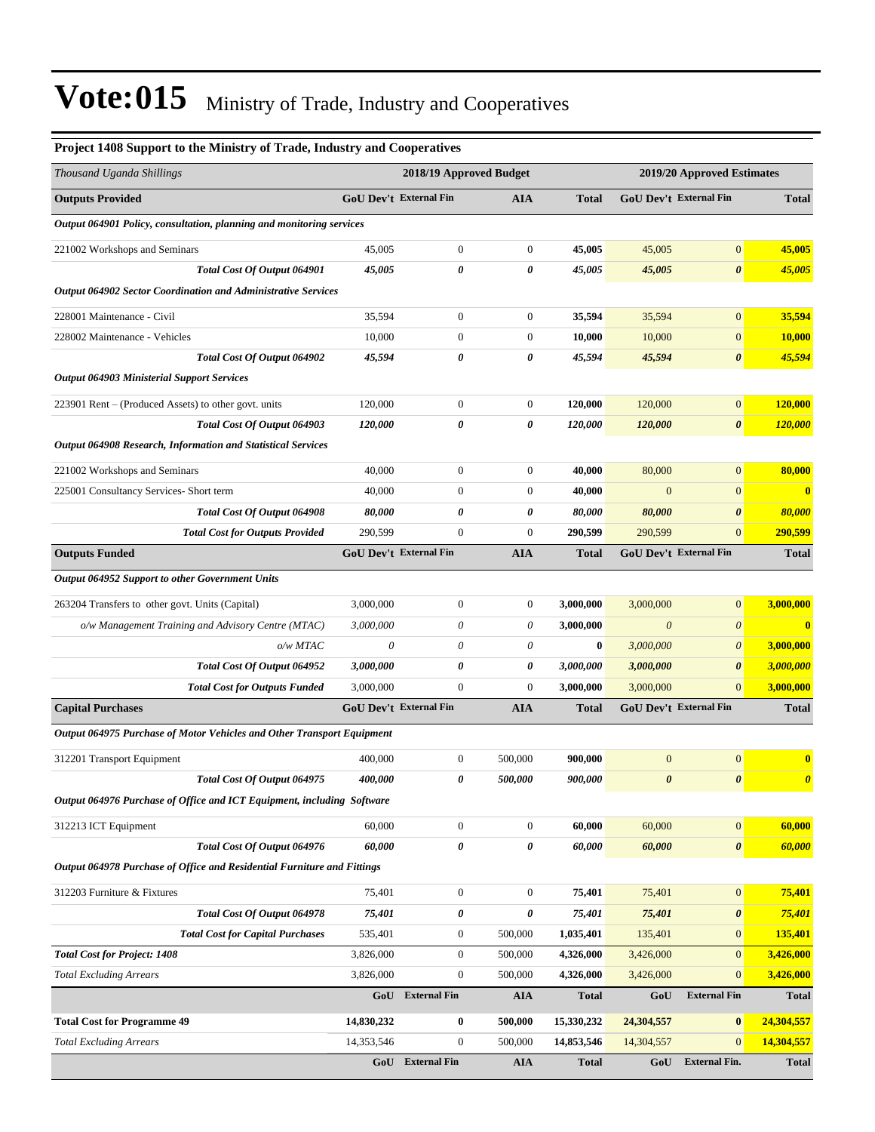| Project 1408 Support to the Ministry of Trade, Industry and Cooperatives |                         |                               |                  |                            |                       |                               |                       |
|--------------------------------------------------------------------------|-------------------------|-------------------------------|------------------|----------------------------|-----------------------|-------------------------------|-----------------------|
| Thousand Uganda Shillings                                                | 2018/19 Approved Budget |                               |                  | 2019/20 Approved Estimates |                       |                               |                       |
| <b>Outputs Provided</b>                                                  |                         | GoU Dev't External Fin        | <b>AIA</b>       | <b>Total</b>               |                       | <b>GoU Dev't External Fin</b> | <b>Total</b>          |
| Output 064901 Policy, consultation, planning and monitoring services     |                         |                               |                  |                            |                       |                               |                       |
| 221002 Workshops and Seminars                                            | 45,005                  | $\boldsymbol{0}$              | $\boldsymbol{0}$ | 45,005                     | 45,005                | $\boldsymbol{0}$              | 45,005                |
| Total Cost Of Output 064901                                              | 45,005                  | 0                             | 0                | 45,005                     | 45,005                | $\boldsymbol{\theta}$         | 45,005                |
| <b>Output 064902 Sector Coordination and Administrative Services</b>     |                         |                               |                  |                            |                       |                               |                       |
| 228001 Maintenance - Civil                                               | 35,594                  | $\boldsymbol{0}$              | $\boldsymbol{0}$ | 35,594                     | 35,594                | $\boldsymbol{0}$              | 35,594                |
| 228002 Maintenance - Vehicles                                            | 10,000                  | $\boldsymbol{0}$              | $\boldsymbol{0}$ | 10,000                     | 10,000                | $\mathbf{0}$                  | 10,000                |
| Total Cost Of Output 064902                                              | 45,594                  | 0                             | 0                | 45,594                     | 45,594                | $\boldsymbol{\theta}$         | 45,594                |
| <b>Output 064903 Ministerial Support Services</b>                        |                         |                               |                  |                            |                       |                               |                       |
| 223901 Rent – (Produced Assets) to other govt. units                     | 120,000                 | $\boldsymbol{0}$              | $\overline{0}$   | 120,000                    | 120,000               | $\vert 0 \vert$               | 120,000               |
| Total Cost Of Output 064903                                              | 120,000                 | 0                             | 0                | 120,000                    | 120,000               | $\boldsymbol{\theta}$         | 120,000               |
| Output 064908 Research, Information and Statistical Services             |                         |                               |                  |                            |                       |                               |                       |
| 221002 Workshops and Seminars                                            | 40,000                  | $\boldsymbol{0}$              | $\boldsymbol{0}$ | 40,000                     | 80,000                | $\boldsymbol{0}$              | 80,000                |
| 225001 Consultancy Services- Short term                                  | 40,000                  | $\boldsymbol{0}$              | $\boldsymbol{0}$ | 40,000                     | $\mathbf{0}$          | $\mathbf{0}$                  | $\bf{0}$              |
| Total Cost Of Output 064908                                              | 80,000                  | 0                             | 0                | 80,000                     | 80,000                | $\boldsymbol{\theta}$         | 80,000                |
| <b>Total Cost for Outputs Provided</b>                                   | 290,599                 | $\boldsymbol{0}$              | $\overline{0}$   | 290,599                    | 290,599               | $\mathbf{0}$                  | 290,599               |
| <b>Outputs Funded</b>                                                    |                         | <b>GoU Dev't External Fin</b> | <b>AIA</b>       | <b>Total</b>               |                       | <b>GoU Dev't External Fin</b> | <b>Total</b>          |
| Output 064952 Support to other Government Units                          |                         |                               |                  |                            |                       |                               |                       |
| 263204 Transfers to other govt. Units (Capital)                          | 3,000,000               | $\boldsymbol{0}$              | $\boldsymbol{0}$ | 3,000,000                  | 3,000,000             | $\boldsymbol{0}$              | 3,000,000             |
| o/w Management Training and Advisory Centre (MTAC)                       | 3,000,000               | 0                             | 0                | 3,000,000                  | $\boldsymbol{\theta}$ | $\boldsymbol{\theta}$         | $\mathbf{0}$          |
| o/w MTAC                                                                 | $\boldsymbol{\theta}$   | 0                             | 0                | $\bf{0}$                   | 3,000,000             | $\boldsymbol{0}$              | 3,000,000             |
| Total Cost Of Output 064952                                              | 3,000,000               | 0                             | 0                | 3,000,000                  | 3,000,000             | $\boldsymbol{\theta}$         | 3,000,000             |
| <b>Total Cost for Outputs Funded</b>                                     | 3,000,000               | $\boldsymbol{0}$              | $\overline{0}$   | 3,000,000                  | 3,000,000             | $\mathbf{0}$                  | 3,000,000             |
| <b>Capital Purchases</b>                                                 |                         | <b>GoU Dev't External Fin</b> | <b>AIA</b>       | <b>Total</b>               |                       | <b>GoU Dev't External Fin</b> | <b>Total</b>          |
| Output 064975 Purchase of Motor Vehicles and Other Transport Equipment   |                         |                               |                  |                            |                       |                               |                       |
| 312201 Transport Equipment                                               | 400,000                 | $\boldsymbol{0}$              | 500,000          | 900,000                    | $\boldsymbol{0}$      | $\boldsymbol{0}$              | $\bf{0}$              |
| Total Cost Of Output 064975                                              | 400,000                 | 0                             | 500,000          | 900,000                    | $\boldsymbol{\theta}$ | $\boldsymbol{\theta}$         | $\boldsymbol{\theta}$ |
| Output 064976 Purchase of Office and ICT Equipment, including Software   |                         |                               |                  |                            |                       |                               |                       |
| 312213 ICT Equipment                                                     | 60,000                  | $\boldsymbol{0}$              | $\overline{0}$   | 60,000                     | 60,000                | $\vert 0 \vert$               | 60,000                |
| Total Cost Of Output 064976                                              | 60,000                  | $\pmb{\theta}$                | 0                | 60,000                     | 60,000                | $\boldsymbol{\theta}$         | 60,000                |
| Output 064978 Purchase of Office and Residential Furniture and Fittings  |                         |                               |                  |                            |                       |                               |                       |
| 312203 Furniture & Fixtures                                              | 75,401                  | $\boldsymbol{0}$              | $\overline{0}$   | 75,401                     | 75,401                | $\vert 0 \vert$               | 75,401                |
| Total Cost Of Output 064978                                              | 75,401                  | 0                             | 0                | 75,401                     | 75,401                | $\pmb{\theta}$                | 75,401                |
| <b>Total Cost for Capital Purchases</b>                                  | 535,401                 | $\boldsymbol{0}$              | 500,000          | 1,035,401                  | 135,401               | $\mathbf{0}$                  | 135,401               |
| <b>Total Cost for Project: 1408</b>                                      | 3,826,000               | $\boldsymbol{0}$              | 500,000          | 4,326,000                  | 3,426,000             | $\mathbf{0}$                  | 3,426,000             |
| <b>Total Excluding Arrears</b>                                           | 3,826,000               | $\boldsymbol{0}$              | 500,000          | 4,326,000                  | 3,426,000             | $\mathbf{0}$                  | 3,426,000             |
|                                                                          |                         | GoU External Fin              | AIA              | <b>Total</b>               | GoU                   | <b>External Fin</b>           | <b>Total</b>          |
| <b>Total Cost for Programme 49</b>                                       | 14,830,232              | 0                             | 500,000          | 15,330,232                 | 24,304,557            | $\boldsymbol{0}$              | 24,304,557            |
| <b>Total Excluding Arrears</b>                                           | 14,353,546              | $\boldsymbol{0}$              | 500,000          | 14,853,546                 | 14,304,557            | $\mathbf{0}$                  | 14,304,557            |
|                                                                          |                         | GoU External Fin              | <b>AIA</b>       | <b>Total</b>               | GoU                   | <b>External Fin.</b>          | <b>Total</b>          |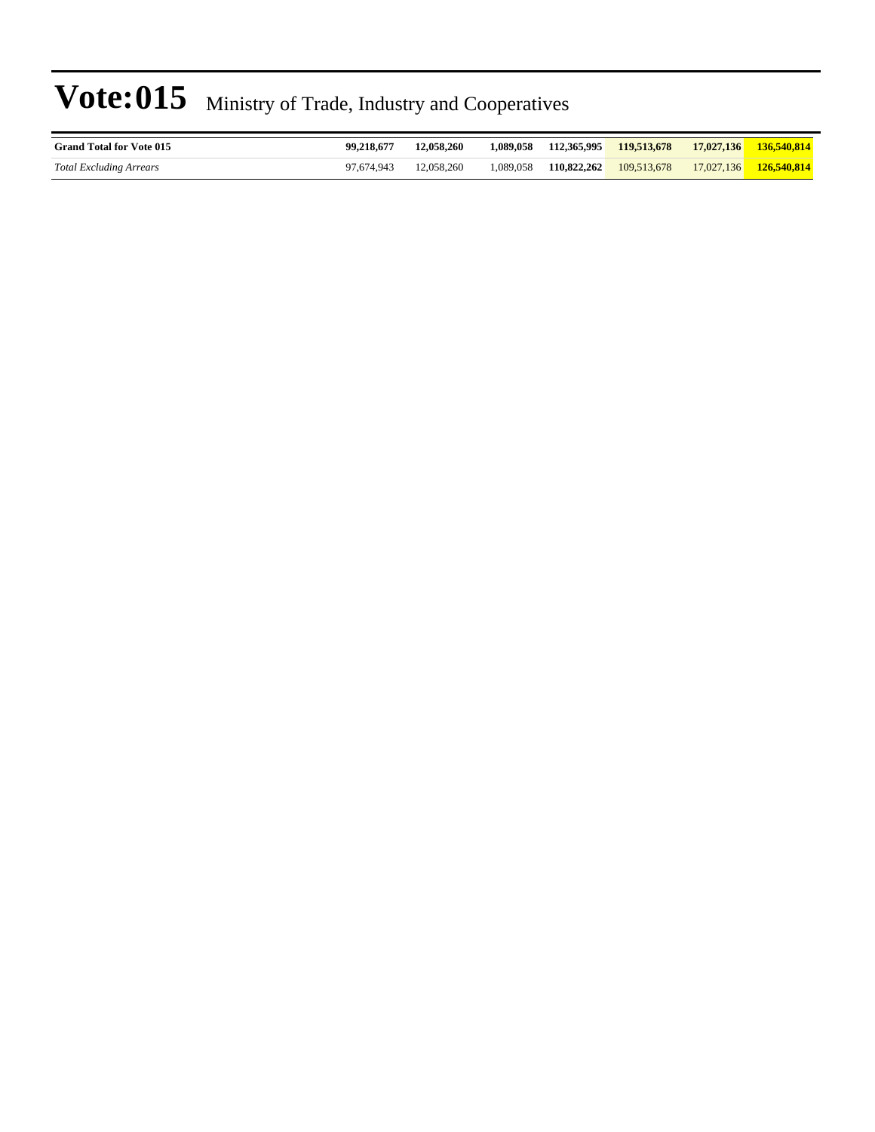| <b>Grand Total for Vote 015</b> | 99.218.677 | 12,058,260 | 1.089.058 |             | 112,365,995 119,513,678 | 17,027,136 | 136,540,814                   |
|---------------------------------|------------|------------|-----------|-------------|-------------------------|------------|-------------------------------|
| Total Excluding Arrears         | 97.674.943 | 12.058.260 | 1,089,058 | 110,822,262 | 109.513.678             |            | 17.027.136 <b>126.540.814</b> |